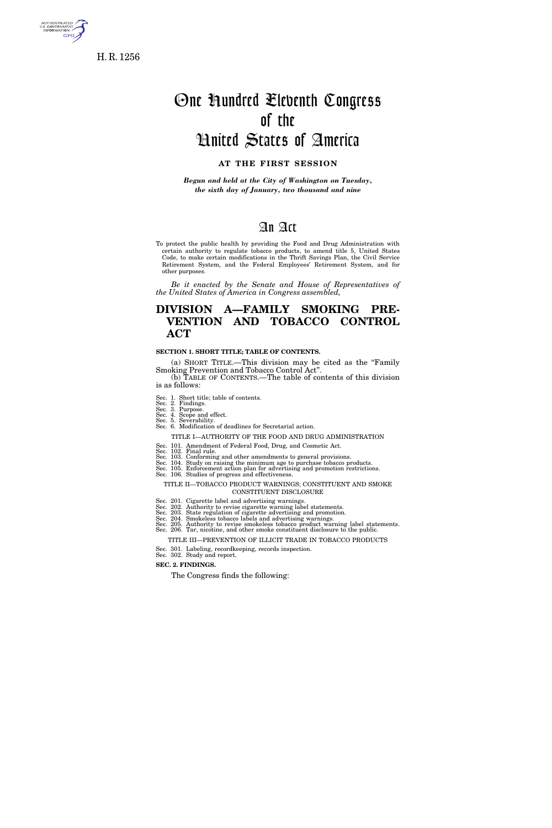

H. R. 1256

# One Hundred Eleventh Congress of the United States of America

# **AT THE FIRST SESSION**

*Begun and held at the City of Washington on Tuesday, the sixth day of January, two thousand and nine* 

# An Act

To protect the public health by providing the Food and Drug Administration with certain authority to regulate tobacco products, to amend title 5, United States Code, to make certain modifications in the Thrift Savings Plan, the Civil Service Retirement System, and the Federal Employees' Retirement System, and for other purposes.

*Be it enacted by the Senate and House of Representatives of the United States of America in Congress assembled,* 

# **DIVISION A—FAMILY SMOKING PRE-VENTION AND TOBACCO CONTROL ACT**

## **SECTION 1. SHORT TITLE; TABLE OF CONTENTS.**

(a) SHORT TITLE.—This division may be cited as the ''Family Smoking Prevention and Tobacco Control Act''. (b) TABLE OF CONTENTS.—The table of contents of this division

is as follows:

- 
- 
- 
- Sec. 1. Short title; table of contents.<br>Sec. 3. Purpose.<br>Sec. 3. Purpose.<br>Sec. 4. Scope and effect.<br>Sec. 5. Severability.<br>Sec. 6. Modification of deadlines for Secretarial action.

TITLE I—AUTHORITY OF THE FOOD AND DRUG ADMINISTRATION Sec. 101. Amendment of Federal Food, Drug, and Cosmetic Act.

- Sec. 102. Final rule.
- Sec. 103. Conforming and other amendments to general provisions.<br>Sec. 104. Study on raising the minimum age to purchase tobacco products.<br>Sec. 105. Enforcement action plan for advertising and promotion restrictions.<br>Sec. 1
- 
- 

#### TITLE II—TOBACCO PRODUCT WARNINGS; CONSTITUENT AND SMOKE CONSTITUENT DISCLOSURE

- 
- 
- 
- Sec. 201. Cigarette label and advertising warnings.<br>Sec. 202. Authority to revise cigarette warning label statements.<br>Sec. 203. State regulation of cigarette advertising and promotion.<br>Sec. 204. Smokeless tobaco labels and
	- TITLE III—PREVENTION OF ILLICIT TRADE IN TOBACCO PRODUCTS

Sec. 301. Labeling, recordkeeping, records inspection. Sec. 302. Study and report.

**SEC. 2. FINDINGS.** 

The Congress finds the following: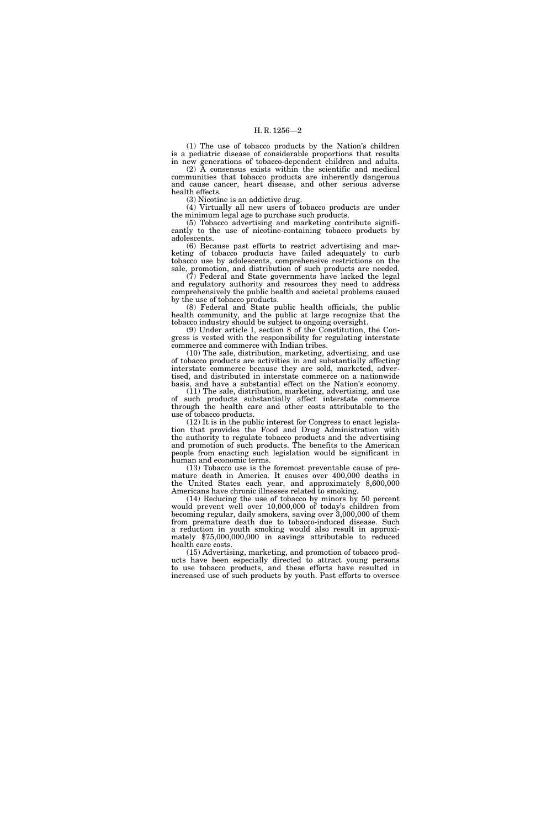(1) The use of tobacco products by the Nation's children is a pediatric disease of considerable proportions that results in new generations of tobacco-dependent children and adults.

(2) A consensus exists within the scientific and medical communities that tobacco products are inherently dangerous and cause cancer, heart disease, and other serious adverse health effects.

(3) Nicotine is an addictive drug.

(4) Virtually all new users of tobacco products are under the minimum legal age to purchase such products.

(5) Tobacco advertising and marketing contribute significantly to the use of nicotine-containing tobacco products by adolescents.

(6) Because past efforts to restrict advertising and marketing of tobacco products have failed adequately to curb tobacco use by adolescents, comprehensive restrictions on the sale, promotion, and distribution of such products are needed.

(7) Federal and State governments have lacked the legal and regulatory authority and resources they need to address comprehensively the public health and societal problems caused by the use of tobacco products.

(8) Federal and State public health officials, the public health community, and the public at large recognize that the tobacco industry should be subject to ongoing oversight.

(9) Under article I, section 8 of the Constitution, the Congress is vested with the responsibility for regulating interstate commerce and commerce with Indian tribes.

(10) The sale, distribution, marketing, advertising, and use of tobacco products are activities in and substantially affecting interstate commerce because they are sold, marketed, advertised, and distributed in interstate commerce on a nationwide basis, and have a substantial effect on the Nation's economy.

(11) The sale, distribution, marketing, advertising, and use of such products substantially affect interstate commerce through the health care and other costs attributable to the use of tobacco products.

(12) It is in the public interest for Congress to enact legislation that provides the Food and Drug Administration with the authority to regulate tobacco products and the advertising and promotion of such products. The benefits to the American people from enacting such legislation would be significant in human and economic terms.

(13) Tobacco use is the foremost preventable cause of premature death in America. It causes over 400,000 deaths in the United States each year, and approximately 8,600,000 Americans have chronic illnesses related to smoking.

(14) Reducing the use of tobacco by minors by 50 percent would prevent well over 10,000,000 of today's children from becoming regular, daily smokers, saving over 3,000,000 of them from premature death due to tobacco-induced disease. Such a reduction in youth smoking would also result in approximately \$75,000,000,000 in savings attributable to reduced health care costs.

(15) Advertising, marketing, and promotion of tobacco products have been especially directed to attract young persons to use tobacco products, and these efforts have resulted in increased use of such products by youth. Past efforts to oversee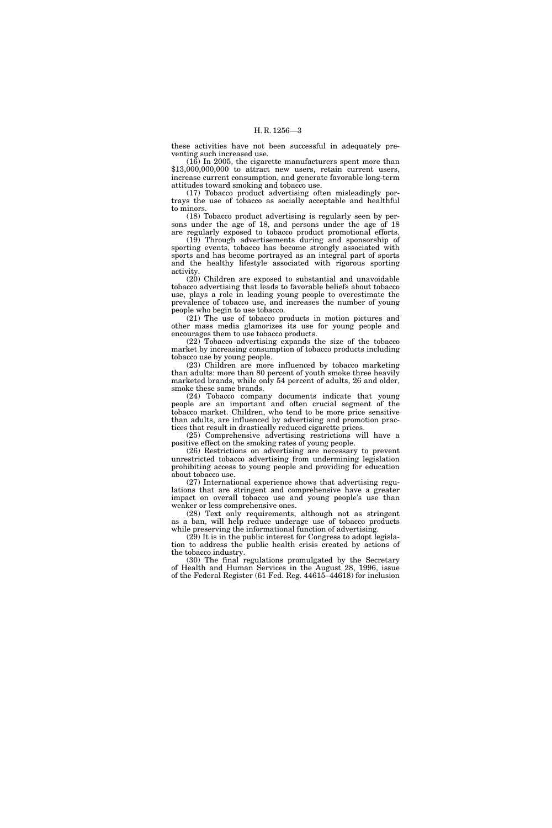these activities have not been successful in adequately preventing such increased use.

(16) In 2005, the cigarette manufacturers spent more than \$13,000,000,000 to attract new users, retain current users, increase current consumption, and generate favorable long-term attitudes toward smoking and tobacco use.

(17) Tobacco product advertising often misleadingly portrays the use of tobacco as socially acceptable and healthful to minors.

(18) Tobacco product advertising is regularly seen by persons under the age of 18, and persons under the age of 18 are regularly exposed to tobacco product promotional efforts.

(19) Through advertisements during and sponsorship of sporting events, tobacco has become strongly associated with sports and has become portrayed as an integral part of sports and the healthy lifestyle associated with rigorous sporting activity.

(20) Children are exposed to substantial and unavoidable tobacco advertising that leads to favorable beliefs about tobacco use, plays a role in leading young people to overestimate the prevalence of tobacco use, and increases the number of young people who begin to use tobacco.

(21) The use of tobacco products in motion pictures and other mass media glamorizes its use for young people and encourages them to use tobacco products.

(22) Tobacco advertising expands the size of the tobacco market by increasing consumption of tobacco products including tobacco use by young people.

(23) Children are more influenced by tobacco marketing than adults: more than 80 percent of youth smoke three heavily marketed brands, while only 54 percent of adults, 26 and older, smoke these same brands.

(24) Tobacco company documents indicate that young people are an important and often crucial segment of the tobacco market. Children, who tend to be more price sensitive than adults, are influenced by advertising and promotion practices that result in drastically reduced cigarette prices.

(25) Comprehensive advertising restrictions will have a positive effect on the smoking rates of young people.

(26) Restrictions on advertising are necessary to prevent unrestricted tobacco advertising from undermining legislation prohibiting access to young people and providing for education about tobacco use.

(27) International experience shows that advertising regulations that are stringent and comprehensive have a greater impact on overall tobacco use and young people's use than weaker or less comprehensive ones.

(28) Text only requirements, although not as stringent as a ban, will help reduce underage use of tobacco products while preserving the informational function of advertising.

(29) It is in the public interest for Congress to adopt legislation to address the public health crisis created by actions of the tobacco industry.

(30) The final regulations promulgated by the Secretary of Health and Human Services in the August 28, 1996, issue of the Federal Register (61 Fed. Reg. 44615–44618) for inclusion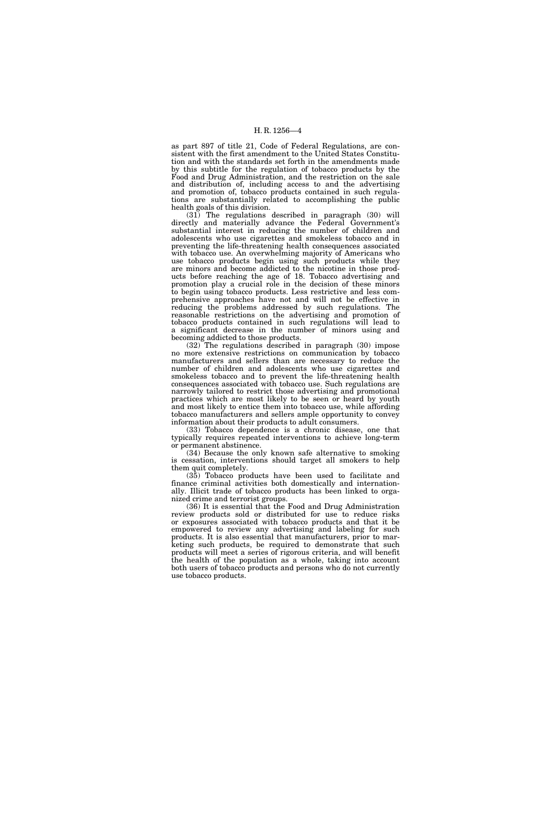as part 897 of title 21, Code of Federal Regulations, are consistent with the first amendment to the United States Constitution and with the standards set forth in the amendments made by this subtitle for the regulation of tobacco products by the Food and Drug Administration, and the restriction on the sale and distribution of, including access to and the advertising and promotion of, tobacco products contained in such regulations are substantially related to accomplishing the public health goals of this division.

(31) The regulations described in paragraph (30) will directly and materially advance the Federal Government's substantial interest in reducing the number of children and adolescents who use cigarettes and smokeless tobacco and in preventing the life-threatening health consequences associated with tobacco use. An overwhelming majority of Americans who use tobacco products begin using such products while they are minors and become addicted to the nicotine in those products before reaching the age of 18. Tobacco advertising and promotion play a crucial role in the decision of these minors to begin using tobacco products. Less restrictive and less comprehensive approaches have not and will not be effective in reducing the problems addressed by such regulations. The reasonable restrictions on the advertising and promotion of tobacco products contained in such regulations will lead to a significant decrease in the number of minors using and becoming addicted to those products.

(32) The regulations described in paragraph (30) impose no more extensive restrictions on communication by tobacco manufacturers and sellers than are necessary to reduce the number of children and adolescents who use cigarettes and smokeless tobacco and to prevent the life-threatening health consequences associated with tobacco use. Such regulations are narrowly tailored to restrict those advertising and promotional practices which are most likely to be seen or heard by youth and most likely to entice them into tobacco use, while affording tobacco manufacturers and sellers ample opportunity to convey information about their products to adult consumers.

(33) Tobacco dependence is a chronic disease, one that typically requires repeated interventions to achieve long-term or permanent abstinence.

(34) Because the only known safe alternative to smoking is cessation, interventions should target all smokers to help them quit completely.

(35) Tobacco products have been used to facilitate and finance criminal activities both domestically and internationally. Illicit trade of tobacco products has been linked to organized crime and terrorist groups.

(36) It is essential that the Food and Drug Administration review products sold or distributed for use to reduce risks or exposures associated with tobacco products and that it be empowered to review any advertising and labeling for such products. It is also essential that manufacturers, prior to marketing such products, be required to demonstrate that such products will meet a series of rigorous criteria, and will benefit the health of the population as a whole, taking into account both users of tobacco products and persons who do not currently use tobacco products.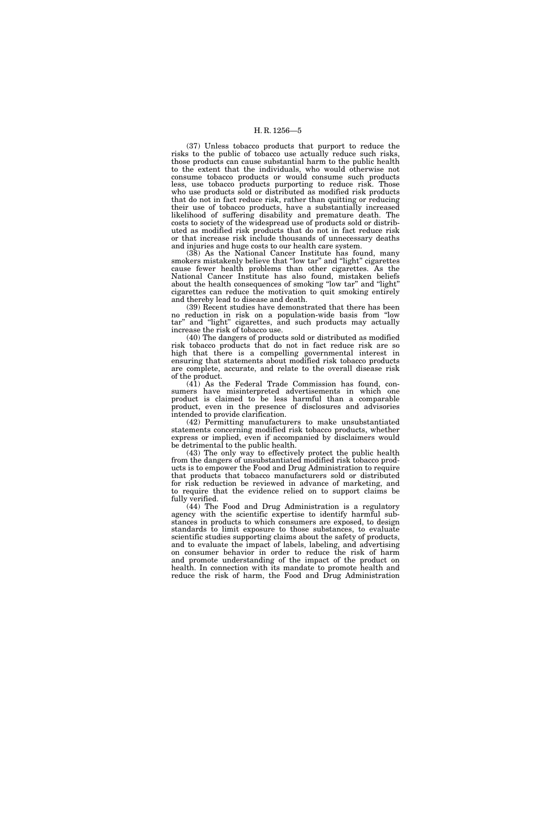(37) Unless tobacco products that purport to reduce the risks to the public of tobacco use actually reduce such risks, those products can cause substantial harm to the public health to the extent that the individuals, who would otherwise not consume tobacco products or would consume such products less, use tobacco products purporting to reduce risk. Those who use products sold or distributed as modified risk products that do not in fact reduce risk, rather than quitting or reducing their use of tobacco products, have a substantially increased likelihood of suffering disability and premature death. The costs to society of the widespread use of products sold or distributed as modified risk products that do not in fact reduce risk or that increase risk include thousands of unnecessary deaths and injuries and huge costs to our health care system.

(38) As the National Cancer Institute has found, many smokers mistakenly believe that "low tar" and "light" cigarettes cause fewer health problems than other cigarettes. As the National Cancer Institute has also found, mistaken beliefs about the health consequences of smoking ''low tar'' and ''light'' cigarettes can reduce the motivation to quit smoking entirely and thereby lead to disease and death.

(39) Recent studies have demonstrated that there has been no reduction in risk on a population-wide basis from ''low tar'' and ''light'' cigarettes, and such products may actually increase the risk of tobacco use.

(40) The dangers of products sold or distributed as modified risk tobacco products that do not in fact reduce risk are so high that there is a compelling governmental interest in ensuring that statements about modified risk tobacco products are complete, accurate, and relate to the overall disease risk of the product.

(41) As the Federal Trade Commission has found, consumers have misinterpreted advertisements in which one product is claimed to be less harmful than a comparable product, even in the presence of disclosures and advisories intended to provide clarification.

(42) Permitting manufacturers to make unsubstantiated statements concerning modified risk tobacco products, whether express or implied, even if accompanied by disclaimers would be detrimental to the public health.

(43) The only way to effectively protect the public health from the dangers of unsubstantiated modified risk tobacco products is to empower the Food and Drug Administration to require that products that tobacco manufacturers sold or distributed for risk reduction be reviewed in advance of marketing, and to require that the evidence relied on to support claims be fully verified.

(44) The Food and Drug Administration is a regulatory agency with the scientific expertise to identify harmful substances in products to which consumers are exposed, to design standards to limit exposure to those substances, to evaluate scientific studies supporting claims about the safety of products, and to evaluate the impact of labels, labeling, and advertising on consumer behavior in order to reduce the risk of harm and promote understanding of the impact of the product on health. In connection with its mandate to promote health and reduce the risk of harm, the Food and Drug Administration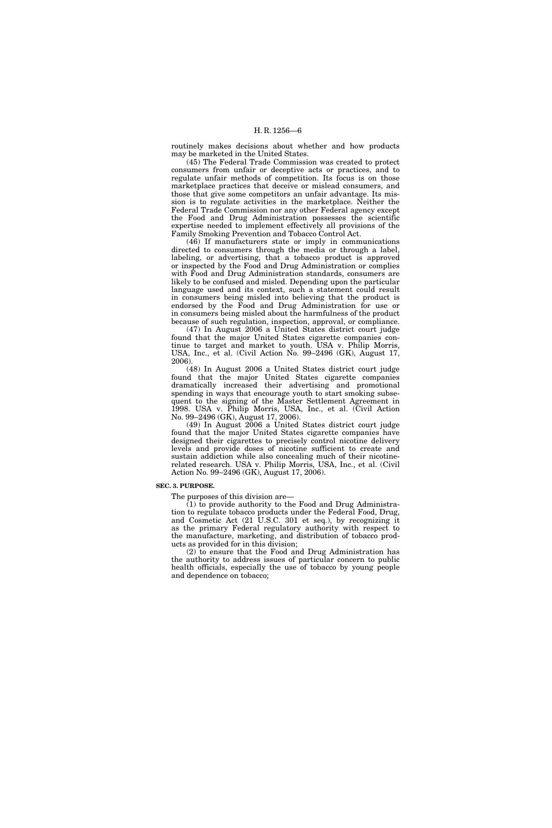routinely makes decisions about whether and how products may be marketed in the United States.

(45) The Federal Trade Commission was created to protect consumers from unfair or deceptive acts or practices, and to regulate unfair methods of competition. Its focus is on those marketplace practices that deceive or mislead consumers, and those that give some competitors an unfair advantage. Its mission is to regulate activities in the marketplace. Neither the Federal Trade Commission nor any other Federal agency except the Food and Drug Administration possesses the scientific expertise needed to implement effectively all provisions of the Family Smoking Prevention and Tobacco Control Act.

(46) If manufacturers state or imply in communications directed to consumers through the media or through a label, labeling, or advertising, that a tobacco product is approved or inspected by the Food and Drug Administration or complies with Food and Drug Administration standards, consumers are likely to be confused and misled. Depending upon the particular language used and its context, such a statement could result in consumers being misled into believing that the product is endorsed by the Food and Drug Administration for use or in consumers being misled about the harmfulness of the product because of such regulation, inspection, approval, or compliance.

(47) In August 2006 a United States district court judge found that the major United States cigarette companies continue to target and market to youth. USA v. Philip Morris, USA, Inc., et al. (Civil Action No. 99–2496 (GK), August 17, 2006)

(48) In August 2006 a United States district court judge found that the major United States cigarette companies dramatically increased their advertising and promotional spending in ways that encourage youth to start smoking subsequent to the signing of the Master Settlement Agreement in 1998. USA v. Philip Morris, USA, Inc., et al. (Civil Action No. 99–2496 (GK), August 17, 2006).

(49) In August 2006 a United States district court judge found that the major United States cigarette companies have designed their cigarettes to precisely control nicotine delivery levels and provide doses of nicotine sufficient to create and sustain addiction while also concealing much of their nicotinerelated research. USA v. Philip Morris, USA, Inc., et al. (Civil Action No. 99–2496 (GK), August 17, 2006).

#### **SEC. 3. PURPOSE.**

The purposes of this division are—

 $(1)$  to provide authority to the Food and Drug Administration to regulate tobacco products under the Federal Food, Drug, and Cosmetic Act (21 U.S.C. 301 et seq.), by recognizing it as the primary Federal regulatory authority with respect to the manufacture, marketing, and distribution of tobacco products as provided for in this division;

(2) to ensure that the Food and Drug Administration has the authority to address issues of particular concern to public health officials, especially the use of tobacco by young people and dependence on tobacco;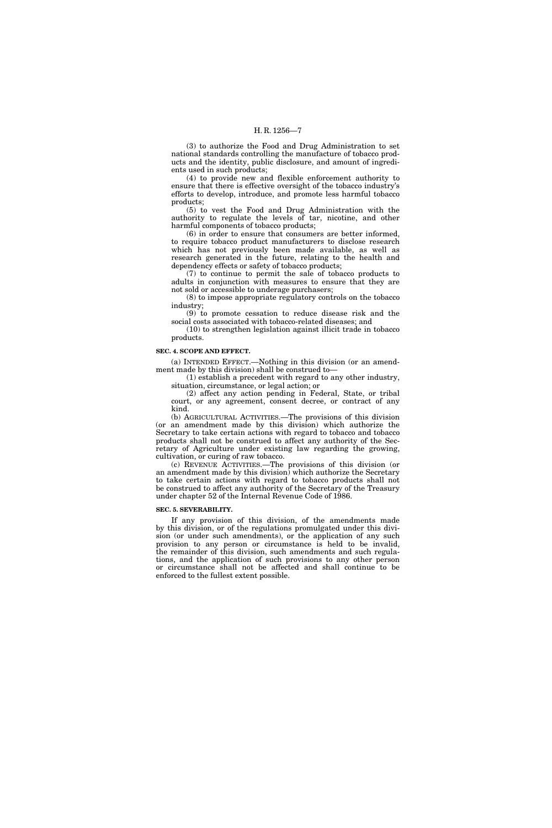(3) to authorize the Food and Drug Administration to set national standards controlling the manufacture of tobacco products and the identity, public disclosure, and amount of ingredients used in such products;

(4) to provide new and flexible enforcement authority to ensure that there is effective oversight of the tobacco industry's efforts to develop, introduce, and promote less harmful tobacco products;

(5) to vest the Food and Drug Administration with the authority to regulate the levels of tar, nicotine, and other harmful components of tobacco products;

(6) in order to ensure that consumers are better informed, to require tobacco product manufacturers to disclose research which has not previously been made available, as well as research generated in the future, relating to the health and dependency effects or safety of tobacco products;

(7) to continue to permit the sale of tobacco products to adults in conjunction with measures to ensure that they are not sold or accessible to underage purchasers;

(8) to impose appropriate regulatory controls on the tobacco industry;

(9) to promote cessation to reduce disease risk and the social costs associated with tobacco-related diseases; and

(10) to strengthen legislation against illicit trade in tobacco products.

#### **SEC. 4. SCOPE AND EFFECT.**

(a) INTENDED EFFECT.—Nothing in this division (or an amendment made by this division) shall be construed to—

(1) establish a precedent with regard to any other industry, situation, circumstance, or legal action; or

(2) affect any action pending in Federal, State, or tribal court, or any agreement, consent decree, or contract of any kind.

(b) AGRICULTURAL ACTIVITIES.—The provisions of this division (or an amendment made by this division) which authorize the Secretary to take certain actions with regard to tobacco and tobacco products shall not be construed to affect any authority of the Secretary of Agriculture under existing law regarding the growing, cultivation, or curing of raw tobacco.

(c) REVENUE ACTIVITIES.—The provisions of this division (or an amendment made by this division) which authorize the Secretary to take certain actions with regard to tobacco products shall not be construed to affect any authority of the Secretary of the Treasury under chapter 52 of the Internal Revenue Code of 1986.

# **SEC. 5. SEVERABILITY.**

If any provision of this division, of the amendments made by this division, or of the regulations promulgated under this division (or under such amendments), or the application of any such provision to any person or circumstance is held to be invalid, the remainder of this division, such amendments and such regulations, and the application of such provisions to any other person or circumstance shall not be affected and shall continue to be enforced to the fullest extent possible.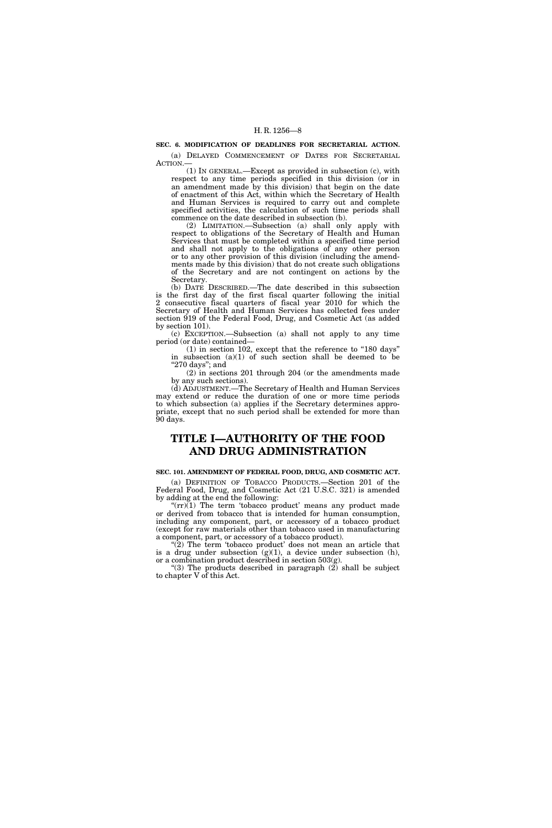# **SEC. 6. MODIFICATION OF DEADLINES FOR SECRETARIAL ACTION.**

(a) DELAYED COMMENCEMENT OF DATES FOR SECRETARIAL ACTION.—

(1) IN GENERAL.—Except as provided in subsection (c), with respect to any time periods specified in this division (or in an amendment made by this division) that begin on the date of enactment of this Act, within which the Secretary of Health and Human Services is required to carry out and complete specified activities, the calculation of such time periods shall commence on the date described in subsection (b).

(2) LIMITATION.—Subsection (a) shall only apply with respect to obligations of the Secretary of Health and Human Services that must be completed within a specified time period and shall not apply to the obligations of any other person or to any other provision of this division (including the amendments made by this division) that do not create such obligations of the Secretary and are not contingent on actions by the Secretary.

(b) DATE DESCRIBED.—The date described in this subsection is the first day of the first fiscal quarter following the initial 2 consecutive fiscal quarters of fiscal year 2010 for which the Secretary of Health and Human Services has collected fees under section 919 of the Federal Food, Drug, and Cosmetic Act (as added by section 101).

(c) EXCEPTION.—Subsection (a) shall not apply to any time period (or date) contained—

 $(1)$  in section 102, except that the reference to "180 days" in subsection  $(a)(1)$  of such section shall be deemed to be ''270 days''; and

(2) in sections 201 through 204 (or the amendments made by any such sections).

(d) ADJUSTMENT.—The Secretary of Health and Human Services may extend or reduce the duration of one or more time periods to which subsection (a) applies if the Secretary determines appropriate, except that no such period shall be extended for more than 90 days.

# **TITLE I—AUTHORITY OF THE FOOD AND DRUG ADMINISTRATION**

#### **SEC. 101. AMENDMENT OF FEDERAL FOOD, DRUG, AND COSMETIC ACT.**

(a) DEFINITION OF TOBACCO PRODUCTS.—Section 201 of the Federal Food, Drug, and Cosmetic Act (21 U.S.C. 321) is amended by adding at the end the following:

" $(rr)(1)$  The term 'tobacco product' means any product made or derived from tobacco that is intended for human consumption, including any component, part, or accessory of a tobacco product (except for raw materials other than tobacco used in manufacturing a component, part, or accessory of a tobacco product).

"(2) The term 'tobacco product' does not mean an article that is a drug under subsection (g)(1), a device under subsection (h), or a combination product described in section 503(g).

"(3) The products described in paragraph  $(2)$  shall be subject to chapter V of this Act.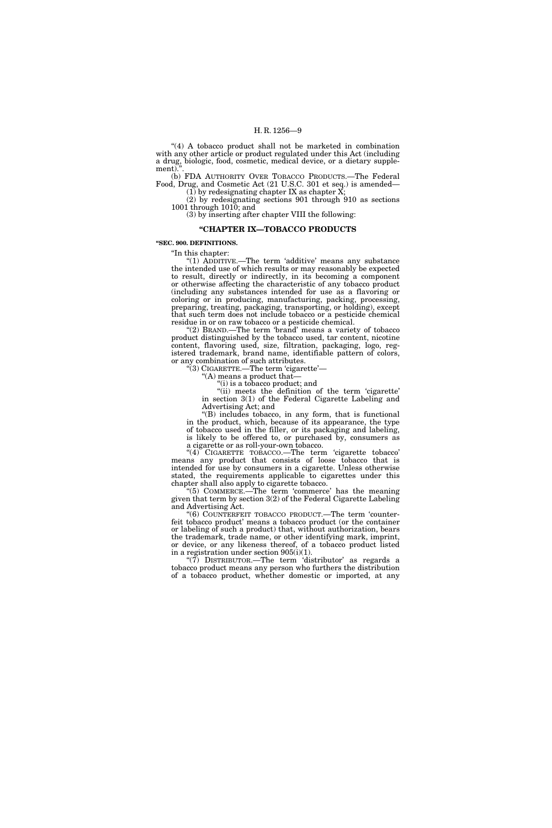''(4) A tobacco product shall not be marketed in combination with any other article or product regulated under this Act (including a drug, biologic, food, cosmetic, medical device, or a dietary supplement).

(b) FDA AUTHORITY OVER TOBACCO PRODUCTS.—The Federal Food, Drug, and Cosmetic Act (21 U.S.C. 301 et seq.) is amended—  $(1)$  by redesignating chapter IX as chapter X

 $(2)$  by redesignating sections 901 through 910 as sections

1001 through 1010; and

(3) by inserting after chapter VIII the following:

#### **''CHAPTER IX—TOBACCO PRODUCTS**

#### **''SEC. 900. DEFINITIONS.**

''In this chapter:

"(1) ADDITIVE.—The term 'additive' means any substance the intended use of which results or may reasonably be expected to result, directly or indirectly, in its becoming a component or otherwise affecting the characteristic of any tobacco product (including any substances intended for use as a flavoring or coloring or in producing, manufacturing, packing, processing, preparing, treating, packaging, transporting, or holding), except that such term does not include tobacco or a pesticide chemical residue in or on raw tobacco or a pesticide chemical.

"(2) BRAND.—The term 'brand' means a variety of tobacco product distinguished by the tobacco used, tar content, nicotine content, flavoring used, size, filtration, packaging, logo, registered trademark, brand name, identifiable pattern of colors, or any combination of such attributes.

''(3) CIGARETTE.—The term 'cigarette'—

''(A) means a product that— ''(i) is a tobacco product; and

"(ii) meets the definition of the term 'cigarette'

in section 3(1) of the Federal Cigarette Labeling and Advertising Act; and

''(B) includes tobacco, in any form, that is functional in the product, which, because of its appearance, the type of tobacco used in the filler, or its packaging and labeling, is likely to be offered to, or purchased by, consumers as a cigarette or as roll-your-own tobacco.

"(4) CIGARETTE TOBACCO.—The term 'cigarette tobacco' means any product that consists of loose tobacco that is intended for use by consumers in a cigarette. Unless otherwise stated, the requirements applicable to cigarettes under this chapter shall also apply to cigarette tobacco.

''(5) COMMERCE.—The term 'commerce' has the meaning given that term by section 3(2) of the Federal Cigarette Labeling and Advertising Act.

''(6) COUNTERFEIT TOBACCO PRODUCT.—The term 'counterfeit tobacco product' means a tobacco product (or the container or labeling of such a product) that, without authorization, bears the trademark, trade name, or other identifying mark, imprint, or device, or any likeness thereof, of a tobacco product listed in a registration under section 905(i)(1).

"(7) DISTRIBUTOR.—The term 'distributor' as regards a tobacco product means any person who furthers the distribution of a tobacco product, whether domestic or imported, at any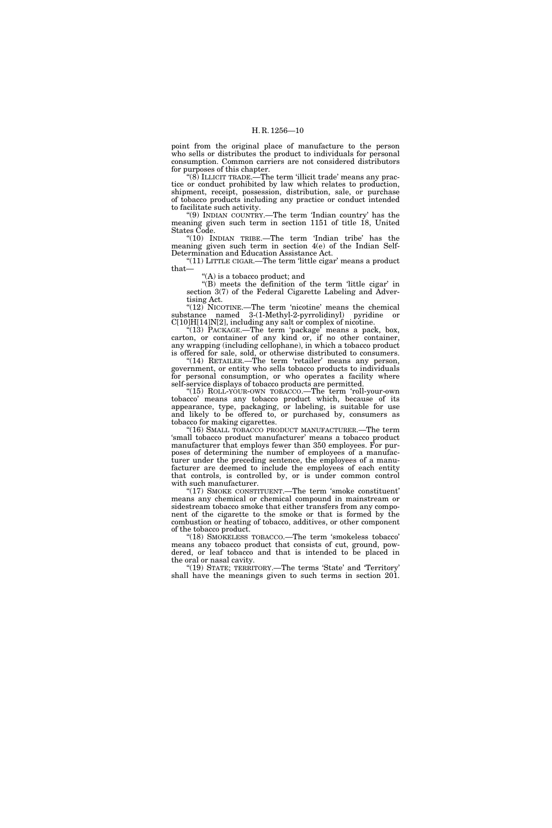point from the original place of manufacture to the person who sells or distributes the product to individuals for personal consumption. Common carriers are not considered distributors for purposes of this chapter.

"(8) ILLICIT TRADE.—The term 'illicit trade' means any practice or conduct prohibited by law which relates to production, shipment, receipt, possession, distribution, sale, or purchase of tobacco products including any practice or conduct intended to facilitate such activity.

"(9) INDIAN COUNTRY.—The term 'Indian country' has the meaning given such term in section 1151 of title 18, United States Code.

"(10) INDIAN TRIBE.—The term 'Indian tribe' has the meaning given such term in section 4(e) of the Indian Self-Determination and Education Assistance Act.

"(11) LITTLE CIGAR.—The term 'little cigar' means a product that—

 $(A)$  is a tobacco product; and

''(B) meets the definition of the term 'little cigar' in section 3(7) of the Federal Cigarette Labeling and Advertising Act.

" $(12)$  NICOTINE.—The term 'nicotine' means the chemical substance named 3-(1-Methyl-2-pyrrolidinyl) pyridine or C[10]H[14]N[2], including any salt or complex of nicotine.

"(13) PACKAGE.—The term 'package' means a pack, box, carton, or container of any kind or, if no other container, any wrapping (including cellophane), in which a tobacco product is offered for sale, sold, or otherwise distributed to consumers.

"(14) RETAILER.—The term 'retailer' means any person, government, or entity who sells tobacco products to individuals for personal consumption, or who operates a facility where self-service displays of tobacco products are permitted.

"(15) ROLL-YOUR-OWN TOBACCO.—The term 'roll-your-own tobacco' means any tobacco product which, because of its appearance, type, packaging, or labeling, is suitable for use and likely to be offered to, or purchased by, consumers as tobacco for making cigarettes.

"(16) SMALL TOBACCO PRODUCT MANUFACTURER.—The term 'small tobacco product manufacturer' means a tobacco product manufacturer that employs fewer than 350 employees. For purposes of determining the number of employees of a manufacturer under the preceding sentence, the employees of a manufacturer are deemed to include the employees of each entity that controls, is controlled by, or is under common control with such manufacturer.

''(17) SMOKE CONSTITUENT.—The term 'smoke constituent' means any chemical or chemical compound in mainstream or sidestream tobacco smoke that either transfers from any component of the cigarette to the smoke or that is formed by the combustion or heating of tobacco, additives, or other component of the tobacco product.

"(18) SMOKELESS TOBACCO.—The term 'smokeless tobacco' means any tobacco product that consists of cut, ground, powdered, or leaf tobacco and that is intended to be placed in the oral or nasal cavity.

''(19) STATE; TERRITORY.—The terms 'State' and 'Territory' shall have the meanings given to such terms in section 201.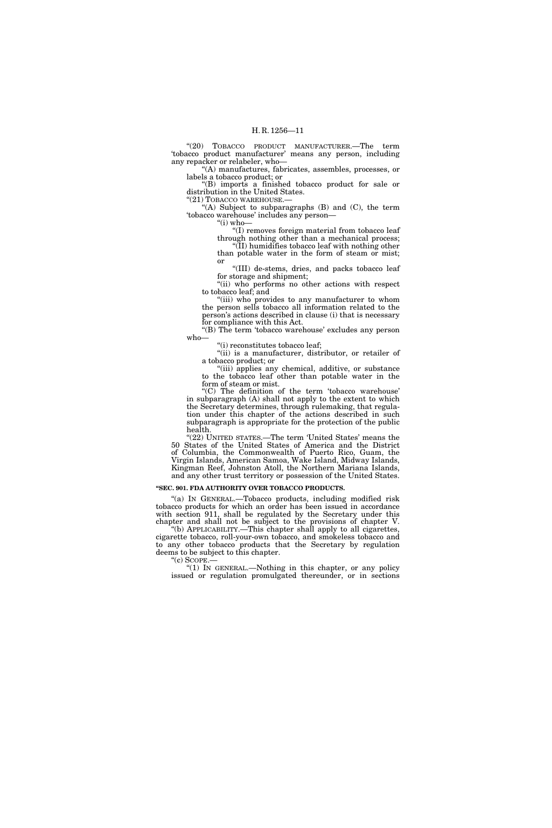"(20) TOBACCO PRODUCT MANUFACTURER.—The term 'tobacco product manufacturer' means any person, including any repacker or relabeler, who—

''(A) manufactures, fabricates, assembles, processes, or labels a tobacco product; or

''(B) imports a finished tobacco product for sale or distribution in the United States.

''(21) TOBACCO WAREHOUSE.—

"(A) Subject to subparagraphs  $(B)$  and  $(C)$ , the term 'tobacco warehouse' includes any person—

''(i) who— ''(I) removes foreign material from tobacco leaf through nothing other than a mechanical process; ''(II) humidifies tobacco leaf with nothing other than potable water in the form of steam or mist; or

''(III) de-stems, dries, and packs tobacco leaf for storage and shipment;

"(ii) who performs no other actions with respect to tobacco leaf; and

''(iii) who provides to any manufacturer to whom the person sells tobacco all information related to the person's actions described in clause (i) that is necessary for compliance with this Act.

''(B) The term 'tobacco warehouse' excludes any person who—

''(i) reconstitutes tobacco leaf;

"(ii) is a manufacturer, distributor, or retailer of a tobacco product; or

''(iii) applies any chemical, additive, or substance to the tobacco leaf other than potable water in the form of steam or mist.

''(C) The definition of the term 'tobacco warehouse' in subparagraph (A) shall not apply to the extent to which the Secretary determines, through rulemaking, that regulation under this chapter of the actions described in such subparagraph is appropriate for the protection of the public health.

"(22) UNITED STATES.—The term 'United States' means the 50 States of the United States of America and the District of Columbia, the Commonwealth of Puerto Rico, Guam, the Virgin Islands, American Samoa, Wake Island, Midway Islands, Kingman Reef, Johnston Atoll, the Northern Mariana Islands, and any other trust territory or possession of the United States.

#### **''SEC. 901. FDA AUTHORITY OVER TOBACCO PRODUCTS.**

"(a) IN GENERAL.—Tobacco products, including modified risk tobacco products for which an order has been issued in accordance with section 911, shall be regulated by the Secretary under this chapter and shall not be subject to the provisions of chapter V.

''(b) APPLICABILITY.—This chapter shall apply to all cigarettes, cigarette tobacco, roll-your-own tobacco, and smokeless tobacco and to any other tobacco products that the Secretary by regulation deems to be subject to this chapter.

"(c) SCOPE.—<br>"(1) IN GENERAL.—Nothing in this chapter, or any policy issued or regulation promulgated thereunder, or in sections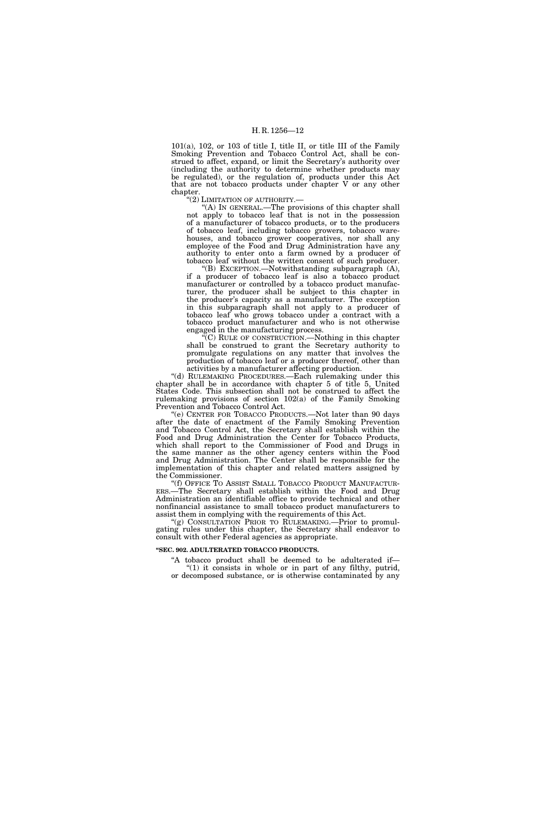101(a), 102, or 103 of title I, title II, or title III of the Family Smoking Prevention and Tobacco Control Act, shall be construed to affect, expand, or limit the Secretary's authority over (including the authority to determine whether products may be regulated), or the regulation of, products under this Act that are not tobacco products under chapter V or any other chapter.

''(2) LIMITATION OF AUTHORITY.—

"(A) In GENERAL.—The provisions of this chapter shall not apply to tobacco leaf that is not in the possession of a manufacturer of tobacco products, or to the producers of tobacco leaf, including tobacco growers, tobacco warehouses, and tobacco grower cooperatives, nor shall any employee of the Food and Drug Administration have any authority to enter onto a farm owned by a producer of tobacco leaf without the written consent of such producer.

''(B) EXCEPTION.—Notwithstanding subparagraph (A), if a producer of tobacco leaf is also a tobacco product manufacturer or controlled by a tobacco product manufacturer, the producer shall be subject to this chapter in the producer's capacity as a manufacturer. The exception in this subparagraph shall not apply to a producer of tobacco leaf who grows tobacco under a contract with a tobacco product manufacturer and who is not otherwise engaged in the manufacturing process.

 $\widetilde{C}(C)$  RULE OF CONSTRUCTION.—Nothing in this chapter shall be construed to grant the Secretary authority to promulgate regulations on any matter that involves the production of tobacco leaf or a producer thereof, other than activities by a manufacturer affecting production.

"(d) RULEMAKING PROCEDURES.—Each rulemaking under this chapter shall be in accordance with chapter 5 of title 5, United States Code. This subsection shall not be construed to affect the rulemaking provisions of section 102(a) of the Family Smoking Prevention and Tobacco Control Act.

''(e) CENTER FOR TOBACCO PRODUCTS.—Not later than 90 days after the date of enactment of the Family Smoking Prevention and Tobacco Control Act, the Secretary shall establish within the Food and Drug Administration the Center for Tobacco Products, which shall report to the Commissioner of Food and Drugs in the same manner as the other agency centers within the Food and Drug Administration. The Center shall be responsible for the implementation of this chapter and related matters assigned by the Commissioner.

"(f) OFFICE TO ASSIST SMALL TOBACCO PRODUCT MANUFACTUR-ERS.—The Secretary shall establish within the Food and Drug Administration an identifiable office to provide technical and other nonfinancial assistance to small tobacco product manufacturers to assist them in complying with the requirements of this Act.

''(g) CONSULTATION PRIOR TO RULEMAKING.—Prior to promulgating rules under this chapter, the Secretary shall endeavor to consult with other Federal agencies as appropriate.

# **''SEC. 902. ADULTERATED TOBACCO PRODUCTS.**

''A tobacco product shall be deemed to be adulterated if  $f(1)$  it consists in whole or in part of any filthy, putrid, or decomposed substance, or is otherwise contaminated by any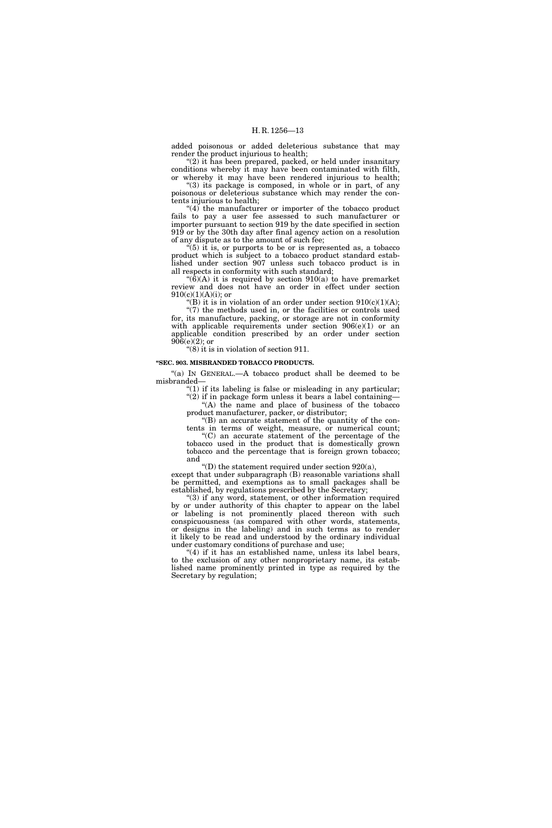added poisonous or added deleterious substance that may render the product injurious to health;

''(2) it has been prepared, packed, or held under insanitary conditions whereby it may have been contaminated with filth, or whereby it may have been rendered injurious to health;

''(3) its package is composed, in whole or in part, of any poisonous or deleterious substance which may render the contents injurious to health;

"(4) the manufacturer or importer of the tobacco product fails to pay a user fee assessed to such manufacturer or importer pursuant to section 919 by the date specified in section 919 or by the 30th day after final agency action on a resolution of any dispute as to the amount of such fee;

 $(5)$  it is, or purports to be or is represented as, a tobacco product which is subject to a tobacco product standard established under section 907 unless such tobacco product is in all respects in conformity with such standard;

 $\mathcal{F}(\hat{\mathbf{6}})(A)$  it is required by section 910(a) to have premarket review and does not have an order in effect under section  $910(c)(1)(A)(i)$ ; or

"(B) it is in violation of an order under section  $910(c)(1)(A);$  $!(7)$  the methods used in, or the facilities or controls used

for, its manufacture, packing, or storage are not in conformity with applicable requirements under section 906(e)(1) or an applicable condition prescribed by an order under section  $906(e)(2)$ ; or

''(8) it is in violation of section 911.

# **''SEC. 903. MISBRANDED TOBACCO PRODUCTS.**

"(a) IN GENERAL.—A tobacco product shall be deemed to be misbranded—

" $(1)$  if its labeling is false or misleading in any particular; " $(2)$  if in package form unless it bears a label containing-

"(A) the name and place of business of the tobacco" product manufacturer, packer, or distributor;

''(B) an accurate statement of the quantity of the contents in terms of weight, measure, or numerical count;  $(C)$  an accurate statement of the percentage of the

tobacco used in the product that is domestically grown tobacco and the percentage that is foreign grown tobacco; and

"(D) the statement required under section  $920(a)$ ,

except that under subparagraph (B) reasonable variations shall be permitted, and exemptions as to small packages shall be established, by regulations prescribed by the Secretary;

"(3) if any word, statement, or other information required by or under authority of this chapter to appear on the label or labeling is not prominently placed thereon with such conspicuousness (as compared with other words, statements, or designs in the labeling) and in such terms as to render it likely to be read and understood by the ordinary individual under customary conditions of purchase and use;

" $(4)$  if it has an established name, unless its label bears, to the exclusion of any other nonproprietary name, its established name prominently printed in type as required by the Secretary by regulation;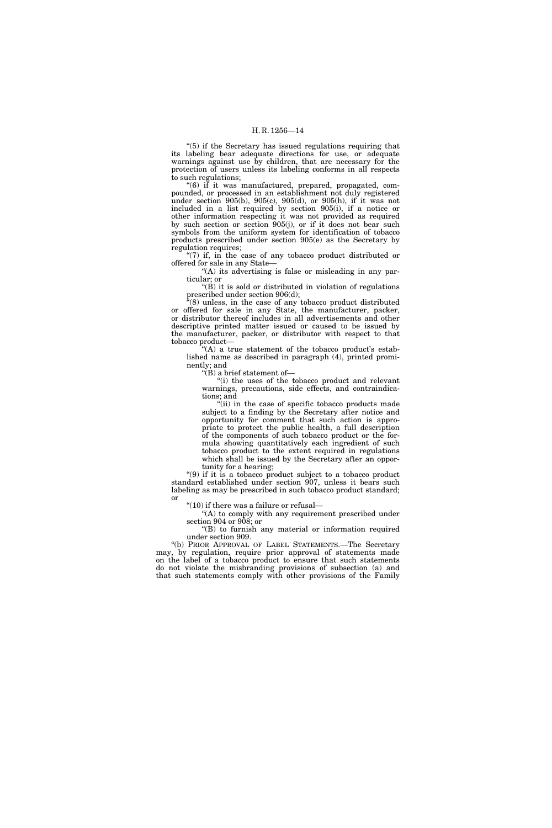"(5) if the Secretary has issued regulations requiring that its labeling bear adequate directions for use, or adequate warnings against use by children, that are necessary for the protection of users unless its labeling conforms in all respects to such regulations;

''(6) if it was manufactured, prepared, propagated, compounded, or processed in an establishment not duly registered under section 905(b), 905(c), 905(d), or 905(h), if it was not included in a list required by section 905(i), if a notice or other information respecting it was not provided as required by such section or section 905(j), or if it does not bear such symbols from the uniform system for identification of tobacco products prescribed under section 905(e) as the Secretary by regulation requires;

" $(7)$  if, in the case of any tobacco product distributed or offered for sale in any State—

''(A) its advertising is false or misleading in any particular; or

" $(B)$  it is sold or distributed in violation of regulations prescribed under section 906(d);

 $(8)$  unless, in the case of any tobacco product distributed or offered for sale in any State, the manufacturer, packer, or distributor thereof includes in all advertisements and other descriptive printed matter issued or caused to be issued by the manufacturer, packer, or distributor with respect to that tobacco product—

 $(A)$  a true statement of the tobacco product's established name as described in paragraph (4), printed prominently; and

" $(B)$  a brief statement of —

"(i) the uses of the tobacco product and relevant warnings, precautions, side effects, and contraindications; and

''(ii) in the case of specific tobacco products made subject to a finding by the Secretary after notice and opportunity for comment that such action is appropriate to protect the public health, a full description of the components of such tobacco product or the formula showing quantitatively each ingredient of such tobacco product to the extent required in regulations which shall be issued by the Secretary after an opportunity for a hearing;

" $(9)$  if it is a tobacco product subject to a tobacco product standard established under section 907, unless it bears such labeling as may be prescribed in such tobacco product standard; or

''(10) if there was a failure or refusal—

''(A) to comply with any requirement prescribed under section 904 or 908; or

''(B) to furnish any material or information required under section 909.

''(b) PRIOR APPROVAL OF LABEL STATEMENTS.—The Secretary may, by regulation, require prior approval of statements made on the label of a tobacco product to ensure that such statements do not violate the misbranding provisions of subsection (a) and that such statements comply with other provisions of the Family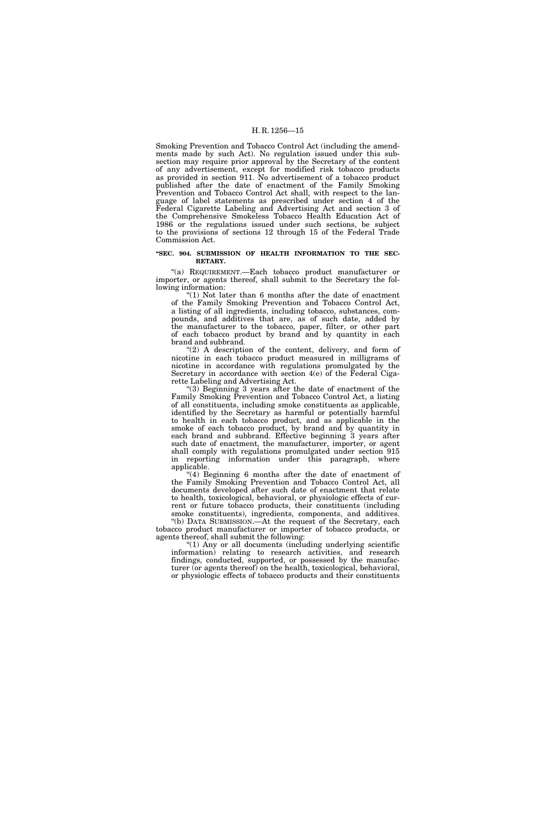Smoking Prevention and Tobacco Control Act (including the amendments made by such Act). No regulation issued under this subsection may require prior approval by the Secretary of the content of any advertisement, except for modified risk tobacco products as provided in section 911. No advertisement of a tobacco product published after the date of enactment of the Family Smoking Prevention and Tobacco Control Act shall, with respect to the language of label statements as prescribed under section 4 of the Federal Cigarette Labeling and Advertising Act and section 3 of the Comprehensive Smokeless Tobacco Health Education Act of 1986 or the regulations issued under such sections, be subject to the provisions of sections 12 through 15 of the Federal Trade Commission Act.

#### **''SEC. 904. SUBMISSION OF HEALTH INFORMATION TO THE SEC-RETARY.**

''(a) REQUIREMENT.—Each tobacco product manufacturer or importer, or agents thereof, shall submit to the Secretary the following information:

" $(1)$  Not later than 6 months after the date of enactment of the Family Smoking Prevention and Tobacco Control Act, a listing of all ingredients, including tobacco, substances, compounds, and additives that are, as of such date, added by the manufacturer to the tobacco, paper, filter, or other part of each tobacco product by brand and by quantity in each brand and subbrand.

 $(2)$  A description of the content, delivery, and form of nicotine in each tobacco product measured in milligrams of nicotine in accordance with regulations promulgated by the Secretary in accordance with section  $4(e)$  of the Federal Cigarette Labeling and Advertising Act.

''(3) Beginning 3 years after the date of enactment of the Family Smoking Prevention and Tobacco Control Act, a listing of all constituents, including smoke constituents as applicable, identified by the Secretary as harmful or potentially harmful to health in each tobacco product, and as applicable in the smoke of each tobacco product, by brand and by quantity in each brand and subbrand. Effective beginning 3 years after such date of enactment, the manufacturer, importer, or agent shall comply with regulations promulgated under section 915 in reporting information under this paragraph, where applicable.

 $(4)$  Beginning 6 months after the date of enactment of the Family Smoking Prevention and Tobacco Control Act, all documents developed after such date of enactment that relate to health, toxicological, behavioral, or physiologic effects of current or future tobacco products, their constituents (including smoke constituents), ingredients, components, and additives. ''(b) DATA SUBMISSION.—At the request of the Secretary, each

tobacco product manufacturer or importer of tobacco products, or agents thereof, shall submit the following:

''(1) Any or all documents (including underlying scientific information) relating to research activities, and research findings, conducted, supported, or possessed by the manufacturer (or agents thereof) on the health, toxicological, behavioral, or physiologic effects of tobacco products and their constituents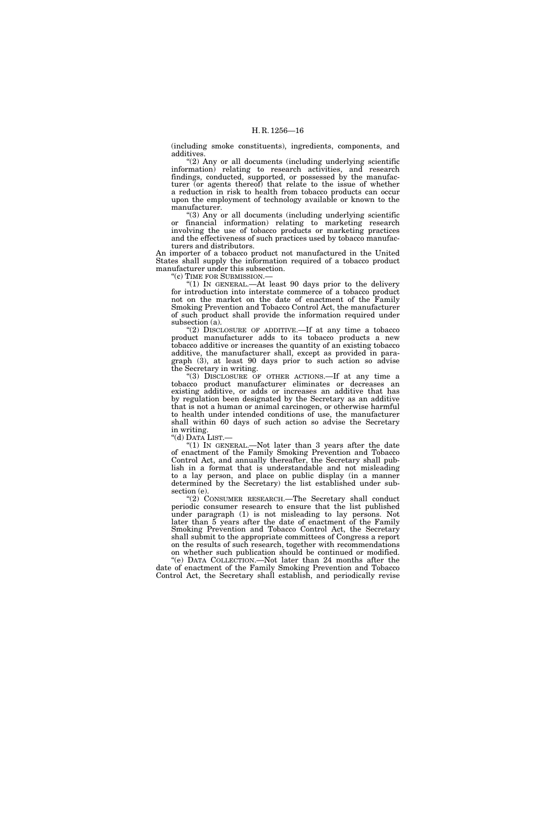(including smoke constituents), ingredients, components, and additives.

 $\degree$ (2) Any or all documents (including underlying scientific information) relating to research activities, and research findings, conducted, supported, or possessed by the manufacturer (or agents thereof) that relate to the issue of whether a reduction in risk to health from tobacco products can occur upon the employment of technology available or known to the manufacturer.

''(3) Any or all documents (including underlying scientific or financial information) relating to marketing research involving the use of tobacco products or marketing practices and the effectiveness of such practices used by tobacco manufacturers and distributors.

An importer of a tobacco product not manufactured in the United States shall supply the information required of a tobacco product manufacturer under this subsection.

"(c) TIME FOR SUBMISSION.-

''(1) IN GENERAL.—At least 90 days prior to the delivery for introduction into interstate commerce of a tobacco product not on the market on the date of enactment of the Family Smoking Prevention and Tobacco Control Act, the manufacturer of such product shall provide the information required under subsection (a).

" $(2)$  DISCLOSURE OF ADDITIVE.—If at any time a tobacco product manufacturer adds to its tobacco products a new tobacco additive or increases the quantity of an existing tobacco additive, the manufacturer shall, except as provided in paragraph (3), at least 90 days prior to such action so advise the Secretary in writing.

"(3) DISCLOSURE OF OTHER ACTIONS.—If at any time a tobacco product manufacturer eliminates or decreases an existing additive, or adds or increases an additive that has by regulation been designated by the Secretary as an additive that is not a human or animal carcinogen, or otherwise harmful to health under intended conditions of use, the manufacturer shall within 60 days of such action so advise the Secretary in writing.

''(d) DATA LIST.—

" $(1)$  In GENERAL.—Not later than 3 years after the date of enactment of the Family Smoking Prevention and Tobacco Control Act, and annually thereafter, the Secretary shall publish in a format that is understandable and not misleading to a lay person, and place on public display (in a manner determined by the Secretary) the list established under subsection (e).

"(2) CONSUMER RESEARCH.—The Secretary shall conduct periodic consumer research to ensure that the list published under paragraph (1) is not misleading to lay persons. Not later than 5 years after the date of enactment of the Family Smoking Prevention and Tobacco Control Act, the Secretary shall submit to the appropriate committees of Congress a report on the results of such research, together with recommendations on whether such publication should be continued or modified.

''(e) DATA COLLECTION.—Not later than 24 months after the date of enactment of the Family Smoking Prevention and Tobacco Control Act, the Secretary shall establish, and periodically revise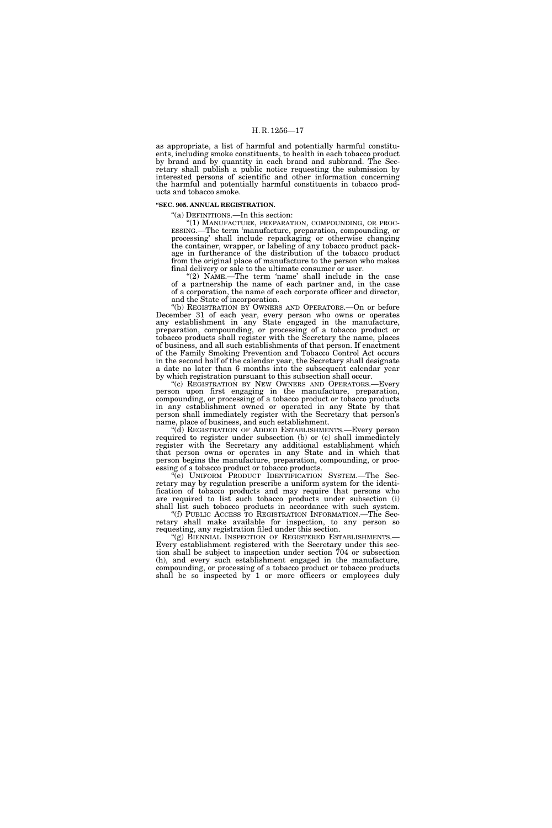as appropriate, a list of harmful and potentially harmful constituents, including smoke constituents, to health in each tobacco product by brand and by quantity in each brand and subbrand. The Secretary shall publish a public notice requesting the submission by interested persons of scientific and other information concerning the harmful and potentially harmful constituents in tobacco products and tobacco smoke.

#### **''SEC. 905. ANNUAL REGISTRATION.**

## ''(a) DEFINITIONS.—In this section:

''(1) MANUFACTURE, PREPARATION, COMPOUNDING, OR PROC-ESSING.—The term 'manufacture, preparation, compounding, or processing' shall include repackaging or otherwise changing the container, wrapper, or labeling of any tobacco product package in furtherance of the distribution of the tobacco product from the original place of manufacture to the person who makes final delivery or sale to the ultimate consumer or user.

''(2) NAME.—The term 'name' shall include in the case of a partnership the name of each partner and, in the case of a corporation, the name of each corporate officer and director, and the State of incorporation.

''(b) REGISTRATION BY OWNERS AND OPERATORS.—On or before December 31 of each year, every person who owns or operates any establishment in any State engaged in the manufacture, preparation, compounding, or processing of a tobacco product or tobacco products shall register with the Secretary the name, places of business, and all such establishments of that person. If enactment of the Family Smoking Prevention and Tobacco Control Act occurs in the second half of the calendar year, the Secretary shall designate a date no later than 6 months into the subsequent calendar year by which registration pursuant to this subsection shall occur.

''(c) REGISTRATION BY NEW OWNERS AND OPERATORS.—Every person upon first engaging in the manufacture, preparation, compounding, or processing of a tobacco product or tobacco products in any establishment owned or operated in any State by that person shall immediately register with the Secretary that person's name, place of business, and such establishment.

''(d) REGISTRATION OF ADDED ESTABLISHMENTS.—Every person required to register under subsection (b) or (c) shall immediately register with the Secretary any additional establishment which that person owns or operates in any State and in which that person begins the manufacture, preparation, compounding, or processing of a tobacco product or tobacco products.

'(e) UNIFORM PRODUCT IDENTIFICATION SYSTEM.—The Secretary may by regulation prescribe a uniform system for the identification of tobacco products and may require that persons who are required to list such tobacco products under subsection (i) shall list such tobacco products in accordance with such system.

''(f) PUBLIC ACCESS TO REGISTRATION INFORMATION.—The Secretary shall make available for inspection, to any person so requesting, any registration filed under this section.<br>"(g) BIENNIAL INSPECTION OF REGISTERED ESTABLISHMENTS.—

Every establishment registered with the Secretary under this section shall be subject to inspection under section 704 or subsection (h), and every such establishment engaged in the manufacture, compounding, or processing of a tobacco product or tobacco products shall be so inspected by 1 or more officers or employees duly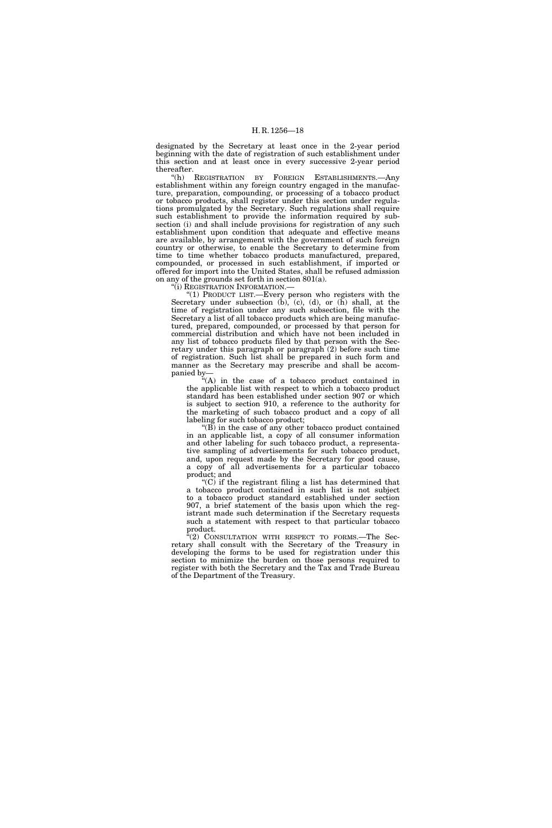designated by the Secretary at least once in the 2-year period beginning with the date of registration of such establishment under this section and at least once in every successive 2-year period thereafter.

''(h) REGISTRATION BY FOREIGN ESTABLISHMENTS.—Any establishment within any foreign country engaged in the manufacture, preparation, compounding, or processing of a tobacco product or tobacco products, shall register under this section under regulations promulgated by the Secretary. Such regulations shall require such establishment to provide the information required by subsection (i) and shall include provisions for registration of any such establishment upon condition that adequate and effective means are available, by arrangement with the government of such foreign country or otherwise, to enable the Secretary to determine from time to time whether tobacco products manufactured, prepared, compounded, or processed in such establishment, if imported or offered for import into the United States, shall be refused admission on any of the grounds set forth in section 801(a).

''(i) REGISTRATION INFORMATION.—

''(1) PRODUCT LIST.—Every person who registers with the Secretary under subsection (b), (c), (d), or (h) shall, at the time of registration under any such subsection, file with the Secretary a list of all tobacco products which are being manufactured, prepared, compounded, or processed by that person for commercial distribution and which have not been included in any list of tobacco products filed by that person with the Secretary under this paragraph or paragraph (2) before such time of registration. Such list shall be prepared in such form and manner as the Secretary may prescribe and shall be accompanied by—

 $C''(A)$  in the case of a tobacco product contained in the applicable list with respect to which a tobacco product standard has been established under section 907 or which is subject to section 910, a reference to the authority for the marketing of such tobacco product and a copy of all labeling for such tobacco product;

 $\mathrm{H}(B)$  in the case of any other tobacco product contained in an applicable list, a copy of all consumer information and other labeling for such tobacco product, a representative sampling of advertisements for such tobacco product, and, upon request made by the Secretary for good cause, a copy of all advertisements for a particular tobacco product; and

 $(C)$  if the registrant filing a list has determined that a tobacco product contained in such list is not subject to a tobacco product standard established under section 907, a brief statement of the basis upon which the registrant made such determination if the Secretary requests such a statement with respect to that particular tobacco product.

"(2) CONSULTATION WITH RESPECT TO FORMS.—The Secretary shall consult with the Secretary of the Treasury in developing the forms to be used for registration under this section to minimize the burden on those persons required to register with both the Secretary and the Tax and Trade Bureau of the Department of the Treasury.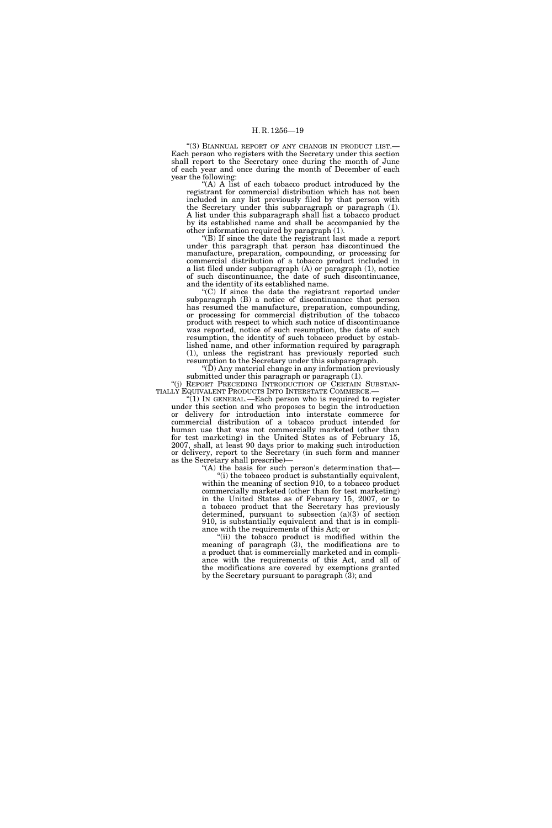''(3) BIANNUAL REPORT OF ANY CHANGE IN PRODUCT LIST.— Each person who registers with the Secretary under this section shall report to the Secretary once during the month of June of each year and once during the month of December of each year the following:

''(A) A list of each tobacco product introduced by the registrant for commercial distribution which has not been included in any list previously filed by that person with the Secretary under this subparagraph or paragraph (1). A list under this subparagraph shall list a tobacco product by its established name and shall be accompanied by the other information required by paragraph (1).

''(B) If since the date the registrant last made a report under this paragraph that person has discontinued the manufacture, preparation, compounding, or processing for commercial distribution of a tobacco product included in a list filed under subparagraph (A) or paragraph (1), notice of such discontinuance, the date of such discontinuance, and the identity of its established name.

''(C) If since the date the registrant reported under subparagraph (B) a notice of discontinuance that person has resumed the manufacture, preparation, compounding, or processing for commercial distribution of the tobacco product with respect to which such notice of discontinuance was reported, notice of such resumption, the date of such resumption, the identity of such tobacco product by established name, and other information required by paragraph (1), unless the registrant has previously reported such resumption to the Secretary under this subparagraph.

''(D) Any material change in any information previously submitted under this paragraph or paragraph (1).

"(j) REPORT PRECEDING INTRODUCTION OF CERTAIN SUBSTANTIALLY EQUIVALENT PRODUCTS INTO INTERSTATE COMMERCE.—

 $T(1)$  In GENERAL.—Each person who is required to register under this section and who proposes to begin the introduction or delivery for introduction into interstate commerce for commercial distribution of a tobacco product intended for human use that was not commercially marketed (other than for test marketing) in the United States as of February 15, 2007, shall, at least 90 days prior to making such introduction or delivery, report to the Secretary (in such form and manner as the Secretary shall prescribe)—

"(A) the basis for such person's determination that- $(i)$  the tobacco product is substantially equivalent, within the meaning of section 910, to a tobacco product commercially marketed (other than for test marketing) in the United States as of February 15, 2007, or to a tobacco product that the Secretary has previously determined, pursuant to subsection (a)(3) of section 910, is substantially equivalent and that is in compliance with the requirements of this Act; or

''(ii) the tobacco product is modified within the meaning of paragraph (3), the modifications are to a product that is commercially marketed and in compliance with the requirements of this Act, and all of the modifications are covered by exemptions granted by the Secretary pursuant to paragraph (3); and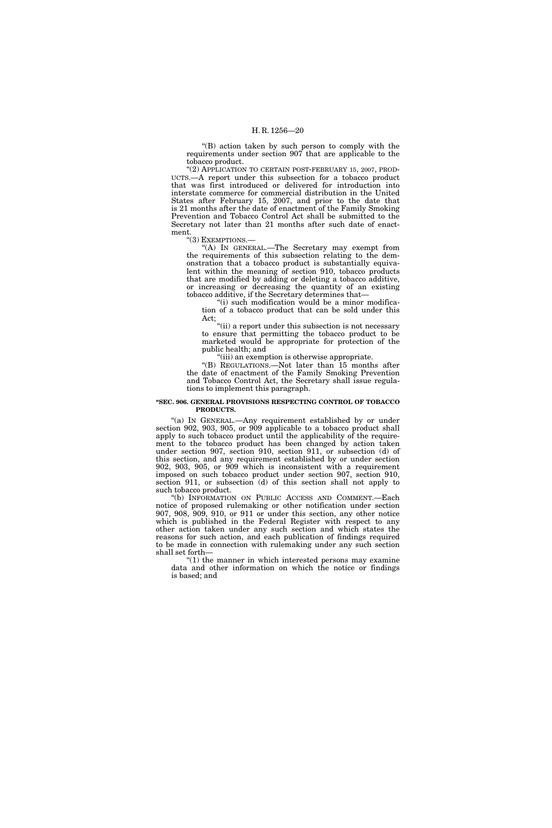''(B) action taken by such person to comply with the requirements under section 907 that are applicable to the tobacco product.

''(2) APPLICATION TO CERTAIN POST-FEBRUARY 15, 2007, PROD-UCTS.—A report under this subsection for a tobacco product that was first introduced or delivered for introduction into interstate commerce for commercial distribution in the United States after February 15, 2007, and prior to the date that is 21 months after the date of enactment of the Family Smoking Prevention and Tobacco Control Act shall be submitted to the Secretary not later than 21 months after such date of enactment.

"(3) EXEMPTIONS.-

''(A) IN GENERAL.—The Secretary may exempt from the requirements of this subsection relating to the demonstration that a tobacco product is substantially equivalent within the meaning of section 910, tobacco products that are modified by adding or deleting a tobacco additive, or increasing or decreasing the quantity of an existing tobacco additive, if the Secretary determines that—

''(i) such modification would be a minor modification of a tobacco product that can be sold under this Act;

"(ii) a report under this subsection is not necessary to ensure that permitting the tobacco product to be marketed would be appropriate for protection of the public health; and

''(iii) an exemption is otherwise appropriate.

''(B) REGULATIONS.—Not later than 15 months after the date of enactment of the Family Smoking Prevention and Tobacco Control Act, the Secretary shall issue regulations to implement this paragraph.

#### **''SEC. 906. GENERAL PROVISIONS RESPECTING CONTROL OF TOBACCO PRODUCTS.**

"(a) In GENERAL.—Any requirement established by or under section 902, 903, 905, or 909 applicable to a tobacco product shall apply to such tobacco product until the applicability of the requirement to the tobacco product has been changed by action taken under section 907, section 910, section 911, or subsection (d) of this section, and any requirement established by or under section 902, 903, 905, or 909 which is inconsistent with a requirement imposed on such tobacco product under section 907, section 910, section 911, or subsection (d) of this section shall not apply to such tobacco product.

''(b) INFORMATION ON PUBLIC ACCESS AND COMMENT.—Each notice of proposed rulemaking or other notification under section 907, 908, 909, 910, or 911 or under this section, any other notice which is published in the Federal Register with respect to any other action taken under any such section and which states the reasons for such action, and each publication of findings required to be made in connection with rulemaking under any such section shall set forth—

 $''(1)$  the manner in which interested persons may examine data and other information on which the notice or findings is based; and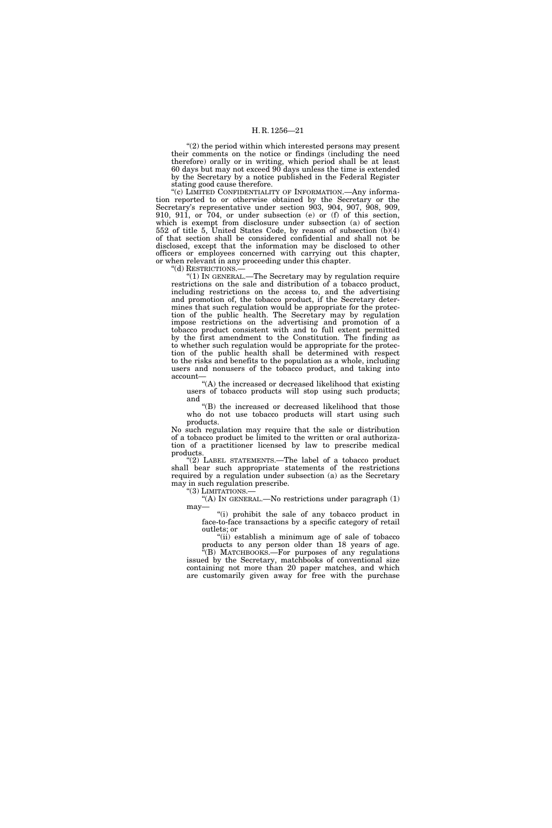''(2) the period within which interested persons may present their comments on the notice or findings (including the need therefore) orally or in writing, which period shall be at least 60 days but may not exceed 90 days unless the time is extended by the Secretary by a notice published in the Federal Register stating good cause therefore.

''(c) LIMITED CONFIDENTIALITY OF INFORMATION.—Any information reported to or otherwise obtained by the Secretary or the Secretary's representative under section 903, 904, 907, 908, 909, 910, 911, or 704, or under subsection (e) or (f) of this section, which is exempt from disclosure under subsection (a) of section 552 of title 5, United States Code, by reason of subsection (b)(4) of that section shall be considered confidential and shall not be disclosed, except that the information may be disclosed to other officers or employees concerned with carrying out this chapter, or when relevant in any proceeding under this chapter.

''(d) RESTRICTIONS.—

''(1) IN GENERAL.—The Secretary may by regulation require restrictions on the sale and distribution of a tobacco product, including restrictions on the access to, and the advertising and promotion of, the tobacco product, if the Secretary determines that such regulation would be appropriate for the protection of the public health. The Secretary may by regulation impose restrictions on the advertising and promotion of a tobacco product consistent with and to full extent permitted by the first amendment to the Constitution. The finding as to whether such regulation would be appropriate for the protection of the public health shall be determined with respect to the risks and benefits to the population as a whole, including users and nonusers of the tobacco product, and taking into account—

"(A) the increased or decreased likelihood that existing users of tobacco products will stop using such products; and

''(B) the increased or decreased likelihood that those who do not use tobacco products will start using such products.

No such regulation may require that the sale or distribution of a tobacco product be limited to the written or oral authorization of a practitioner licensed by law to prescribe medical products.

''(2) LABEL STATEMENTS.—The label of a tobacco product shall bear such appropriate statements of the restrictions required by a regulation under subsection (a) as the Secretary may in such regulation prescribe.

''(3) LIMITATIONS.— ''(A) IN GENERAL.—No restrictions under paragraph (1) may—

''(i) prohibit the sale of any tobacco product in face-to-face transactions by a specific category of retail outlets; or

"(ii) establish a minimum age of sale of tobacco products to any person older than 18 years of age. ''(B) MATCHBOOKS.—For purposes of any regulations issued by the Secretary, matchbooks of conventional size

containing not more than 20 paper matches, and which are customarily given away for free with the purchase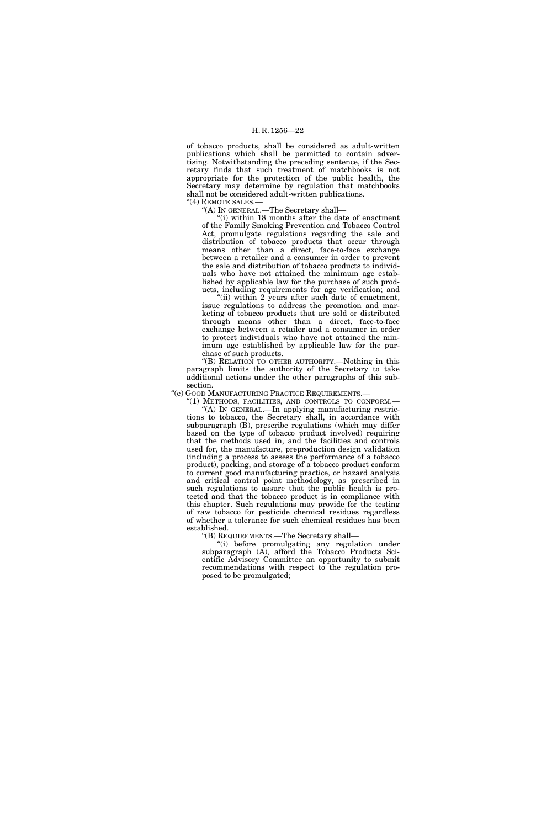of tobacco products, shall be considered as adult-written publications which shall be permitted to contain advertising. Notwithstanding the preceding sentence, if the Secretary finds that such treatment of matchbooks is not appropriate for the protection of the public health, the Secretary may determine by regulation that matchbooks shall not be considered adult-written publications.

"(4) REMOTE SALES.

''(A) IN GENERAL.—The Secretary shall—

''(i) within 18 months after the date of enactment of the Family Smoking Prevention and Tobacco Control Act, promulgate regulations regarding the sale and distribution of tobacco products that occur through means other than a direct, face-to-face exchange between a retailer and a consumer in order to prevent the sale and distribution of tobacco products to individuals who have not attained the minimum age established by applicable law for the purchase of such products, including requirements for age verification; and

"(ii) within 2 years after such date of enactment, issue regulations to address the promotion and marketing of tobacco products that are sold or distributed through means other than a direct, face-to-face exchange between a retailer and a consumer in order to protect individuals who have not attained the minimum age established by applicable law for the purchase of such products.

''(B) RELATION TO OTHER AUTHORITY.—Nothing in this paragraph limits the authority of the Secretary to take additional actions under the other paragraphs of this subsection.

''(e) GOOD MANUFACTURING PRACTICE REQUIREMENTS.—

"(1) METHODS, FACILITIES, AND CONTROLS TO CONFORM.-''(A) IN GENERAL.—In applying manufacturing restrictions to tobacco, the Secretary shall, in accordance with subparagraph (B), prescribe regulations (which may differ based on the type of tobacco product involved) requiring that the methods used in, and the facilities and controls used for, the manufacture, preproduction design validation (including a process to assess the performance of a tobacco product), packing, and storage of a tobacco product conform to current good manufacturing practice, or hazard analysis and critical control point methodology, as prescribed in such regulations to assure that the public health is protected and that the tobacco product is in compliance with this chapter. Such regulations may provide for the testing of raw tobacco for pesticide chemical residues regardless of whether a tolerance for such chemical residues has been established.

''(B) REQUIREMENTS.—The Secretary shall—

''(i) before promulgating any regulation under subparagraph (A), afford the Tobacco Products Scientific Advisory Committee an opportunity to submit recommendations with respect to the regulation proposed to be promulgated;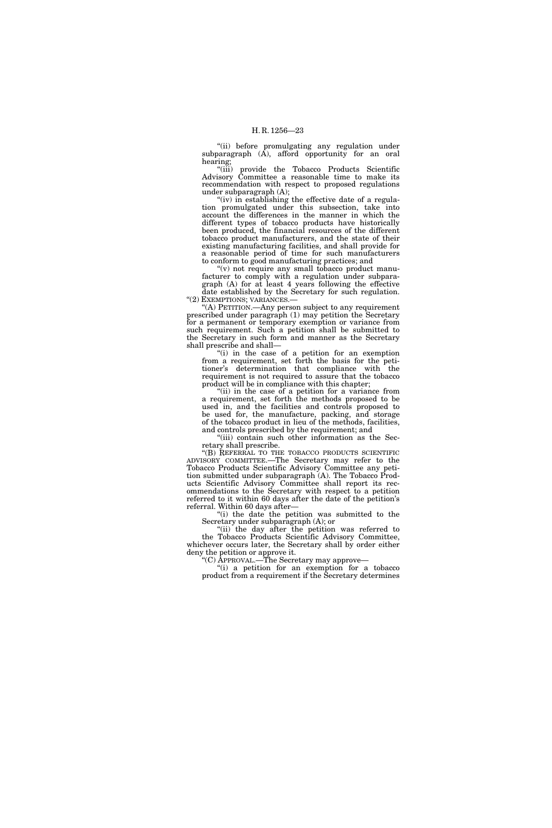"(ii) before promulgating any regulation under subparagraph  $(\hat{A})$ , afford opportunity for an oral hearing;

''(iii) provide the Tobacco Products Scientific Advisory Committee a reasonable time to make its recommendation with respect to proposed regulations under subparagraph (A);

" $(iv)$  in establishing the effective date of a regulation promulgated under this subsection, take into account the differences in the manner in which the different types of tobacco products have historically been produced, the financial resources of the different tobacco product manufacturers, and the state of their existing manufacturing facilities, and shall provide for a reasonable period of time for such manufacturers to conform to good manufacturing practices; and

''(v) not require any small tobacco product manufacturer to comply with a regulation under subparagraph (A) for at least 4 years following the effective date established by the Secretary for such regulation. ''(2) EXEMPTIONS; VARIANCES.—

''(A) PETITION.—Any person subject to any requirement prescribed under paragraph (1) may petition the Secretary for a permanent or temporary exemption or variance from such requirement. Such a petition shall be submitted to the Secretary in such form and manner as the Secretary shall prescribe and shall—

"(i) in the case of a petition for an exemption from a requirement, set forth the basis for the petitioner's determination that compliance with the requirement is not required to assure that the tobacco product will be in compliance with this chapter;

"(ii) in the case of a petition for a variance from a requirement, set forth the methods proposed to be used in, and the facilities and controls proposed to be used for, the manufacture, packing, and storage of the tobacco product in lieu of the methods, facilities, and controls prescribed by the requirement; and

"(iii) contain such other information as the Secretary shall prescribe.

''(B) REFERRAL TO THE TOBACCO PRODUCTS SCIENTIFIC ADVISORY COMMITTEE.—The Secretary may refer to the Tobacco Products Scientific Advisory Committee any petition submitted under subparagraph (A). The Tobacco Products Scientific Advisory Committee shall report its recommendations to the Secretary with respect to a petition referred to it within 60 days after the date of the petition's referral. Within 60 days after—

''(i) the date the petition was submitted to the Secretary under subparagraph (A); or

"(ii) the day after the petition was referred to the Tobacco Products Scientific Advisory Committee, whichever occurs later, the Secretary shall by order either deny the petition or approve it.

''(C) APPROVAL.—The Secretary may approve—

''(i) a petition for an exemption for a tobacco product from a requirement if the Secretary determines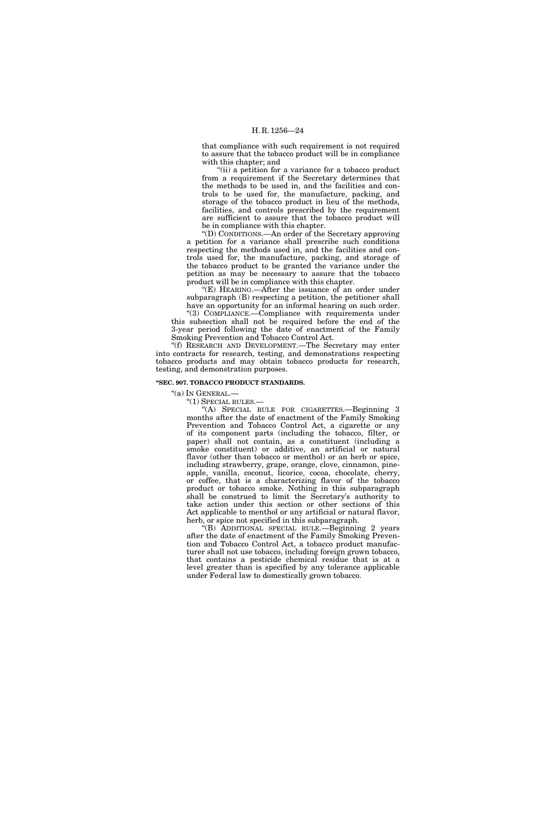that compliance with such requirement is not required to assure that the tobacco product will be in compliance with this chapter; and

"(ii) a petition for a variance for a tobacco product from a requirement if the Secretary determines that the methods to be used in, and the facilities and controls to be used for, the manufacture, packing, and storage of the tobacco product in lieu of the methods, facilities, and controls prescribed by the requirement are sufficient to assure that the tobacco product will be in compliance with this chapter.

''(D) CONDITIONS.—An order of the Secretary approving a petition for a variance shall prescribe such conditions respecting the methods used in, and the facilities and controls used for, the manufacture, packing, and storage of the tobacco product to be granted the variance under the petition as may be necessary to assure that the tobacco product will be in compliance with this chapter.

 $E(E)$  HEARING.—After the issuance of an order under subparagraph (B) respecting a petition, the petitioner shall have an opportunity for an informal hearing on such order.

''(3) COMPLIANCE.—Compliance with requirements under this subsection shall not be required before the end of the 3-year period following the date of enactment of the Family Smoking Prevention and Tobacco Control Act.

''(f) RESEARCH AND DEVELOPMENT.—The Secretary may enter into contracts for research, testing, and demonstrations respecting tobacco products and may obtain tobacco products for research, testing, and demonstration purposes.

#### **''SEC. 907. TOBACCO PRODUCT STANDARDS.**

''(a) IN GENERAL.—

''(1) SPECIAL RULES.—

''(A) SPECIAL RULE FOR CIGARETTES.—Beginning 3 months after the date of enactment of the Family Smoking Prevention and Tobacco Control Act, a cigarette or any of its component parts (including the tobacco, filter, or paper) shall not contain, as a constituent (including a smoke constituent) or additive, an artificial or natural flavor (other than tobacco or menthol) or an herb or spice, including strawberry, grape, orange, clove, cinnamon, pineapple, vanilla, coconut, licorice, cocoa, chocolate, cherry, or coffee, that is a characterizing flavor of the tobacco product or tobacco smoke. Nothing in this subparagraph shall be construed to limit the Secretary's authority to take action under this section or other sections of this Act applicable to menthol or any artificial or natural flavor, herb, or spice not specified in this subparagraph.

 $E(E)$  ADDITIONAL SPECIAL RULE.—Beginning 2 years after the date of enactment of the Family Smoking Prevention and Tobacco Control Act, a tobacco product manufacturer shall not use tobacco, including foreign grown tobacco, that contains a pesticide chemical residue that is at a level greater than is specified by any tolerance applicable under Federal law to domestically grown tobacco.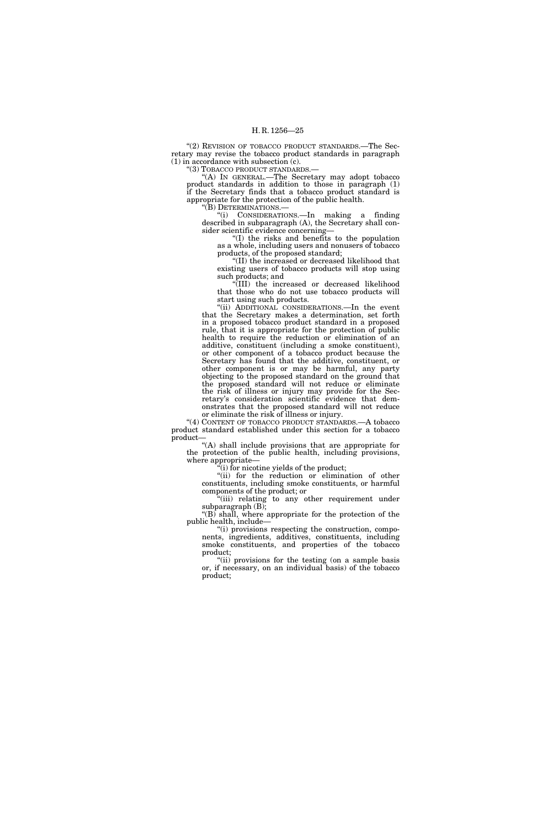"(2) REVISION OF TOBACCO PRODUCT STANDARDS.—The Secretary may revise the tobacco product standards in paragraph (1) in accordance with subsection (c).

''(3) TOBACCO PRODUCT STANDARDS.—

''(A) IN GENERAL.—The Secretary may adopt tobacco product standards in addition to those in paragraph (1) if the Secretary finds that a tobacco product standard is appropriate for the protection of the public health.

''(B) DETERMINATIONS.—

''(i) CONSIDERATIONS.—In making a finding described in subparagraph (A), the Secretary shall consider scientific evidence concerning—

''(I) the risks and benefits to the population as a whole, including users and nonusers of tobacco products, of the proposed standard;

''(II) the increased or decreased likelihood that existing users of tobacco products will stop using such products; and

''(III) the increased or decreased likelihood that those who do not use tobacco products will start using such products.

''(ii) ADDITIONAL CONSIDERATIONS.—In the event that the Secretary makes a determination, set forth in a proposed tobacco product standard in a proposed rule, that it is appropriate for the protection of public health to require the reduction or elimination of an additive, constituent (including a smoke constituent), or other component of a tobacco product because the Secretary has found that the additive, constituent, or other component is or may be harmful, any party objecting to the proposed standard on the ground that the proposed standard will not reduce or eliminate the risk of illness or injury may provide for the Secretary's consideration scientific evidence that demonstrates that the proposed standard will not reduce or eliminate the risk of illness or injury.

"(4) CONTENT OF TOBACCO PRODUCT STANDARDS.—A tobacco product standard established under this section for a tobacco product—

''(A) shall include provisions that are appropriate for the protection of the public health, including provisions, where appropriate—

 $(i)$  for nicotine yields of the product;

''(ii) for the reduction or elimination of other constituents, including smoke constituents, or harmful components of the product; or

''(iii) relating to any other requirement under subparagraph  $(B)$ ;

"(B) shall, where appropriate for the protection of the public health, include—

''(i) provisions respecting the construction, components, ingredients, additives, constituents, including smoke constituents, and properties of the tobacco product;

"(ii) provisions for the testing (on a sample basis or, if necessary, on an individual basis) of the tobacco product;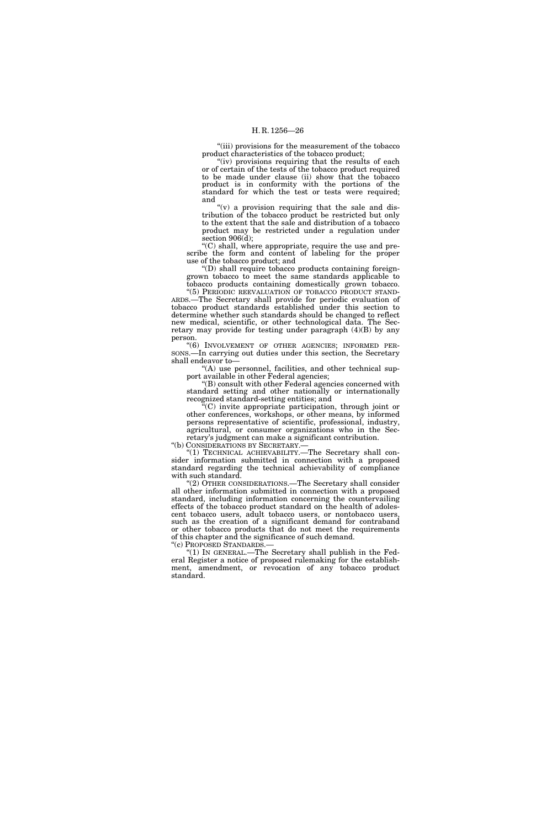"(iii) provisions for the measurement of the tobacco" product characteristics of the tobacco product;

 $(iv)$  provisions requiring that the results of each or of certain of the tests of the tobacco product required to be made under clause (ii) show that the tobacco product is in conformity with the portions of the standard for which the test or tests were required; and

"(v) a provision requiring that the sale and distribution of the tobacco product be restricted but only to the extent that the sale and distribution of a tobacco product may be restricted under a regulation under section 906(d);

''(C) shall, where appropriate, require the use and prescribe the form and content of labeling for the proper use of the tobacco product; and

''(D) shall require tobacco products containing foreigngrown tobacco to meet the same standards applicable to tobacco products containing domestically grown tobacco.

"(5) PERIODIC REEVALUATION OF TOBACCO PRODUCT STAND-ARDS.—The Secretary shall provide for periodic evaluation of tobacco product standards established under this section to determine whether such standards should be changed to reflect new medical, scientific, or other technological data. The Secretary may provide for testing under paragraph (4)(B) by any person.<br>"(6) INVOLVEMENT OF OTHER AGENCIES: INFORMED PER-

 $SONS$ .—In carrying out duties under this section, the Secretary shall endeavor to—

''(A) use personnel, facilities, and other technical support available in other Federal agencies;

''(B) consult with other Federal agencies concerned with standard setting and other nationally or internationally recognized standard-setting entities; and

''(C) invite appropriate participation, through joint or other conferences, workshops, or other means, by informed persons representative of scientific, professional, industry, agricultural, or consumer organizations who in the Secretary's judgment can make a significant contribution.

''(b) CONSIDERATIONS BY SECRETARY.—

"(1) TECHNICAL ACHIEVABILITY.—The Secretary shall consider information submitted in connection with a proposed standard regarding the technical achievability of compliance with such standard.

'(2) OTHER CONSIDERATIONS.—The Secretary shall consider all other information submitted in connection with a proposed standard, including information concerning the countervailing effects of the tobacco product standard on the health of adolescent tobacco users, adult tobacco users, or nontobacco users, such as the creation of a significant demand for contraband or other tobacco products that do not meet the requirements of this chapter and the significance of such demand. ''(c) PROPOSED STANDARDS.—

" $(1)$  In GENERAL.—The Secretary shall publish in the Federal Register a notice of proposed rulemaking for the establishment, amendment, or revocation of any tobacco product standard.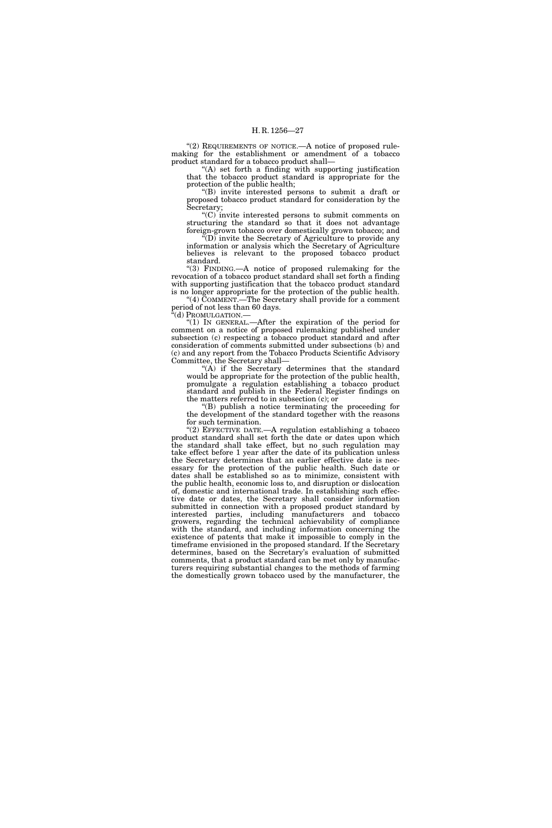"(2) REQUIREMENTS OF NOTICE. A notice of proposed rulemaking for the establishment or amendment of a tobacco product standard for a tobacco product shall—

 $(A)$  set forth a finding with supporting justification that the tobacco product standard is appropriate for the protection of the public health;

''(B) invite interested persons to submit a draft or proposed tobacco product standard for consideration by the Secretary;

''(C) invite interested persons to submit comments on structuring the standard so that it does not advantage foreign-grown tobacco over domestically grown tobacco; and

''(D) invite the Secretary of Agriculture to provide any information or analysis which the Secretary of Agriculture believes is relevant to the proposed tobacco product standard.

''(3) FINDING.—A notice of proposed rulemaking for the revocation of a tobacco product standard shall set forth a finding with supporting justification that the tobacco product standard is no longer appropriate for the protection of the public health.

"(4) COMMENT.—The Secretary shall provide for a comment period of not less than 60 days.

''(d) PROMULGATION.—

" $(1)$  IN GENERAL.—After the expiration of the period for comment on a notice of proposed rulemaking published under subsection (c) respecting a tobacco product standard and after consideration of comments submitted under subsections (b) and (c) and any report from the Tobacco Products Scientific Advisory Committee, the Secretary shall—

''(A) if the Secretary determines that the standard would be appropriate for the protection of the public health, promulgate a regulation establishing a tobacco product standard and publish in the Federal Register findings on the matters referred to in subsection (c); or

''(B) publish a notice terminating the proceeding for the development of the standard together with the reasons for such termination.

''(2) EFFECTIVE DATE.—A regulation establishing a tobacco product standard shall set forth the date or dates upon which the standard shall take effect, but no such regulation may take effect before 1 year after the date of its publication unless the Secretary determines that an earlier effective date is necessary for the protection of the public health. Such date or dates shall be established so as to minimize, consistent with the public health, economic loss to, and disruption or dislocation of, domestic and international trade. In establishing such effective date or dates, the Secretary shall consider information submitted in connection with a proposed product standard by interested parties, including manufacturers and tobacco growers, regarding the technical achievability of compliance with the standard, and including information concerning the existence of patents that make it impossible to comply in the timeframe envisioned in the proposed standard. If the Secretary determines, based on the Secretary's evaluation of submitted comments, that a product standard can be met only by manufacturers requiring substantial changes to the methods of farming the domestically grown tobacco used by the manufacturer, the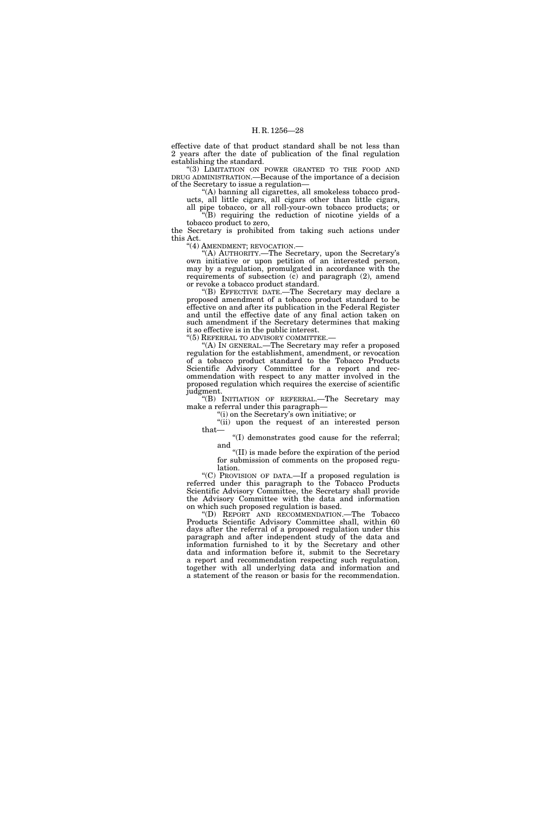effective date of that product standard shall be not less than 2 years after the date of publication of the final regulation establishing the standard.

''(3) LIMITATION ON POWER GRANTED TO THE FOOD AND DRUG ADMINISTRATION.—Because of the importance of a decision of the Secretary to issue a regulation—

"(A) banning all cigarettes, all smokeless tobacco products, all little cigars, all cigars other than little cigars,

all pipe tobacco, or all roll-your-own tobacco products; or ''(B) requiring the reduction of nicotine yields of a tobacco product to zero,

the Secretary is prohibited from taking such actions under this Act.

"(4) AMENDMENT; REVOCATION.-

''(A) AUTHORITY.—The Secretary, upon the Secretary's own initiative or upon petition of an interested person, may by a regulation, promulgated in accordance with the requirements of subsection (c) and paragraph (2), amend or revoke a tobacco product standard.

''(B) EFFECTIVE DATE.—The Secretary may declare a proposed amendment of a tobacco product standard to be effective on and after its publication in the Federal Register and until the effective date of any final action taken on such amendment if the Secretary determines that making it so effective is in the public interest.

''(5) REFERRAL TO ADVISORY COMMITTEE.—

''(A) IN GENERAL.—The Secretary may refer a proposed regulation for the establishment, amendment, or revocation of a tobacco product standard to the Tobacco Products Scientific Advisory Committee for a report and recommendation with respect to any matter involved in the proposed regulation which requires the exercise of scientific judgment.

''(B) INITIATION OF REFERRAL.—The Secretary may make a referral under this paragraph—

''(i) on the Secretary's own initiative; or

''(ii) upon the request of an interested person that—

''(I) demonstrates good cause for the referral; and

''(II) is made before the expiration of the period for submission of comments on the proposed regulation.

''(C) PROVISION OF DATA.—If a proposed regulation is referred under this paragraph to the Tobacco Products Scientific Advisory Committee, the Secretary shall provide the Advisory Committee with the data and information on which such proposed regulation is based.

''(D) REPORT AND RECOMMENDATION.—The Tobacco Products Scientific Advisory Committee shall, within 60 days after the referral of a proposed regulation under this paragraph and after independent study of the data and information furnished to it by the Secretary and other data and information before it, submit to the Secretary a report and recommendation respecting such regulation, together with all underlying data and information and a statement of the reason or basis for the recommendation.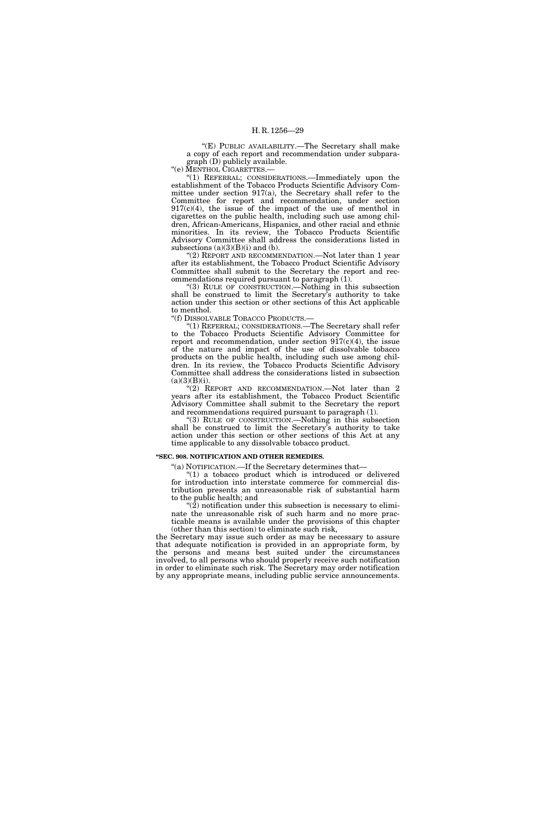''(E) PUBLIC AVAILABILITY.—The Secretary shall make a copy of each report and recommendation under subparagraph (D) publicly available.

''(e) MENTHOL CIGARETTES.—

''(1) REFERRAL; CONSIDERATIONS.—Immediately upon the establishment of the Tobacco Products Scientific Advisory Committee under section 917(a), the Secretary shall refer to the Committee for report and recommendation, under section  $917(c)(4)$ , the issue of the impact of the use of menthol in cigarettes on the public health, including such use among children, African-Americans, Hispanics, and other racial and ethnic minorities. In its review, the Tobacco Products Scientific Advisory Committee shall address the considerations listed in subsections  $(a)(3)(B)(i)$  and  $(b)$ .

"(2) REPORT AND RECOMMENDATION.—Not later than 1 year after its establishment, the Tobacco Product Scientific Advisory Committee shall submit to the Secretary the report and recommendations required pursuant to paragraph (1).

''(3) RULE OF CONSTRUCTION.—Nothing in this subsection shall be construed to limit the Secretary's authority to take action under this section or other sections of this Act applicable to menthol.

''(f) DISSOLVABLE TOBACCO PRODUCTS.—

''(1) REFERRAL; CONSIDERATIONS.—The Secretary shall refer to the Tobacco Products Scientific Advisory Committee for report and recommendation, under section  $917(c)(4)$ , the issue of the nature and impact of the use of dissolvable tobacco products on the public health, including such use among children. In its review, the Tobacco Products Scientific Advisory Committee shall address the considerations listed in subsection  $(a)(3)(B)(i).$ 

"(2) REPORT AND RECOMMENDATION.—Not later than 2 years after its establishment, the Tobacco Product Scientific Advisory Committee shall submit to the Secretary the report and recommendations required pursuant to paragraph (1).

''(3) RULE OF CONSTRUCTION.—Nothing in this subsection shall be construed to limit the Secretary's authority to take action under this section or other sections of this Act at any time applicable to any dissolvable tobacco product.

# **''SEC. 908. NOTIFICATION AND OTHER REMEDIES.**

''(a) NOTIFICATION.—If the Secretary determines that—

 $*(1)$  a tobacco product which is introduced or delivered for introduction into interstate commerce for commercial distribution presents an unreasonable risk of substantial harm to the public health; and

" $(2)$  notification under this subsection is necessary to eliminate the unreasonable risk of such harm and no more practicable means is available under the provisions of this chapter (other than this section) to eliminate such risk,

the Secretary may issue such order as may be necessary to assure that adequate notification is provided in an appropriate form, by the persons and means best suited under the circumstances involved, to all persons who should properly receive such notification in order to eliminate such risk. The Secretary may order notification by any appropriate means, including public service announcements.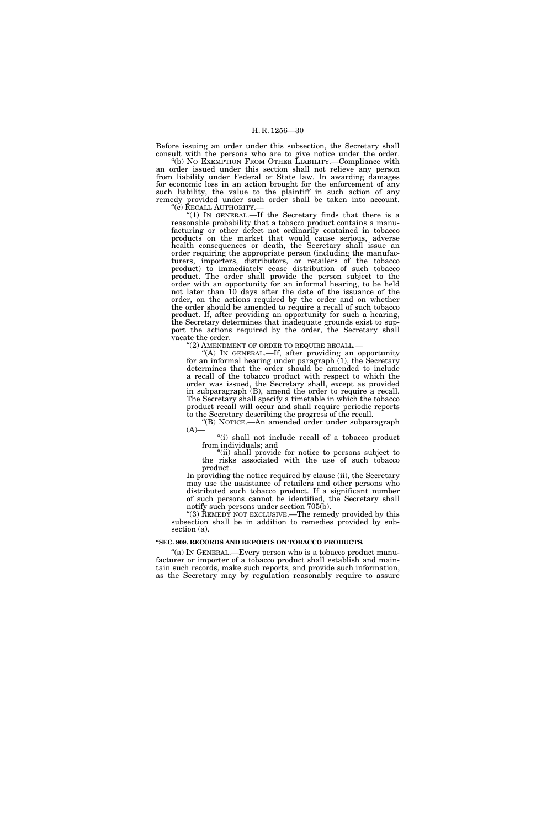Before issuing an order under this subsection, the Secretary shall consult with the persons who are to give notice under the order.

''(b) NO EXEMPTION FROM OTHER LIABILITY.—Compliance with an order issued under this section shall not relieve any person from liability under Federal or State law. In awarding damages for economic loss in an action brought for the enforcement of any such liability, the value to the plaintiff in such action of any remedy provided under such order shall be taken into account. ''(c) RECALL AUTHORITY.—

''(1) IN GENERAL.—If the Secretary finds that there is a reasonable probability that a tobacco product contains a manufacturing or other defect not ordinarily contained in tobacco products on the market that would cause serious, adverse health consequences or death, the Secretary shall issue an order requiring the appropriate person (including the manufacturers, importers, distributors, or retailers of the tobacco product) to immediately cease distribution of such tobacco product. The order shall provide the person subject to the order with an opportunity for an informal hearing, to be held not later than 10 days after the date of the issuance of the order, on the actions required by the order and on whether the order should be amended to require a recall of such tobacco product. If, after providing an opportunity for such a hearing, the Secretary determines that inadequate grounds exist to support the actions required by the order, the Secretary shall vacate the order.<br>"(2) AMENDMENT OF ORDER TO REQUIRE RECALL.

"(A) IN GENERAL.—If, after providing an opportunity for an informal hearing under paragraph  $(1)$ , the Secretary determines that the order should be amended to include a recall of the tobacco product with respect to which the order was issued, the Secretary shall, except as provided in subparagraph (B), amend the order to require a recall. The Secretary shall specify a timetable in which the tobacco product recall will occur and shall require periodic reports to the Secretary describing the progress of the recall.

''(B) NOTICE.—An amended order under subparagraph  $(A)$ 

"(i) shall not include recall of a tobacco product from individuals; and

"(ii) shall provide for notice to persons subject to the risks associated with the use of such tobacco product.

In providing the notice required by clause (ii), the Secretary may use the assistance of retailers and other persons who distributed such tobacco product. If a significant number of such persons cannot be identified, the Secretary shall notify such persons under section 705(b).

"(3) REMEDY NOT EXCLUSIVE.—The remedy provided by this subsection shall be in addition to remedies provided by subsection (a).

#### **''SEC. 909. RECORDS AND REPORTS ON TOBACCO PRODUCTS.**

''(a) IN GENERAL.—Every person who is a tobacco product manufacturer or importer of a tobacco product shall establish and maintain such records, make such reports, and provide such information, as the Secretary may by regulation reasonably require to assure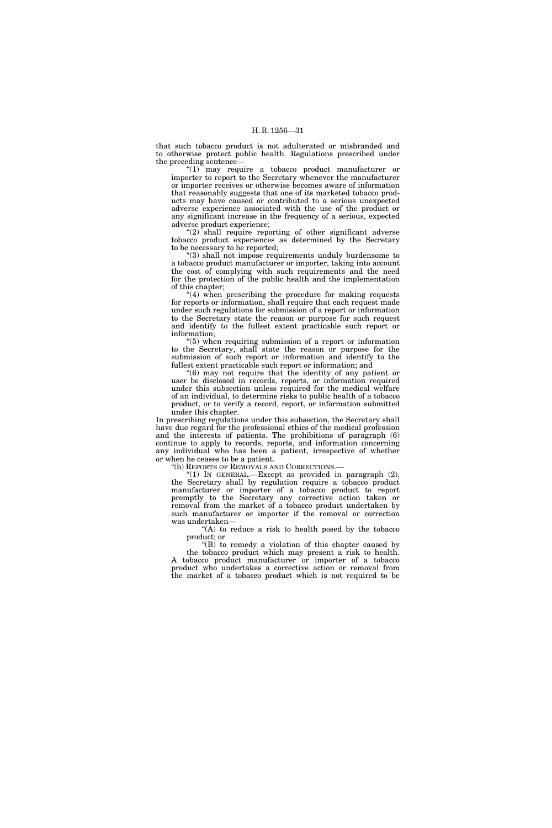that such tobacco product is not adulterated or misbranded and to otherwise protect public health. Regulations prescribed under the preceding sentence—

 $(1)$  may require a tobacco product manufacturer or importer to report to the Secretary whenever the manufacturer or importer receives or otherwise becomes aware of information that reasonably suggests that one of its marketed tobacco products may have caused or contributed to a serious unexpected adverse experience associated with the use of the product or any significant increase in the frequency of a serious, expected adverse product experience;

 $(2)$  shall require reporting of other significant adverse tobacco product experiences as determined by the Secretary to be necessary to be reported;

''(3) shall not impose requirements unduly burdensome to a tobacco product manufacturer or importer, taking into account the cost of complying with such requirements and the need for the protection of the public health and the implementation of this chapter;

"(4) when prescribing the procedure for making requests for reports or information, shall require that each request made under such regulations for submission of a report or information to the Secretary state the reason or purpose for such request and identify to the fullest extent practicable such report or information;

''(5) when requiring submission of a report or information to the Secretary, shall state the reason or purpose for the submission of such report or information and identify to the fullest extent practicable such report or information; and

''(6) may not require that the identity of any patient or user be disclosed in records, reports, or information required under this subsection unless required for the medical welfare of an individual, to determine risks to public health of a tobacco product, or to verify a record, report, or information submitted under this chapter.

In prescribing regulations under this subsection, the Secretary shall have due regard for the professional ethics of the medical profession and the interests of patients. The prohibitions of paragraph (6) continue to apply to records, reports, and information concerning any individual who has been a patient, irrespective of whether or when he ceases to be a patient.

''(b) REPORTS OF REMOVALS AND CORRECTIONS.—

''(1) IN GENERAL.—Except as provided in paragraph (2), the Secretary shall by regulation require a tobacco product manufacturer or importer of a tobacco product to report promptly to the Secretary any corrective action taken or removal from the market of a tobacco product undertaken by such manufacturer or importer if the removal or correction was undertaken—

 $(A)$  to reduce a risk to health posed by the tobacco product; or

''(B) to remedy a violation of this chapter caused by the tobacco product which may present a risk to health. A tobacco product manufacturer or importer of a tobacco product who undertakes a corrective action or removal from the market of a tobacco product which is not required to be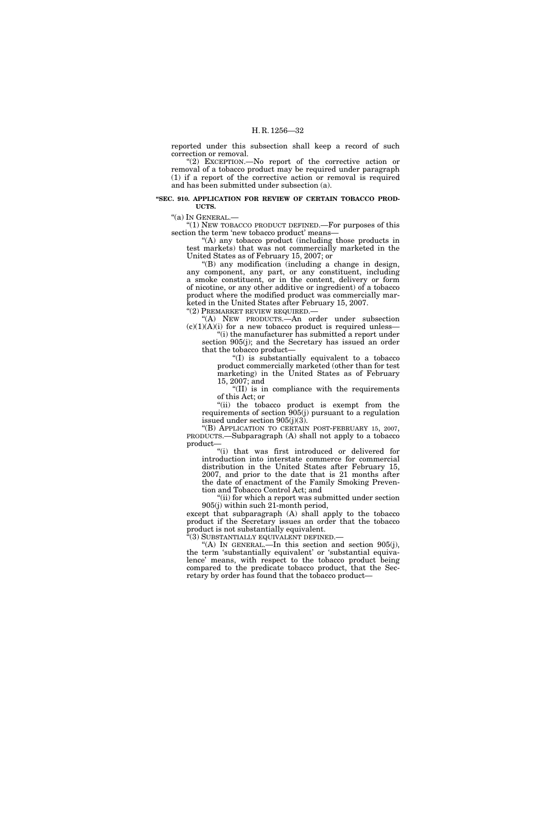reported under this subsection shall keep a record of such correction or removal.

"(2) EXCEPTION.—No report of the corrective action or removal of a tobacco product may be required under paragraph (1) if a report of the corrective action or removal is required and has been submitted under subsection (a).

#### **''SEC. 910. APPLICATION FOR REVIEW OF CERTAIN TOBACCO PROD-UCTS.**

''(a) IN GENERAL.—

" $(1)$  NEW TOBACCO PRODUCT DEFINED.—For purposes of this section the term 'new tobacco product' means—

''(A) any tobacco product (including those products in test markets) that was not commercially marketed in the United States as of February 15, 2007; or

''(B) any modification (including a change in design, any component, any part, or any constituent, including a smoke constituent, or in the content, delivery or form of nicotine, or any other additive or ingredient) of a tobacco product where the modified product was commercially marketed in the United States after February 15, 2007.

''(2) PREMARKET REVIEW REQUIRED.—

''(A) NEW PRODUCTS.—An order under subsection  $(c)(1)(A)(i)$  for a new tobacco product is required unless—

''(i) the manufacturer has submitted a report under section 905(j); and the Secretary has issued an order that the tobacco product—

''(I) is substantially equivalent to a tobacco product commercially marketed (other than for test marketing) in the United States as of February 15, 2007; and

" $(II)$  is in compliance with the requirements" of this Act; or

''(ii) the tobacco product is exempt from the requirements of section 905(j) pursuant to a regulation issued under section 905(j)(3).

''(B) APPLICATION TO CERTAIN POST-FEBRUARY 15, 2007, PRODUCTS.—Subparagraph (A) shall not apply to a tobacco product—

''(i) that was first introduced or delivered for introduction into interstate commerce for commercial distribution in the United States after February 15, 2007, and prior to the date that is 21 months after the date of enactment of the Family Smoking Prevention and Tobacco Control Act; and

''(ii) for which a report was submitted under section 905(j) within such 21-month period,

except that subparagraph (A) shall apply to the tobacco product if the Secretary issues an order that the tobacco product is not substantially equivalent.

''(3) SUBSTANTIALLY EQUIVALENT DEFINED.—

''(A) IN GENERAL.—In this section and section 905(j), the term 'substantially equivalent' or 'substantial equivalence' means, with respect to the tobacco product being compared to the predicate tobacco product, that the Secretary by order has found that the tobacco product—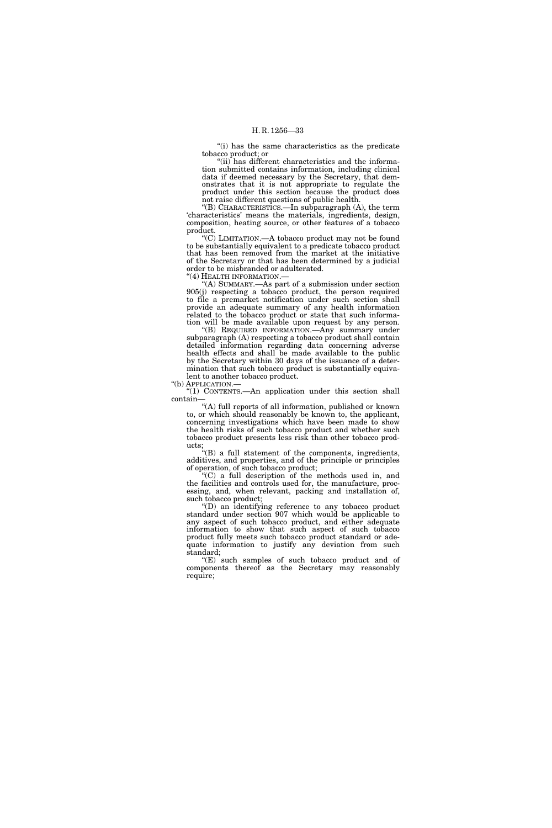''(i) has the same characteristics as the predicate tobacco product; or

"(ii) has different characteristics and the information submitted contains information, including clinical data if deemed necessary by the Secretary, that demonstrates that it is not appropriate to regulate the product under this section because the product does not raise different questions of public health.

''(B) CHARACTERISTICS.—In subparagraph (A), the term 'characteristics' means the materials, ingredients, design, composition, heating source, or other features of a tobacco product.

''(C) LIMITATION.—A tobacco product may not be found to be substantially equivalent to a predicate tobacco product that has been removed from the market at the initiative of the Secretary or that has been determined by a judicial order to be misbranded or adulterated.

"(4) HEALTH INFORMATION.-

''(A) SUMMARY.—As part of a submission under section 905(j) respecting a tobacco product, the person required to file a premarket notification under such section shall provide an adequate summary of any health information related to the tobacco product or state that such information will be made available upon request by any person.

''(B) REQUIRED INFORMATION.—Any summary under subparagraph (A) respecting a tobacco product shall contain detailed information regarding data concerning adverse health effects and shall be made available to the public by the Secretary within 30 days of the issuance of a determination that such tobacco product is substantially equivalent to another tobacco product.

"(b) APPLICATION.-

''(1) CONTENTS.—An application under this section shall contain—

''(A) full reports of all information, published or known to, or which should reasonably be known to, the applicant, concerning investigations which have been made to show the health risks of such tobacco product and whether such tobacco product presents less risk than other tobacco products;

''(B) a full statement of the components, ingredients, additives, and properties, and of the principle or principles of operation, of such tobacco product;

''(C) a full description of the methods used in, and the facilities and controls used for, the manufacture, processing, and, when relevant, packing and installation of, such tobacco product;

''(D) an identifying reference to any tobacco product standard under section 907 which would be applicable to any aspect of such tobacco product, and either adequate information to show that such aspect of such tobacco product fully meets such tobacco product standard or adequate information to justify any deviation from such standard;

"(E) such samples of such tobacco product and of components thereof as the Secretary may reasonably require;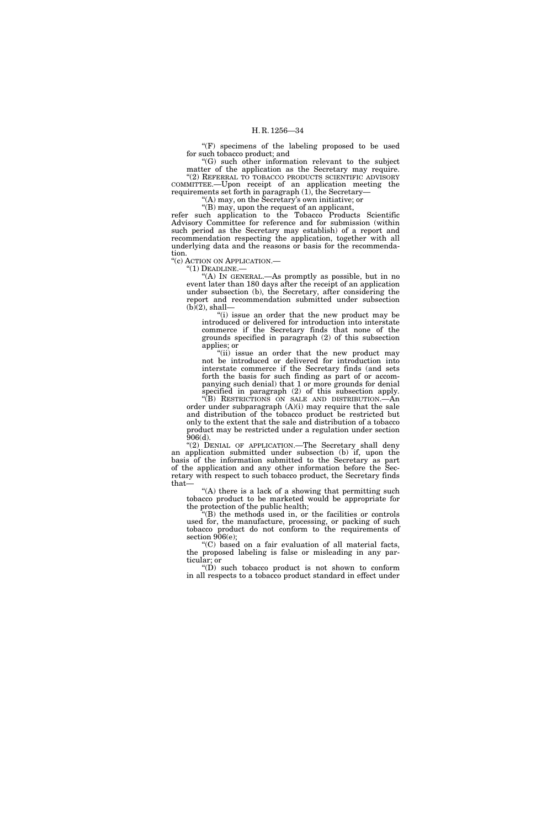" $(F)$  specimens of the labeling proposed to be used for such tobacco product; and

''(G) such other information relevant to the subject matter of the application as the Secretary may require. "(2) REFERRAL TO TOBACCO PRODUCTS SCIENTIFIC ADVISORY COMMITTEE.—Upon receipt of an application meeting the requirements set forth in paragraph (1), the Secretary—

''(A) may, on the Secretary's own initiative; or

''(B) may, upon the request of an applicant,

refer such application to the Tobacco Products Scientific Advisory Committee for reference and for submission (within such period as the Secretary may establish) of a report and recommendation respecting the application, together with all underlying data and the reasons or basis for the recommendation.

''(c) ACTION ON APPLICATION.—

 $"(1)$  DEADLINE.-

''(A) IN GENERAL.—As promptly as possible, but in no event later than 180 days after the receipt of an application under subsection (b), the Secretary, after considering the report and recommendation submitted under subsection  $(b)(2)$ , shall-

''(i) issue an order that the new product may be introduced or delivered for introduction into interstate commerce if the Secretary finds that none of the grounds specified in paragraph (2) of this subsection applies; or

"(ii) issue an order that the new product may not be introduced or delivered for introduction into interstate commerce if the Secretary finds (and sets forth the basis for such finding as part of or accompanying such denial) that 1 or more grounds for denial specified in paragraph (2) of this subsection apply.

''(B) RESTRICTIONS ON SALE AND DISTRIBUTION.—An order under subparagraph (A)(i) may require that the sale and distribution of the tobacco product be restricted but only to the extent that the sale and distribution of a tobacco product may be restricted under a regulation under section 906(d).

"(2) DENIAL OF APPLICATION.—The Secretary shall deny an application submitted under subsection (b) if, upon the basis of the information submitted to the Secretary as part of the application and any other information before the Secretary with respect to such tobacco product, the Secretary finds that—

"(A) there is a lack of a showing that permitting such tobacco product to be marketed would be appropriate for the protection of the public health;

''(B) the methods used in, or the facilities or controls used for, the manufacture, processing, or packing of such tobacco product do not conform to the requirements of section  $906(e)$ ;

''(C) based on a fair evaluation of all material facts, the proposed labeling is false or misleading in any particular; or

''(D) such tobacco product is not shown to conform in all respects to a tobacco product standard in effect under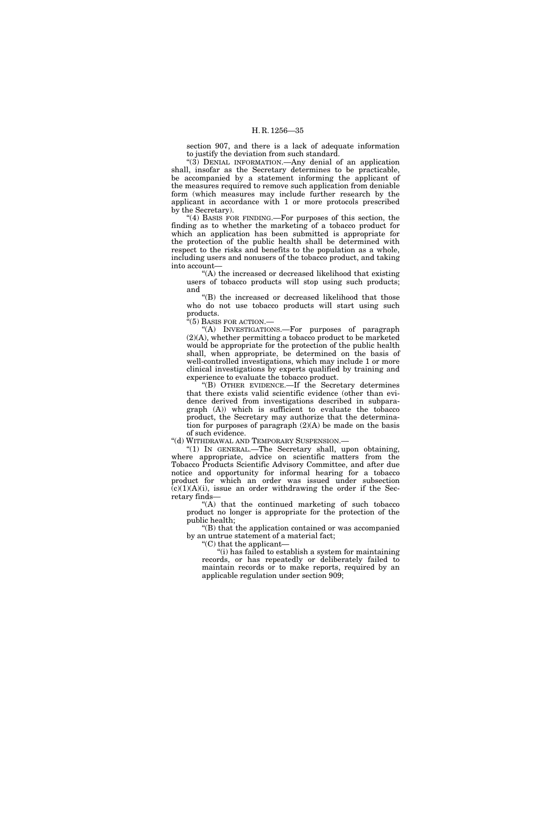section 907, and there is a lack of adequate information to justify the deviation from such standard.

"(3) DENIAL INFORMATION.—Any denial of an application shall, insofar as the Secretary determines to be practicable, be accompanied by a statement informing the applicant of the measures required to remove such application from deniable form (which measures may include further research by the applicant in accordance with 1 or more protocols prescribed by the Secretary).

''(4) BASIS FOR FINDING.—For purposes of this section, the finding as to whether the marketing of a tobacco product for which an application has been submitted is appropriate for the protection of the public health shall be determined with respect to the risks and benefits to the population as a whole, including users and nonusers of the tobacco product, and taking into account—

''(A) the increased or decreased likelihood that existing users of tobacco products will stop using such products; and

''(B) the increased or decreased likelihood that those who do not use tobacco products will start using such products.

''(5) BASIS FOR ACTION.—

''(A) INVESTIGATIONS.—For purposes of paragraph (2)(A), whether permitting a tobacco product to be marketed would be appropriate for the protection of the public health shall, when appropriate, be determined on the basis of well-controlled investigations, which may include 1 or more clinical investigations by experts qualified by training and experience to evaluate the tobacco product.

''(B) OTHER EVIDENCE.—If the Secretary determines that there exists valid scientific evidence (other than evidence derived from investigations described in subparagraph (A)) which is sufficient to evaluate the tobacco product, the Secretary may authorize that the determination for purposes of paragraph  $(2)(A)$  be made on the basis of such evidence.

''(d) WITHDRAWAL AND TEMPORARY SUSPENSION.—

''(1) IN GENERAL.—The Secretary shall, upon obtaining, where appropriate, advice on scientific matters from the Tobacco Products Scientific Advisory Committee, and after due notice and opportunity for informal hearing for a tobacco product for which an order was issued under subsection  $\tilde{c}(c)(1)(A)(i)$ , issue an order withdrawing the order if the Secretary finds—

''(A) that the continued marketing of such tobacco product no longer is appropriate for the protection of the public health;

''(B) that the application contained or was accompanied by an untrue statement of a material fact;

 $C$ ) that the applicant-

''(i) has failed to establish a system for maintaining records, or has repeatedly or deliberately failed to maintain records or to make reports, required by an applicable regulation under section 909;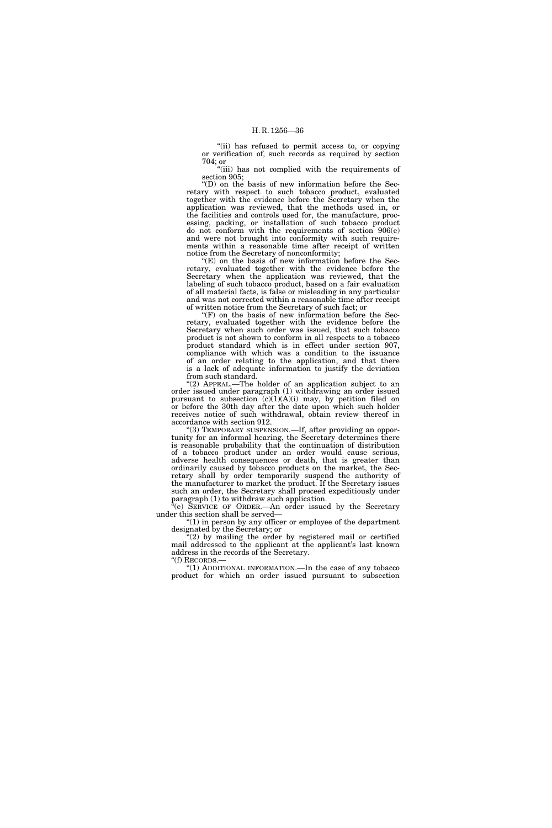"(ii) has refused to permit access to, or copying or verification of, such records as required by section 704; or

"(iii) has not complied with the requirements of section 905;

''(D) on the basis of new information before the Secretary with respect to such tobacco product, evaluated together with the evidence before the Secretary when the application was reviewed, that the methods used in, or the facilities and controls used for, the manufacture, processing, packing, or installation of such tobacco product do not conform with the requirements of section 906(e) and were not brought into conformity with such requirements within a reasonable time after receipt of written notice from the Secretary of nonconformity;

 $E(E)$  on the basis of new information before the Secretary, evaluated together with the evidence before the Secretary when the application was reviewed, that the labeling of such tobacco product, based on a fair evaluation of all material facts, is false or misleading in any particular and was not corrected within a reasonable time after receipt of written notice from the Secretary of such fact; or

" $(F)$  on the basis of new information before the Secretary, evaluated together with the evidence before the Secretary when such order was issued, that such tobacco product is not shown to conform in all respects to a tobacco product standard which is in effect under section 907, compliance with which was a condition to the issuance of an order relating to the application, and that there is a lack of adequate information to justify the deviation from such standard.

"(2) APPEAL.—The holder of an application subject to an order issued under paragraph (1) withdrawing an order issued pursuant to subsection  $(c)$  $(1)(A)(i)$  may, by petition filed on or before the 30th day after the date upon which such holder receives notice of such withdrawal, obtain review thereof in accordance with section 912.

''(3) TEMPORARY SUSPENSION.—If, after providing an opportunity for an informal hearing, the Secretary determines there is reasonable probability that the continuation of distribution of a tobacco product under an order would cause serious, adverse health consequences or death, that is greater than ordinarily caused by tobacco products on the market, the Secretary shall by order temporarily suspend the authority of the manufacturer to market the product. If the Secretary issues such an order, the Secretary shall proceed expeditiously under  $\frac{1}{2}$  paragraph (1) to withdraw such application.

''(e) SERVICE OF ORDER.—An order issued by the Secretary under this section shall be served—

''(1) in person by any officer or employee of the department designated by the Secretary; or

 $(2)$  by mailing the order by registered mail or certified mail addressed to the applicant at the applicant's last known address in the records of the Secretary.

"(f) RECORDS.—<br>"(1) ADDITIONAL INFORMATION.—In the case of any tobacco product for which an order issued pursuant to subsection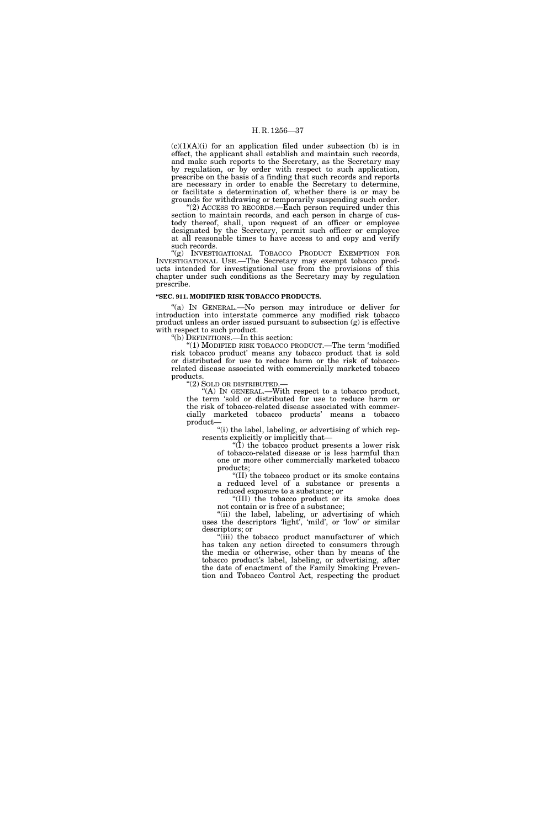$(c)(1)(A)(i)$  for an application filed under subsection (b) is in effect, the applicant shall establish and maintain such records, and make such reports to the Secretary, as the Secretary may by regulation, or by order with respect to such application, prescribe on the basis of a finding that such records and reports are necessary in order to enable the Secretary to determine, or facilitate a determination of, whether there is or may be grounds for withdrawing or temporarily suspending such order.

"(2) ACCESS TO RECORDS.—Each person required under this section to maintain records, and each person in charge of custody thereof, shall, upon request of an officer or employee designated by the Secretary, permit such officer or employee at all reasonable times to have access to and copy and verify such records.

''(g) INVESTIGATIONAL TOBACCO PRODUCT EXEMPTION FOR INVESTIGATIONAL USE.—The Secretary may exempt tobacco products intended for investigational use from the provisions of this chapter under such conditions as the Secretary may by regulation prescribe.

#### **''SEC. 911. MODIFIED RISK TOBACCO PRODUCTS.**

"(a) IN GENERAL.—No person may introduce or deliver for introduction into interstate commerce any modified risk tobacco product unless an order issued pursuant to subsection (g) is effective with respect to such product.

''(b) DEFINITIONS.—In this section:

''(1) MODIFIED RISK TOBACCO PRODUCT.—The term 'modified risk tobacco product' means any tobacco product that is sold or distributed for use to reduce harm or the risk of tobaccorelated disease associated with commercially marketed tobacco products.

''(2) SOLD OR DISTRIBUTED.—

''(A) IN GENERAL.—With respect to a tobacco product, the term 'sold or distributed for use to reduce harm or the risk of tobacco-related disease associated with commercially marketed tobacco products' means a tobacco product—

"(i) the label, labeling, or advertising of which represents explicitly or implicitly that—

''(I) the tobacco product presents a lower risk of tobacco-related disease or is less harmful than one or more other commercially marketed tobacco products;

''(II) the tobacco product or its smoke contains a reduced level of a substance or presents a reduced exposure to a substance; or

''(III) the tobacco product or its smoke does not contain or is free of a substance;

"(ii) the label, labeling, or advertising of which uses the descriptors 'light', 'mild', or 'low' or similar descriptors; or

"(iii) the tobacco product manufacturer of which has taken any action directed to consumers through the media or otherwise, other than by means of the tobacco product's label, labeling, or advertising, after the date of enactment of the Family Smoking Prevention and Tobacco Control Act, respecting the product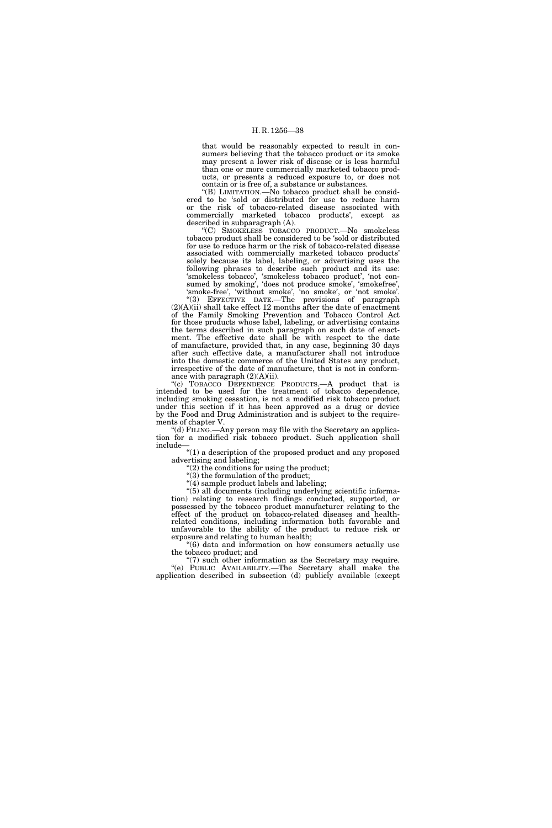that would be reasonably expected to result in consumers believing that the tobacco product or its smoke may present a lower risk of disease or is less harmful than one or more commercially marketed tobacco products, or presents a reduced exposure to, or does not contain or is free of, a substance or substances.

''(B) LIMITATION.—No tobacco product shall be considered to be 'sold or distributed for use to reduce harm or the risk of tobacco-related disease associated with commercially marketed tobacco products', except as described in subparagraph (A).

''(C) SMOKELESS TOBACCO PRODUCT.—No smokeless tobacco product shall be considered to be 'sold or distributed for use to reduce harm or the risk of tobacco-related disease associated with commercially marketed tobacco products' solely because its label, labeling, or advertising uses the following phrases to describe such product and its use: 'smokeless tobacco', 'smokeless tobacco product', 'not consumed by smoking', 'does not produce smoke', 'smokefree', 'smoke-free', 'without smoke', 'no smoke', or 'not smoke'.

''(3) EFFECTIVE DATE.—The provisions of paragraph  $(2)(A)(ii)$  shall take effect 12 months after the date of enactment of the Family Smoking Prevention and Tobacco Control Act for those products whose label, labeling, or advertising contains the terms described in such paragraph on such date of enactment. The effective date shall be with respect to the date of manufacture, provided that, in any case, beginning 30 days after such effective date, a manufacturer shall not introduce into the domestic commerce of the United States any product, irrespective of the date of manufacture, that is not in conformance with paragraph (2)(A)(ii).

''(c) TOBACCO DEPENDENCE PRODUCTS.—A product that is intended to be used for the treatment of tobacco dependence, including smoking cessation, is not a modified risk tobacco product under this section if it has been approved as a drug or device by the Food and Drug Administration and is subject to the requirements of chapter V.

''(d) FILING.—Any person may file with the Secretary an application for a modified risk tobacco product. Such application shall include—

''(1) a description of the proposed product and any proposed advertising and labeling;

 $''(2)$  the conditions for using the product;

''(3) the formulation of the product;

 $''(4)$  sample product labels and labeling;

 $\sqrt[4]{(5)}$  all documents (including underlying scientific information) relating to research findings conducted, supported, or possessed by the tobacco product manufacturer relating to the effect of the product on tobacco-related diseases and healthrelated conditions, including information both favorable and unfavorable to the ability of the product to reduce risk or exposure and relating to human health;

''(6) data and information on how consumers actually use the tobacco product; and

"(7) such other information as the Secretary may require. ''(e) PUBLIC AVAILABILITY.—The Secretary shall make the application described in subsection (d) publicly available (except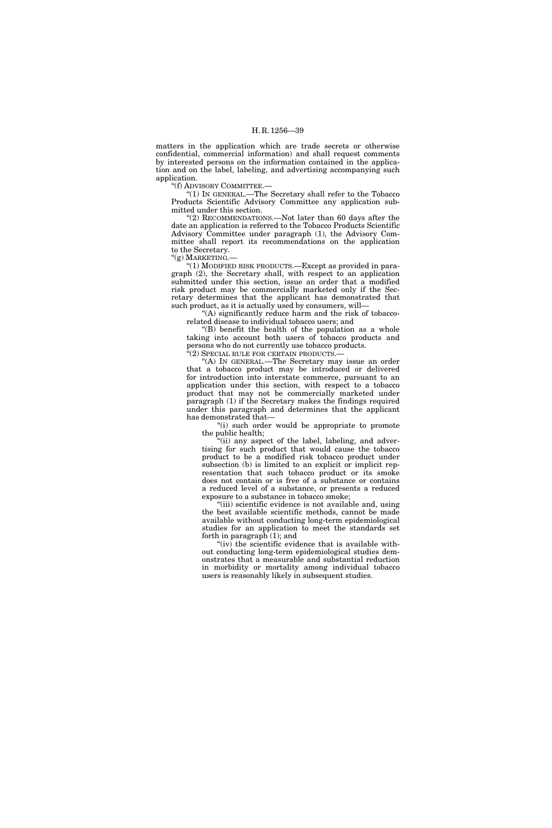matters in the application which are trade secrets or otherwise confidential, commercial information) and shall request comments by interested persons on the information contained in the application and on the label, labeling, and advertising accompanying such application.

''(f) ADVISORY COMMITTEE.—

''(1) IN GENERAL.—The Secretary shall refer to the Tobacco Products Scientific Advisory Committee any application submitted under this section.

''(2) RECOMMENDATIONS.—Not later than 60 days after the date an application is referred to the Tobacco Products Scientific Advisory Committee under paragraph (1), the Advisory Committee shall report its recommendations on the application to the Secretary.

"(g) MARKETING.-

''(1) MODIFIED RISK PRODUCTS.—Except as provided in paragraph (2), the Secretary shall, with respect to an application submitted under this section, issue an order that a modified risk product may be commercially marketed only if the Secretary determines that the applicant has demonstrated that such product, as it is actually used by consumers, will—

''(A) significantly reduce harm and the risk of tobaccorelated disease to individual tobacco users; and

''(B) benefit the health of the population as a whole taking into account both users of tobacco products and persons who do not currently use tobacco products. ''(2) SPECIAL RULE FOR CERTAIN PRODUCTS.—

''(A) IN GENERAL.—The Secretary may issue an order

that a tobacco product may be introduced or delivered for introduction into interstate commerce, pursuant to an application under this section, with respect to a tobacco product that may not be commercially marketed under paragraph (1) if the Secretary makes the findings required under this paragraph and determines that the applicant has demonstrated that—

''(i) such order would be appropriate to promote the public health;

 $(iii)$  any aspect of the label, labeling, and advertising for such product that would cause the tobacco product to be a modified risk tobacco product under subsection (b) is limited to an explicit or implicit representation that such tobacco product or its smoke does not contain or is free of a substance or contains a reduced level of a substance, or presents a reduced exposure to a substance in tobacco smoke;

"(iii) scientific evidence is not available and, using the best available scientific methods, cannot be made available without conducting long-term epidemiological studies for an application to meet the standards set forth in paragraph (1); and

" $(iv)$  the scientific evidence that is available without conducting long-term epidemiological studies demonstrates that a measurable and substantial reduction in morbidity or mortality among individual tobacco users is reasonably likely in subsequent studies.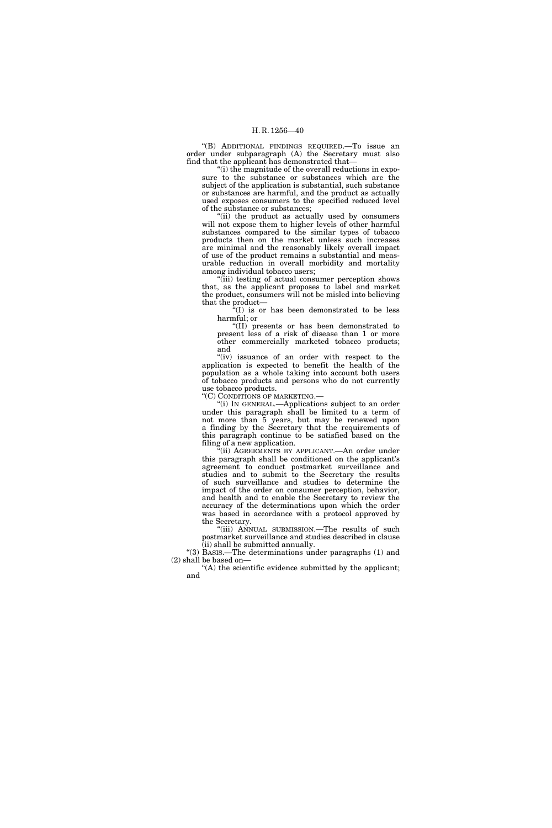''(B) ADDITIONAL FINDINGS REQUIRED.—To issue an order under subparagraph (A) the Secretary must also find that the applicant has demonstrated that—

 $(i)$  the magnitude of the overall reductions in exposure to the substance or substances which are the subject of the application is substantial, such substance or substances are harmful, and the product as actually used exposes consumers to the specified reduced level of the substance or substances;

"(ii) the product as actually used by consumers" will not expose them to higher levels of other harmful substances compared to the similar types of tobacco products then on the market unless such increases are minimal and the reasonably likely overall impact of use of the product remains a substantial and measurable reduction in overall morbidity and mortality among individual tobacco users;

''(iii) testing of actual consumer perception shows that, as the applicant proposes to label and market the product, consumers will not be misled into believing that the product—

 $\mathbb{F}(I)$  is or has been demonstrated to be less harmful; or

''(II) presents or has been demonstrated to present less of a risk of disease than 1 or more other commercially marketed tobacco products; and

"(iv) issuance of an order with respect to the application is expected to benefit the health of the population as a whole taking into account both users of tobacco products and persons who do not currently use tobacco products.

''(C) CONDITIONS OF MARKETING.—

''(i) IN GENERAL.—Applications subject to an order under this paragraph shall be limited to a term of not more than 5 years, but may be renewed upon a finding by the Secretary that the requirements of this paragraph continue to be satisfied based on the filing of a new application.

''(ii) AGREEMENTS BY APPLICANT.—An order under this paragraph shall be conditioned on the applicant's agreement to conduct postmarket surveillance and studies and to submit to the Secretary the results of such surveillance and studies to determine the impact of the order on consumer perception, behavior, and health and to enable the Secretary to review the accuracy of the determinations upon which the order was based in accordance with a protocol approved by the Secretary.

''(iii) ANNUAL SUBMISSION.—The results of such postmarket surveillance and studies described in clause (ii) shall be submitted annually.

"(3) BASIS.—The determinations under paragraphs (1) and (2) shall be based on—

''(A) the scientific evidence submitted by the applicant; and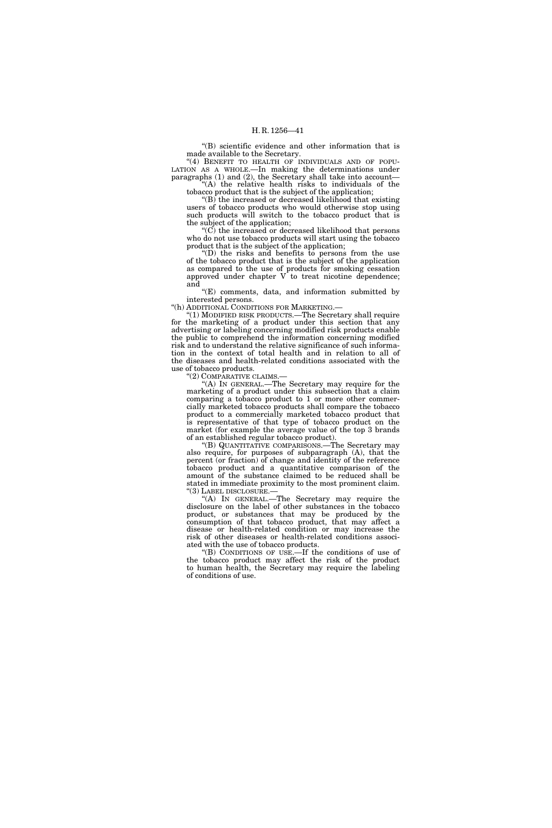''(B) scientific evidence and other information that is made available to the Secretary.

"(4) BENEFIT TO HEALTH OF INDIVIDUALS AND OF POPU-LATION AS A WHOLE.—In making the determinations under paragraphs (1) and (2), the Secretary shall take into account— ''(A) the relative health risks to individuals of the

tobacco product that is the subject of the application;  $\mathrm{``(B)}$  the increased or decreased likelihood that existing users of tobacco products who would otherwise stop using such products will switch to the tobacco product that is

the subject of the application; " $(C)$  the increased or decreased likelihood that persons who do not use tobacco products will start using the tobacco product that is the subject of the application;

''(D) the risks and benefits to persons from the use of the tobacco product that is the subject of the application as compared to the use of products for smoking cessation approved under chapter V to treat nicotine dependence; and

''(E) comments, data, and information submitted by interested persons.

''(h) ADDITIONAL CONDITIONS FOR MARKETING.—

''(1) MODIFIED RISK PRODUCTS.—The Secretary shall require for the marketing of a product under this section that any advertising or labeling concerning modified risk products enable the public to comprehend the information concerning modified risk and to understand the relative significance of such information in the context of total health and in relation to all of the diseases and health-related conditions associated with the use of tobacco products.

''(2) COMPARATIVE CLAIMS.— ''(A) IN GENERAL.—The Secretary may require for the marketing of a product under this subsection that a claim comparing a tobacco product to 1 or more other commercially marketed tobacco products shall compare the tobacco product to a commercially marketed tobacco product that is representative of that type of tobacco product on the market (for example the average value of the top 3 brands of an established regular tobacco product).

''(B) QUANTITATIVE COMPARISONS.—The Secretary may also require, for purposes of subparagraph (A), that the percent (or fraction) of change and identity of the reference tobacco product and a quantitative comparison of the amount of the substance claimed to be reduced shall be stated in immediate proximity to the most prominent claim. ''(3) LABEL DISCLOSURE.— ''(A) IN GENERAL.—The Secretary may require the

disclosure on the label of other substances in the tobacco product, or substances that may be produced by the consumption of that tobacco product, that may affect a disease or health-related condition or may increase the risk of other diseases or health-related conditions associated with the use of tobacco products.

''(B) CONDITIONS OF USE.—If the conditions of use of the tobacco product may affect the risk of the product to human health, the Secretary may require the labeling of conditions of use.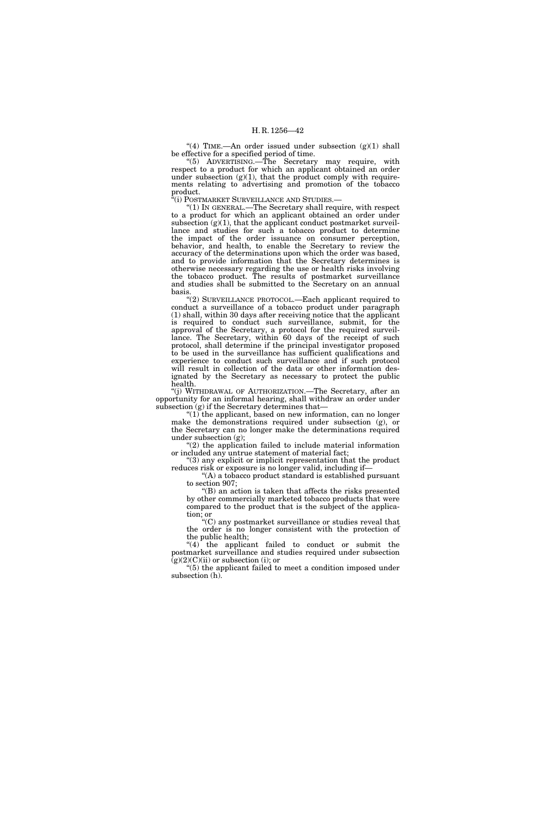"(4) TIME.—An order issued under subsection  $(g)(1)$  shall be effective for a specified period of time.

''(5) ADVERTISING.—The Secretary may require, with respect to a product for which an applicant obtained an order under subsection  $(g)(1)$ , that the product comply with requirements relating to advertising and promotion of the tobacco product.

'(i) POSTMARKET SURVEILLANCE AND STUDIES.—

" $(1)$  In GENERAL.—The Secretary shall require, with respect to a product for which an applicant obtained an order under subsection  $(g)(1)$ , that the applicant conduct postmarket surveillance and studies for such a tobacco product to determine the impact of the order issuance on consumer perception, behavior, and health, to enable the Secretary to review the accuracy of the determinations upon which the order was based, and to provide information that the Secretary determines is otherwise necessary regarding the use or health risks involving the tobacco product. The results of postmarket surveillance and studies shall be submitted to the Secretary on an annual basis.

''(2) SURVEILLANCE PROTOCOL.—Each applicant required to conduct a surveillance of a tobacco product under paragraph (1) shall, within 30 days after receiving notice that the applicant is required to conduct such surveillance, submit, for the approval of the Secretary, a protocol for the required surveillance. The Secretary, within 60 days of the receipt of such protocol, shall determine if the principal investigator proposed to be used in the surveillance has sufficient qualifications and experience to conduct such surveillance and if such protocol will result in collection of the data or other information designated by the Secretary as necessary to protect the public health.

''(j) WITHDRAWAL OF AUTHORIZATION.—The Secretary, after an opportunity for an informal hearing, shall withdraw an order under subsection  $(g)$  if the Secretary determines that—

 $(1)$  the applicant, based on new information, can no longer make the demonstrations required under subsection (g), or the Secretary can no longer make the determinations required under subsection (g);

 $(2)$  the application failed to include material information or included any untrue statement of material fact;

''(3) any explicit or implicit representation that the product reduces risk or exposure is no longer valid, including if—

''(A) a tobacco product standard is established pursuant to section 907;

''(B) an action is taken that affects the risks presented by other commercially marketed tobacco products that were compared to the product that is the subject of the application; or

 $(C)$  any postmarket surveillance or studies reveal that the order is no longer consistent with the protection of the public health;

 $"(4)$  the applicant failed to conduct or submit the postmarket surveillance and studies required under subsection  $(g)(2)(C)(ii)$  or subsection (i); or

''(5) the applicant failed to meet a condition imposed under subsection  $(h)$ .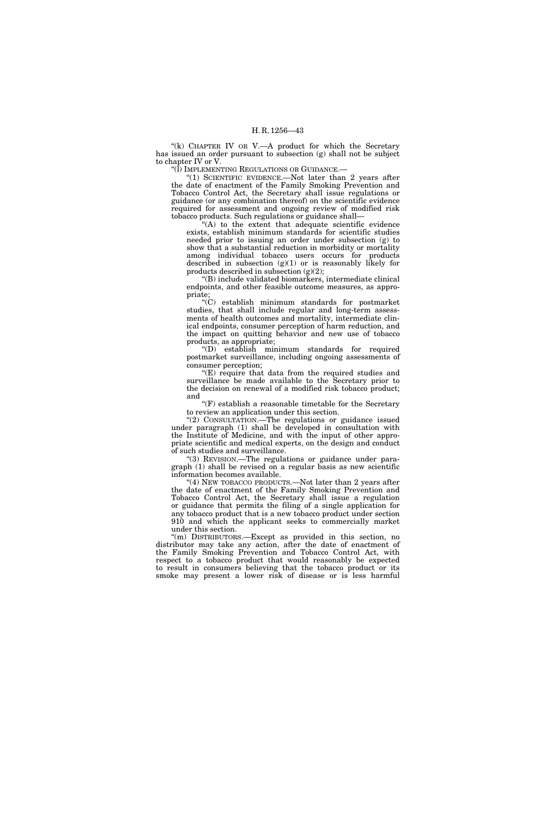"(k) CHAPTER IV OR V.—A product for which the Secretary has issued an order pursuant to subsection (g) shall not be subject to chapter IV or V.

''(l) IMPLEMENTING REGULATIONS OR GUIDANCE.—

"(1) SCIENTIFIC EVIDENCE.—Not later than 2 years after the date of enactment of the Family Smoking Prevention and Tobacco Control Act, the Secretary shall issue regulations or guidance (or any combination thereof) on the scientific evidence required for assessment and ongoing review of modified risk tobacco products. Such regulations or guidance shall—

''(A) to the extent that adequate scientific evidence exists, establish minimum standards for scientific studies needed prior to issuing an order under subsection (g) to show that a substantial reduction in morbidity or mortality among individual tobacco users occurs for products described in subsection (g)(1) or is reasonably likely for products described in subsection  $(g)(2)$ ;

''(B) include validated biomarkers, intermediate clinical endpoints, and other feasible outcome measures, as appropriate;

''(C) establish minimum standards for postmarket studies, that shall include regular and long-term assessments of health outcomes and mortality, intermediate clinical endpoints, consumer perception of harm reduction, and the impact on quitting behavior and new use of tobacco products, as appropriate;

''(D) establish minimum standards for required postmarket surveillance, including ongoing assessments of consumer perception;

''(E) require that data from the required studies and surveillance be made available to the Secretary prior to the decision on renewal of a modified risk tobacco product; and

''(F) establish a reasonable timetable for the Secretary to review an application under this section.

"(2) CONSULTATION.—The regulations or guidance issued under paragraph (1) shall be developed in consultation with the Institute of Medicine, and with the input of other appropriate scientific and medical experts, on the design and conduct of such studies and surveillance.

"(3) REVISION.-The regulations or guidance under paragraph (1) shall be revised on a regular basis as new scientific information becomes available.

(4) NEW TOBACCO PRODUCTS.—Not later than 2 years after the date of enactment of the Family Smoking Prevention and Tobacco Control Act, the Secretary shall issue a regulation or guidance that permits the filing of a single application for any tobacco product that is a new tobacco product under section 910 and which the applicant seeks to commercially market under this section.

''(m) DISTRIBUTORS.—Except as provided in this section, no distributor may take any action, after the date of enactment of the Family Smoking Prevention and Tobacco Control Act, with respect to a tobacco product that would reasonably be expected to result in consumers believing that the tobacco product or its smoke may present a lower risk of disease or is less harmful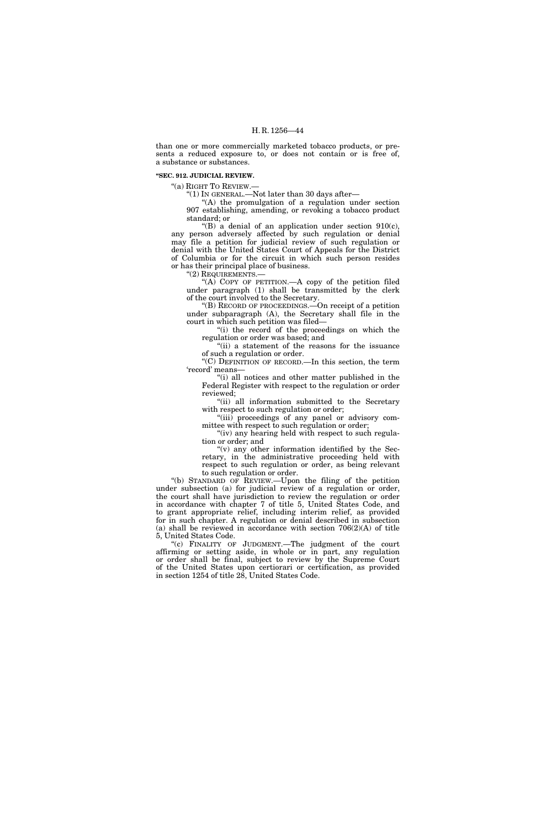than one or more commercially marketed tobacco products, or presents a reduced exposure to, or does not contain or is free of, a substance or substances.

# **''SEC. 912. JUDICIAL REVIEW.**

''(a) RIGHT TO REVIEW.—

''(1) IN GENERAL.—Not later than 30 days after—

 $(A)$  the promulgation of a regulation under section 907 establishing, amending, or revoking a tobacco product standard; or

"(B) a denial of an application under section  $910(c)$ , any person adversely affected by such regulation or denial may file a petition for judicial review of such regulation or denial with the United States Court of Appeals for the District of Columbia or for the circuit in which such person resides or has their principal place of business.

''(2) REQUIREMENTS.—

''(A) COPY OF PETITION.—A copy of the petition filed under paragraph (1) shall be transmitted by the clerk of the court involved to the Secretary.

''(B) RECORD OF PROCEEDINGS.—On receipt of a petition under subparagraph (A), the Secretary shall file in the court in which such petition was filed—

''(i) the record of the proceedings on which the regulation or order was based; and

"(ii) a statement of the reasons for the issuance of such a regulation or order.

''(C) DEFINITION OF RECORD.—In this section, the term 'record' means—

''(i) all notices and other matter published in the Federal Register with respect to the regulation or order reviewed;

''(ii) all information submitted to the Secretary with respect to such regulation or order;

"(iii) proceedings of any panel or advisory committee with respect to such regulation or order;

"(iv) any hearing held with respect to such regulation or order; and

"(v) any other information identified by the Secretary, in the administrative proceeding held with respect to such regulation or order, as being relevant to such regulation or order.

''(b) STANDARD OF REVIEW.—Upon the filing of the petition under subsection (a) for judicial review of a regulation or order, the court shall have jurisdiction to review the regulation or order in accordance with chapter 7 of title 5, United States Code, and to grant appropriate relief, including interim relief, as provided for in such chapter. A regulation or denial described in subsection (a) shall be reviewed in accordance with section  $706(2)(A)$  of title 5, United States Code.

''(c) FINALITY OF JUDGMENT.—The judgment of the court affirming or setting aside, in whole or in part, any regulation or order shall be final, subject to review by the Supreme Court of the United States upon certiorari or certification, as provided in section 1254 of title 28, United States Code.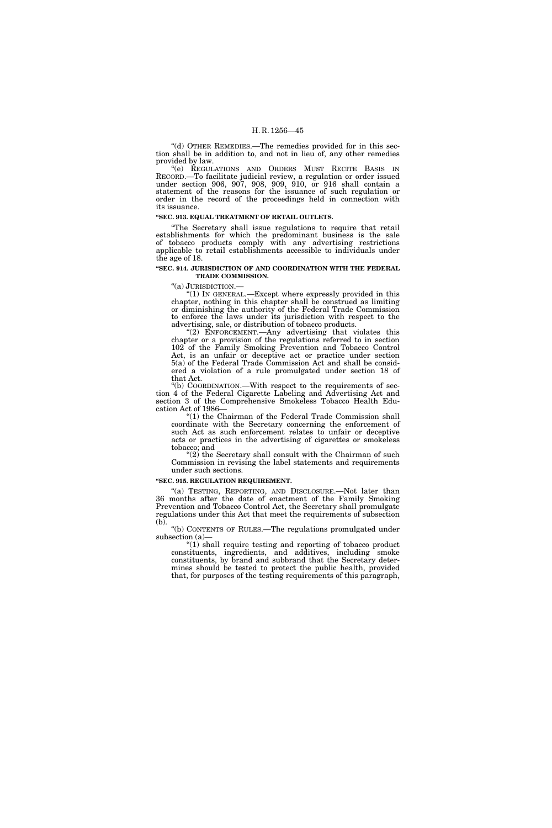''(d) OTHER REMEDIES.—The remedies provided for in this section shall be in addition to, and not in lieu of, any other remedies provided by law.

''(e) REGULATIONS AND ORDERS MUST RECITE BASIS IN RECORD.—To facilitate judicial review, a regulation or order issued under section 906, 907, 908, 909, 910, or 916 shall contain a statement of the reasons for the issuance of such regulation or order in the record of the proceedings held in connection with its issuance.

## **''SEC. 913. EQUAL TREATMENT OF RETAIL OUTLETS.**

''The Secretary shall issue regulations to require that retail establishments for which the predominant business is the sale of tobacco products comply with any advertising restrictions applicable to retail establishments accessible to individuals under the age of 18.

#### **''SEC. 914. JURISDICTION OF AND COORDINATION WITH THE FEDERAL TRADE COMMISSION.**

"(a) JURISDICTION.—<br>"(1) IN GENERAL.—Except where expressly provided in this chapter, nothing in this chapter shall be construed as limiting or diminishing the authority of the Federal Trade Commission to enforce the laws under its jurisdiction with respect to the advertising, sale, or distribution of tobacco products.

''(2) ENFORCEMENT.—Any advertising that violates this chapter or a provision of the regulations referred to in section 102 of the Family Smoking Prevention and Tobacco Control Act, is an unfair or deceptive act or practice under section 5(a) of the Federal Trade Commission Act and shall be considered a violation of a rule promulgated under section 18 of that Act.

''(b) COORDINATION.—With respect to the requirements of section 4 of the Federal Cigarette Labeling and Advertising Act and section 3 of the Comprehensive Smokeless Tobacco Health Education Act of 1986—

"(1) the Chairman of the Federal Trade Commission shall coordinate with the Secretary concerning the enforcement of such Act as such enforcement relates to unfair or deceptive acts or practices in the advertising of cigarettes or smokeless tobacco; and

"(2) the Secretary shall consult with the Chairman of such Commission in revising the label statements and requirements under such sections.

#### **''SEC. 915. REGULATION REQUIREMENT.**

"(a) TESTING, REPORTING, AND DISCLOSURE.—Not later than 36 months after the date of enactment of the Family Smoking Prevention and Tobacco Control Act, the Secretary shall promulgate regulations under this Act that meet the requirements of subsection (b).

''(b) CONTENTS OF RULES.—The regulations promulgated under subsection (a)—

"(1) shall require testing and reporting of tobacco product constituents, ingredients, and additives, including smoke constituents, by brand and subbrand that the Secretary determines should be tested to protect the public health, provided that, for purposes of the testing requirements of this paragraph,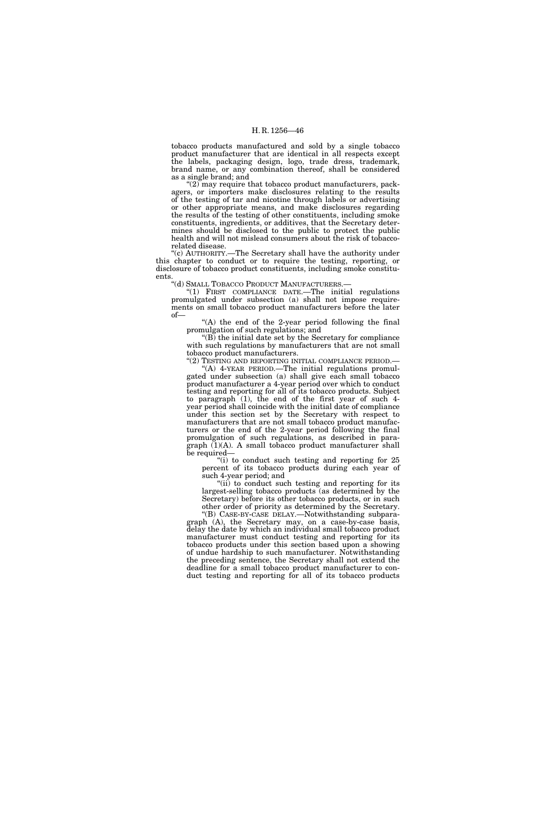tobacco products manufactured and sold by a single tobacco product manufacturer that are identical in all respects except the labels, packaging design, logo, trade dress, trademark, brand name, or any combination thereof, shall be considered as a single brand; and

 $(2)$  may require that tobacco product manufacturers, packagers, or importers make disclosures relating to the results of the testing of tar and nicotine through labels or advertising or other appropriate means, and make disclosures regarding the results of the testing of other constituents, including smoke constituents, ingredients, or additives, that the Secretary determines should be disclosed to the public to protect the public health and will not mislead consumers about the risk of tobaccorelated disease.

"(c) AUTHORITY.—The Secretary shall have the authority under this chapter to conduct or to require the testing, reporting, or disclosure of tobacco product constituents, including smoke constituents.

''(d) SMALL TOBACCO PRODUCT MANUFACTURERS.—

''(1) FIRST COMPLIANCE DATE.—The initial regulations promulgated under subsection (a) shall not impose requirements on small tobacco product manufacturers before the later of—

"(A) the end of the 2-year period following the final promulgation of such regulations; and

 $\mathrm{``(B)}$  the initial date set by the Secretary for compliance with such regulations by manufacturers that are not small tobacco product manufacturers.

"(2) TESTING AND REPORTING INITIAL COMPLIANCE PERIOD. ''(A) 4-YEAR PERIOD.—The initial regulations promulgated under subsection (a) shall give each small tobacco product manufacturer a 4-year period over which to conduct testing and reporting for all of its tobacco products. Subject to paragraph (1), the end of the first year of such 4 year period shall coincide with the initial date of compliance under this section set by the Secretary with respect to manufacturers that are not small tobacco product manufacturers or the end of the 2-year period following the final promulgation of such regulations, as described in paragraph (1)(A). A small tobacco product manufacturer shall be required—

"(i) to conduct such testing and reporting for 25 percent of its tobacco products during each year of such 4-year period; and

"(ii) to conduct such testing and reporting for its largest-selling tobacco products (as determined by the Secretary) before its other tobacco products, or in such other order of priority as determined by the Secretary.

''(B) CASE-BY-CASE DELAY.—Notwithstanding subparagraph (A), the Secretary may, on a case-by-case basis, delay the date by which an individual small tobacco product manufacturer must conduct testing and reporting for its tobacco products under this section based upon a showing of undue hardship to such manufacturer. Notwithstanding the preceding sentence, the Secretary shall not extend the deadline for a small tobacco product manufacturer to conduct testing and reporting for all of its tobacco products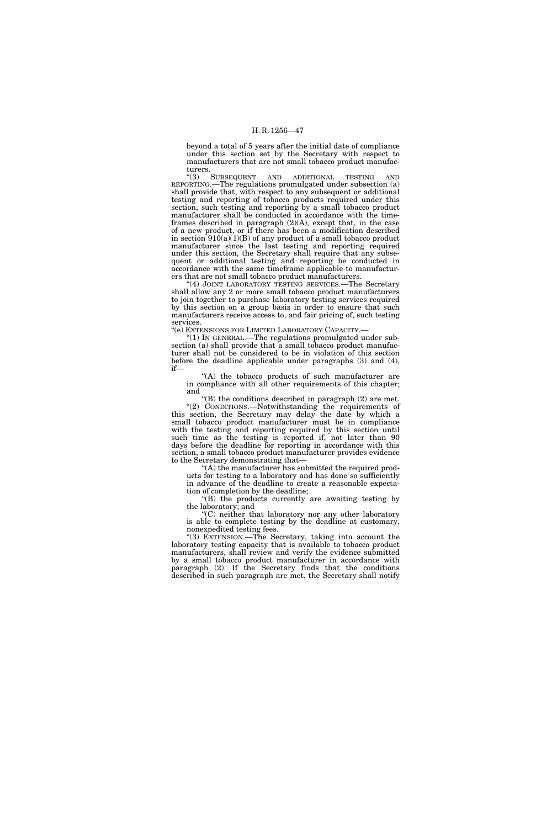beyond a total of 5 years after the initial date of compliance under this section set by the Secretary with respect to manufacturers that are not small tobacco product manufacturers.

"(3) SUBSEQUENT AND ADDITIONAL TESTING AND REPORTING.—The regulations promulgated under subsection (a) shall provide that, with respect to any subsequent or additional testing and reporting of tobacco products required under this section, such testing and reporting by a small tobacco product manufacturer shall be conducted in accordance with the timeframes described in paragraph (2)(A), except that, in the case of a new product, or if there has been a modification described in section  $910(a)(1)(B)$  of any product of a small tobacco product manufacturer since the last testing and reporting required under this section, the Secretary shall require that any subsequent or additional testing and reporting be conducted in accordance with the same timeframe applicable to manufacturers that are not small tobacco product manufacturers.

"(4) JOINT LABORATORY TESTING SERVICES.—The Secretary shall allow any 2 or more small tobacco product manufacturers to join together to purchase laboratory testing services required by this section on a group basis in order to ensure that such manufacturers receive access to, and fair pricing of, such testing services.<br>"(e) Extensions for Limited Laboratory Capacity.-

"(1) IN GENERAL.—The regulations promulgated under subsection (a) shall provide that a small tobacco product manufacturer shall not be considered to be in violation of this section before the deadline applicable under paragraphs (3) and (4), if—

''(A) the tobacco products of such manufacturer are in compliance with all other requirements of this chapter; and

''(B) the conditions described in paragraph (2) are met. ''(2) CONDITIONS.—Notwithstanding the requirements of this section, the Secretary may delay the date by which a small tobacco product manufacturer must be in compliance with the testing and reporting required by this section until such time as the testing is reported if, not later than 90 days before the deadline for reporting in accordance with this section, a small tobacco product manufacturer provides evidence to the Secretary demonstrating that—

"(A) the manufacturer has submitted the required products for testing to a laboratory and has done so sufficiently in advance of the deadline to create a reasonable expectation of completion by the deadline;

''(B) the products currently are awaiting testing by the laboratory; and

''(C) neither that laboratory nor any other laboratory is able to complete testing by the deadline at customary, nonexpedited testing fees.

"(3) EXTENSION.—The Secretary, taking into account the laboratory testing capacity that is available to tobacco product manufacturers, shall review and verify the evidence submitted by a small tobacco product manufacturer in accordance with paragraph (2). If the Secretary finds that the conditions described in such paragraph are met, the Secretary shall notify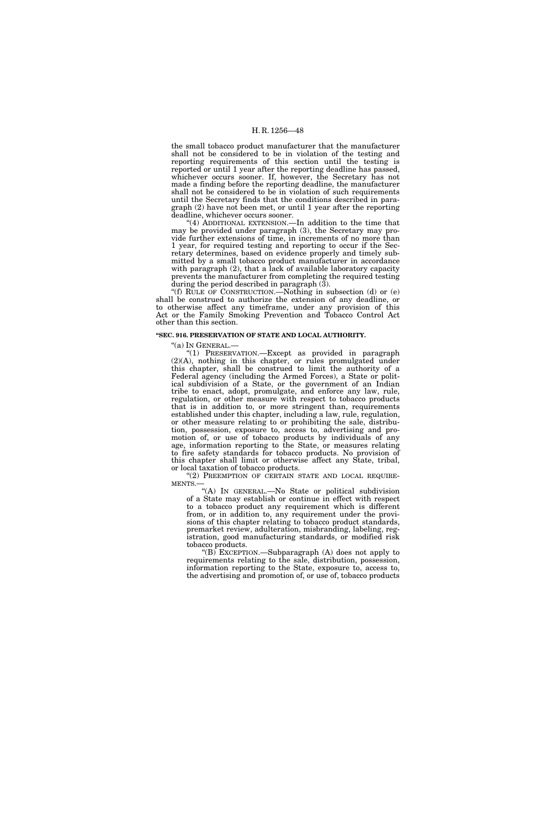the small tobacco product manufacturer that the manufacturer shall not be considered to be in violation of the testing and reporting requirements of this section until the testing is reported or until 1 year after the reporting deadline has passed, whichever occurs sooner. If, however, the Secretary has not made a finding before the reporting deadline, the manufacturer shall not be considered to be in violation of such requirements until the Secretary finds that the conditions described in paragraph (2) have not been met, or until 1 year after the reporting deadline, whichever occurs sooner.

''(4) ADDITIONAL EXTENSION.—In addition to the time that may be provided under paragraph (3), the Secretary may provide further extensions of time, in increments of no more than 1 year, for required testing and reporting to occur if the Secretary determines, based on evidence properly and timely submitted by a small tobacco product manufacturer in accordance with paragraph (2), that a lack of available laboratory capacity prevents the manufacturer from completing the required testing during the period described in paragraph (3).

''(f) RULE OF CONSTRUCTION.—Nothing in subsection (d) or (e) shall be construed to authorize the extension of any deadline, or to otherwise affect any timeframe, under any provision of this Act or the Family Smoking Prevention and Tobacco Control Act other than this section.

#### **''SEC. 916. PRESERVATION OF STATE AND LOCAL AUTHORITY.**

''(a) IN GENERAL.— ''(1) PRESERVATION.—Except as provided in paragraph (2)(A), nothing in this chapter, or rules promulgated under this chapter, shall be construed to limit the authority of a Federal agency (including the Armed Forces), a State or political subdivision of a State, or the government of an Indian tribe to enact, adopt, promulgate, and enforce any law, rule, regulation, or other measure with respect to tobacco products that is in addition to, or more stringent than, requirements established under this chapter, including a law, rule, regulation, or other measure relating to or prohibiting the sale, distribution, possession, exposure to, access to, advertising and promotion of, or use of tobacco products by individuals of any age, information reporting to the State, or measures relating to fire safety standards for tobacco products. No provision of this chapter shall limit or otherwise affect any State, tribal, or local taxation of tobacco products.

"(2) PREEMPTION OF CERTAIN STATE AND LOCAL REQUIRE-MENTS.—

''(A) IN GENERAL.—No State or political subdivision of a State may establish or continue in effect with respect to a tobacco product any requirement which is different from, or in addition to, any requirement under the provisions of this chapter relating to tobacco product standards, premarket review, adulteration, misbranding, labeling, registration, good manufacturing standards, or modified risk tobacco products.

"(B) EXCEPTION.—Subparagraph (A) does not apply to requirements relating to the sale, distribution, possession, information reporting to the State, exposure to, access to, the advertising and promotion of, or use of, tobacco products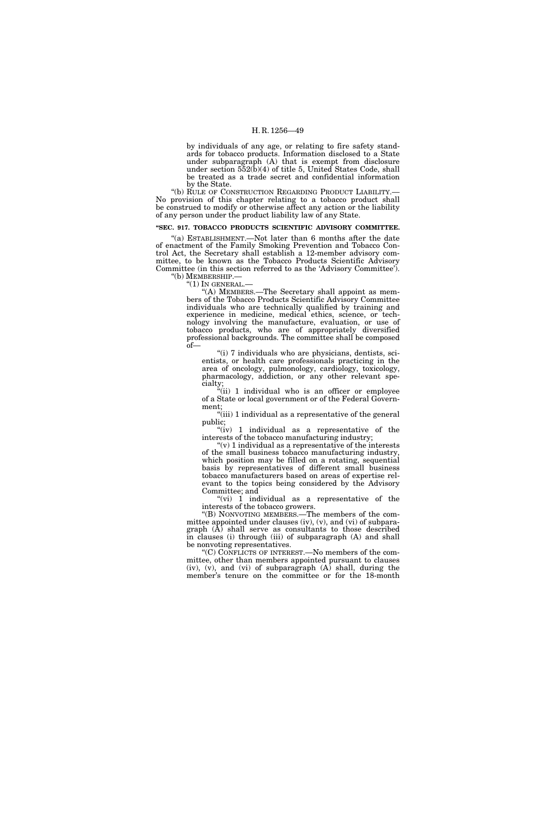by individuals of any age, or relating to fire safety standards for tobacco products. Information disclosed to a State under subparagraph (A) that is exempt from disclosure under section 552(b)(4) of title 5, United States Code, shall be treated as a trade secret and confidential information by the State.

"(b) RULE OF CONSTRUCTION REGARDING PRODUCT LIABILITY.-No provision of this chapter relating to a tobacco product shall be construed to modify or otherwise affect any action or the liability of any person under the product liability law of any State.

#### **''SEC. 917. TOBACCO PRODUCTS SCIENTIFIC ADVISORY COMMITTEE.**

"(a) ESTABLISHMENT.—Not later than 6 months after the date of enactment of the Family Smoking Prevention and Tobacco Control Act, the Secretary shall establish a 12-member advisory committee, to be known as the Tobacco Products Scientific Advisory Committee (in this section referred to as the 'Advisory Committee').

"(b) MEMBERSHIP.—<br>"(1) In general.

"(A) MEMBERS.—The Secretary shall appoint as members of the Tobacco Products Scientific Advisory Committee individuals who are technically qualified by training and experience in medicine, medical ethics, science, or technology involving the manufacture, evaluation, or use of tobacco products, who are of appropriately diversified professional backgrounds. The committee shall be composed of—

''(i) 7 individuals who are physicians, dentists, scientists, or health care professionals practicing in the area of oncology, pulmonology, cardiology, toxicology, pharmacology, addiction, or any other relevant specialty;

''(ii) 1 individual who is an officer or employee of a State or local government or of the Federal Government;

''(iii) 1 individual as a representative of the general public;

" $(iv)$  1 individual as a representative of the interests of the tobacco manufacturing industry;

" $(v)$  1 individual as a representative of the interests" of the small business tobacco manufacturing industry, which position may be filled on a rotating, sequential basis by representatives of different small business tobacco manufacturers based on areas of expertise relevant to the topics being considered by the Advisory Committee; and

" $(vi)$  1 individual as a representative of the interests of the tobacco growers.

''(B) NONVOTING MEMBERS.—The members of the committee appointed under clauses (iv), (v), and (vi) of subparagraph (A) shall serve as consultants to those described in clauses (i) through (iii) of subparagraph (A) and shall be nonvoting representatives.

''(C) CONFLICTS OF INTEREST.—No members of the committee, other than members appointed pursuant to clauses (iv), (v), and (vi) of subparagraph  $(A)$  shall, during the member's tenure on the committee or for the 18-month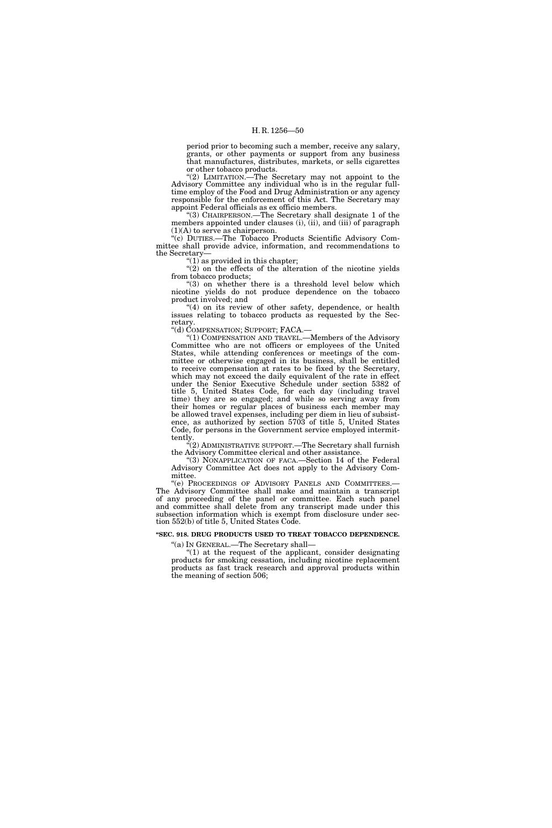period prior to becoming such a member, receive any salary, grants, or other payments or support from any business that manufactures, distributes, markets, or sells cigarettes or other tobacco products.

"(2) LIMITATION.—The Secretary may not appoint to the Advisory Committee any individual who is in the regular fulltime employ of the Food and Drug Administration or any agency responsible for the enforcement of this Act. The Secretary may appoint Federal officials as ex officio members.

''(3) CHAIRPERSON.—The Secretary shall designate 1 of the members appointed under clauses (i), (ii), and (iii) of paragraph (1)(A) to serve as chairperson.

''(c) DUTIES.—The Tobacco Products Scientific Advisory Committee shall provide advice, information, and recommendations to the Secretary—

 $(1)$  as provided in this chapter;

"(2) on the effects of the alteration of the nicotine yields from tobacco products;

"(3) on whether there is a threshold level below which nicotine yields do not produce dependence on the tobacco product involved; and

''(4) on its review of other safety, dependence, or health issues relating to tobacco products as requested by the Secretary.

''(d) COMPENSATION; SUPPORT; FACA.—

''(1) COMPENSATION AND TRAVEL.—Members of the Advisory Committee who are not officers or employees of the United States, while attending conferences or meetings of the committee or otherwise engaged in its business, shall be entitled to receive compensation at rates to be fixed by the Secretary, which may not exceed the daily equivalent of the rate in effect under the Senior Executive Schedule under section 5382 of title 5, United States Code, for each day (including travel time) they are so engaged; and while so serving away from their homes or regular places of business each member may be allowed travel expenses, including per diem in lieu of subsistence, as authorized by section 5703 of title 5, United States Code, for persons in the Government service employed intermittently.

''(2) ADMINISTRATIVE SUPPORT.—The Secretary shall furnish the Advisory Committee clerical and other assistance.

''(3) NONAPPLICATION OF FACA.—Section 14 of the Federal Advisory Committee Act does not apply to the Advisory Committee.

"(e) PROCEEDINGS OF ADVISORY PANELS AND COMMITTEES.-The Advisory Committee shall make and maintain a transcript of any proceeding of the panel or committee. Each such panel and committee shall delete from any transcript made under this subsection information which is exempt from disclosure under section 552(b) of title 5, United States Code.

# **''SEC. 918. DRUG PRODUCTS USED TO TREAT TOBACCO DEPENDENCE.**

''(a) IN GENERAL.—The Secretary shall—

 $(1)$  at the request of the applicant, consider designating products for smoking cessation, including nicotine replacement products as fast track research and approval products within the meaning of section 506;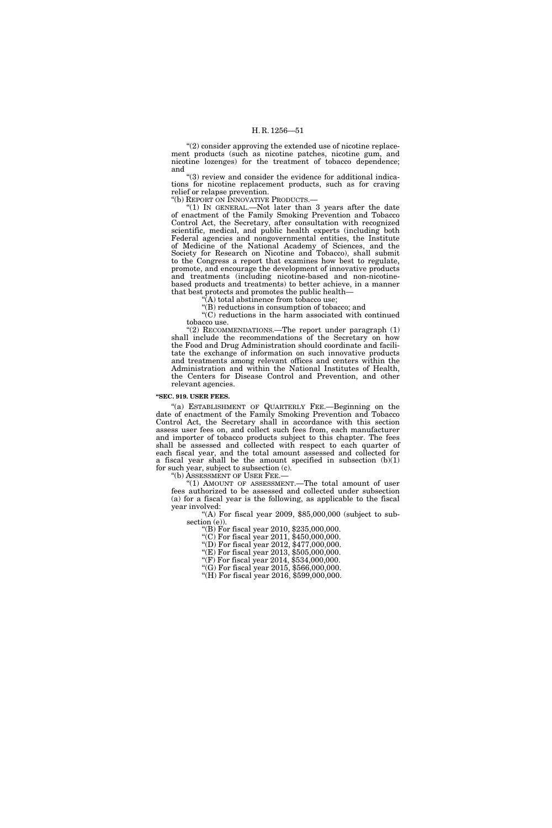$\degree$ (2) consider approving the extended use of nicotine replacement products (such as nicotine patches, nicotine gum, and nicotine lozenges) for the treatment of tobacco dependence; and

"(3) review and consider the evidence for additional indications for nicotine replacement products, such as for craving relief or relapse prevention.

''(b) REPORT ON INNOVATIVE PRODUCTS.—

''(1) IN GENERAL.—Not later than 3 years after the date of enactment of the Family Smoking Prevention and Tobacco Control Act, the Secretary, after consultation with recognized scientific, medical, and public health experts (including both Federal agencies and nongovernmental entities, the Institute of Medicine of the National Academy of Sciences, and the Society for Research on Nicotine and Tobacco), shall submit to the Congress a report that examines how best to regulate, promote, and encourage the development of innovative products and treatments (including nicotine-based and non-nicotinebased products and treatments) to better achieve, in a manner that best protects and promotes the public health—

 $\hat{A}$ ) total abstinence from tobacco use;

''(B) reductions in consumption of tobacco; and ''(C) reductions in the harm associated with continued tobacco use.

''(2) RECOMMENDATIONS.—The report under paragraph (1) shall include the recommendations of the Secretary on how the Food and Drug Administration should coordinate and facilitate the exchange of information on such innovative products and treatments among relevant offices and centers within the Administration and within the National Institutes of Health, the Centers for Disease Control and Prevention, and other relevant agencies.

#### **''SEC. 919. USER FEES.**

"(a) ESTABLISHMENT OF QUARTERLY FEE.-Beginning on the date of enactment of the Family Smoking Prevention and Tobacco Control Act, the Secretary shall in accordance with this section assess user fees on, and collect such fees from, each manufacturer and importer of tobacco products subject to this chapter. The fees shall be assessed and collected with respect to each quarter of each fiscal year, and the total amount assessed and collected for a fiscal year shall be the amount specified in subsection (b)(1) for such year, subject to subsection (c).

''(b) ASSESSMENT OF USER FEE.—

''(1) AMOUNT OF ASSESSMENT.—The total amount of user fees authorized to be assessed and collected under subsection (a) for a fiscal year is the following, as applicable to the fiscal year involved:

''(A) For fiscal year 2009, \$85,000,000 (subject to subsection (e)).

''(B) For fiscal year 2010, \$235,000,000.

 $\sqrt{\text{°(C)}}$  For fiscal year 2011, \$450,000,000.

''(D) For fiscal year 2012, \$477,000,000.

''(E) For fiscal year 2013, \$505,000,000.

''(F) For fiscal year 2014, \$534,000,000. ''(G) For fiscal year 2015, \$566,000,000.

''(H) For fiscal year 2016, \$599,000,000.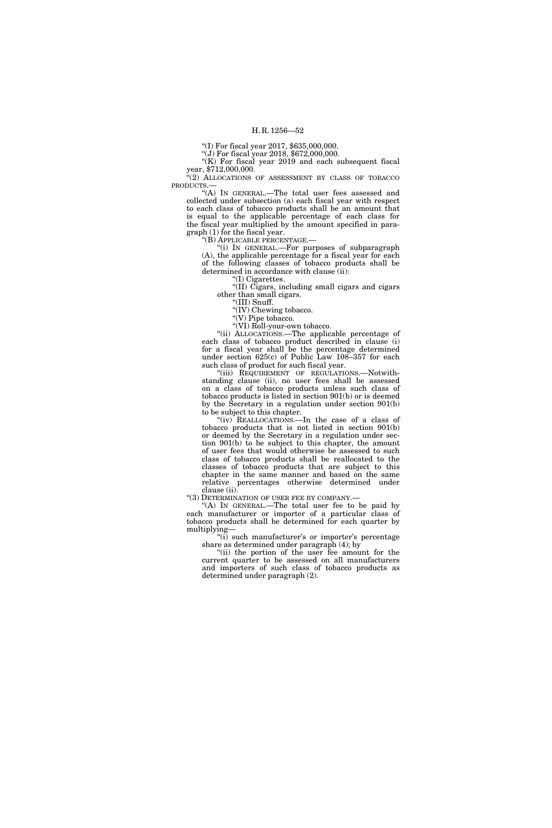''(I) For fiscal year 2017, \$635,000,000.

''(J) For fiscal year 2018, \$672,000,000.

"(K) For fiscal year 2019 and each subsequent fiscal year, \$712,000,000.

"(2) ALLOCATIONS OF ASSESSMENT BY CLASS OF TOBACCO PRODUCTS.—

"(A) IN GENERAL.—The total user fees assessed and collected under subsection (a) each fiscal year with respect to each class of tobacco products shall be an amount that is equal to the applicable percentage of each class for the fiscal year multiplied by the amount specified in paragraph (1) for the fiscal year.

''(B) APPLICABLE PERCENTAGE.—

''(i) IN GENERAL.—For purposes of subparagraph (A), the applicable percentage for a fiscal year for each of the following classes of tobacco products shall be determined in accordance with clause (ii):

''(I) Cigarettes. ''(II) Cigars, including small cigars and cigars other than small cigars.

''(III) Snuff.

"(IV) Chewing tobacco.

"(V) Pipe tobacco.

''(VI) Roll-your-own tobacco.

"(ii) ALLOCATIONS.—The applicable percentage of each class of tobacco product described in clause (i) for a fiscal year shall be the percentage determined under section 625(c) of Public Law 108–357 for each such class of product for such fiscal year.

"(iii) REQUIREMENT OF REGULATIONS.—Notwithstanding clause (ii), no user fees shall be assessed on a class of tobacco products unless such class of tobacco products is listed in section 901(b) or is deemed by the Secretary in a regulation under section 901(b) to be subject to this chapter.

"(iv) REALLOCATIONS.—In the case of a class of tobacco products that is not listed in section 901(b) or deemed by the Secretary in a regulation under section 901(b) to be subject to this chapter, the amount of user fees that would otherwise be assessed to such class of tobacco products shall be reallocated to the classes of tobacco products that are subject to this chapter in the same manner and based on the same relative percentages otherwise determined under clause (ii).

"(3) DETERMINATION OF USER FEE BY COMPANY.-

''(A) IN GENERAL.—The total user fee to be paid by each manufacturer or importer of a particular class of tobacco products shall be determined for each quarter by multiplying—

"(i) such manufacturer's or importer's percentage share as determined under paragraph (4); by

"(ii) the portion of the user fee amount for the current quarter to be assessed on all manufacturers and importers of such class of tobacco products as determined under paragraph (2).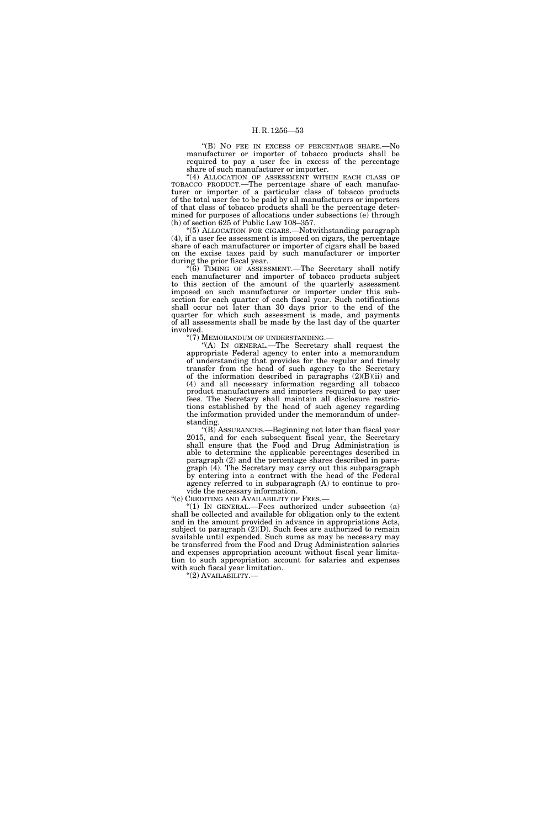''(B) NO FEE IN EXCESS OF PERCENTAGE SHARE.—No manufacturer or importer of tobacco products shall be required to pay a user fee in excess of the percentage share of such manufacturer or importer.

"(4) ALLOCATION OF ASSESSMENT WITHIN EACH CLASS OF TOBACCO PRODUCT.—The percentage share of each manufacturer or importer of a particular class of tobacco products of the total user fee to be paid by all manufacturers or importers of that class of tobacco products shall be the percentage determined for purposes of allocations under subsections (e) through (h) of section 625 of Public Law 108–357.

''(5) ALLOCATION FOR CIGARS.—Notwithstanding paragraph (4), if a user fee assessment is imposed on cigars, the percentage share of each manufacturer or importer of cigars shall be based on the excise taxes paid by such manufacturer or importer during the prior fiscal year.

''(6) TIMING OF ASSESSMENT.—The Secretary shall notify each manufacturer and importer of tobacco products subject to this section of the amount of the quarterly assessment imposed on such manufacturer or importer under this subsection for each quarter of each fiscal year. Such notifications shall occur not later than 30 days prior to the end of the quarter for which such assessment is made, and payments of all assessments shall be made by the last day of the quarter involved.

''(7) MEMORANDUM OF UNDERSTANDING.—

"(A) IN GENERAL.—The Secretary shall request the appropriate Federal agency to enter into a memorandum of understanding that provides for the regular and timely transfer from the head of such agency to the Secretary of the information described in paragraphs  $(2)(B)(ii)$  and (4) and all necessary information regarding all tobacco product manufacturers and importers required to pay user fees. The Secretary shall maintain all disclosure restrictions established by the head of such agency regarding the information provided under the memorandum of understanding.

''(B) ASSURANCES.—Beginning not later than fiscal year 2015, and for each subsequent fiscal year, the Secretary shall ensure that the Food and Drug Administration is able to determine the applicable percentages described in paragraph (2) and the percentage shares described in para $graph$  ( $\overline{4}$ ). The Secretary may carry out this subparagraph by entering into a contract with the head of the Federal agency referred to in subparagraph (A) to continue to pro-

vide the necessary information.<br>"(c) CREDITING AND AVAILABILITY OF FEES.—

"(1) IN GENERAL.—Fees authorized under subsection  $(a)$ shall be collected and available for obligation only to the extent and in the amount provided in advance in appropriations Acts, subject to paragraph (2)(D). Such fees are authorized to remain available until expended. Such sums as may be necessary may be transferred from the Food and Drug Administration salaries and expenses appropriation account without fiscal year limitation to such appropriation account for salaries and expenses with such fiscal year limitation.

''(2) AVAILABILITY.—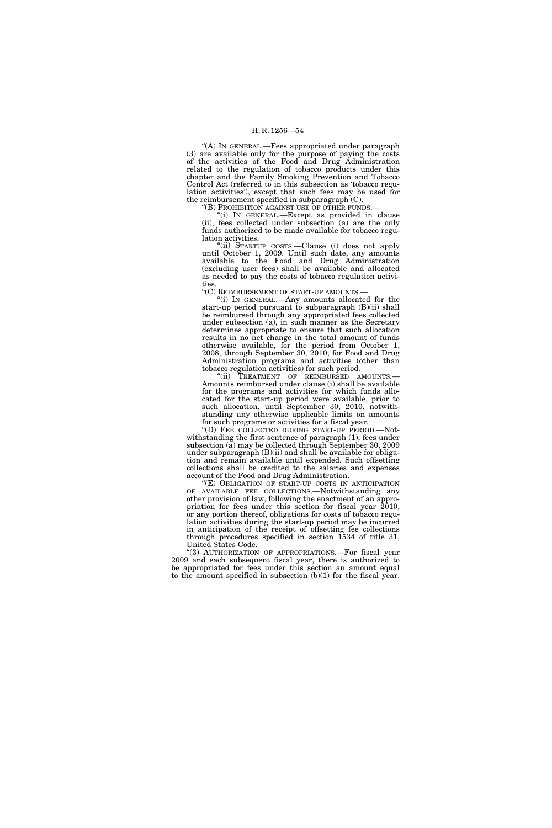''(A) IN GENERAL.—Fees appropriated under paragraph (3) are available only for the purpose of paying the costs of the activities of the Food and Drug Administration related to the regulation of tobacco products under this chapter and the Family Smoking Prevention and Tobacco Control Act (referred to in this subsection as 'tobacco regulation activities'), except that such fees may be used for the reimbursement specified in subparagraph (C).

''(B) PROHIBITION AGAINST USE OF OTHER FUNDS.—

''(i) IN GENERAL.—Except as provided in clause (ii), fees collected under subsection (a) are the only funds authorized to be made available for tobacco regulation activities.

''(ii) STARTUP COSTS.—Clause (i) does not apply until October 1, 2009. Until such date, any amounts available to the Food and Drug Administration (excluding user fees) shall be available and allocated as needed to pay the costs of tobacco regulation activities.

''(C) REIMBURSEMENT OF START-UP AMOUNTS.—

''(i) IN GENERAL.—Any amounts allocated for the start-up period pursuant to subparagraph  $(B)(ii)$  shall be reimbursed through any appropriated fees collected under subsection (a), in such manner as the Secretary determines appropriate to ensure that such allocation results in no net change in the total amount of funds otherwise available, for the period from October 1, 2008, through September 30, 2010, for Food and Drug Administration programs and activities (other than tobacco regulation activities) for such period.<br>"(ii) TREATMENT OF REIMBURSED A

''(ii) TREATMENT OF REIMBURSED AMOUNTS.— Amounts reimbursed under clause (i) shall be available for the programs and activities for which funds allocated for the start-up period were available, prior to such allocation, until September 30, 2010, notwithstanding any otherwise applicable limits on amounts for such programs or activities for a fiscal year.

''(D) FEE COLLECTED DURING START-UP PERIOD.—Notwithstanding the first sentence of paragraph (1), fees under subsection (a) may be collected through September 30, 2009 under subparagraph (B)(ii) and shall be available for obligation and remain available until expended. Such offsetting collections shall be credited to the salaries and expenses account of the Food and Drug Administration.

''(E) OBLIGATION OF START-UP COSTS IN ANTICIPATION OF AVAILABLE FEE COLLECTIONS.—Notwithstanding any other provision of law, following the enactment of an appropriation for fees under this section for fiscal year 2010, or any portion thereof, obligations for costs of tobacco regulation activities during the start-up period may be incurred in anticipation of the receipt of offsetting fee collections through procedures specified in section 1534 of title 31, United States Code.

"(3) AUTHORIZATION OF APPROPRIATIONS.—For fiscal year 2009 and each subsequent fiscal year, there is authorized to be appropriated for fees under this section an amount equal to the amount specified in subsection (b)(1) for the fiscal year.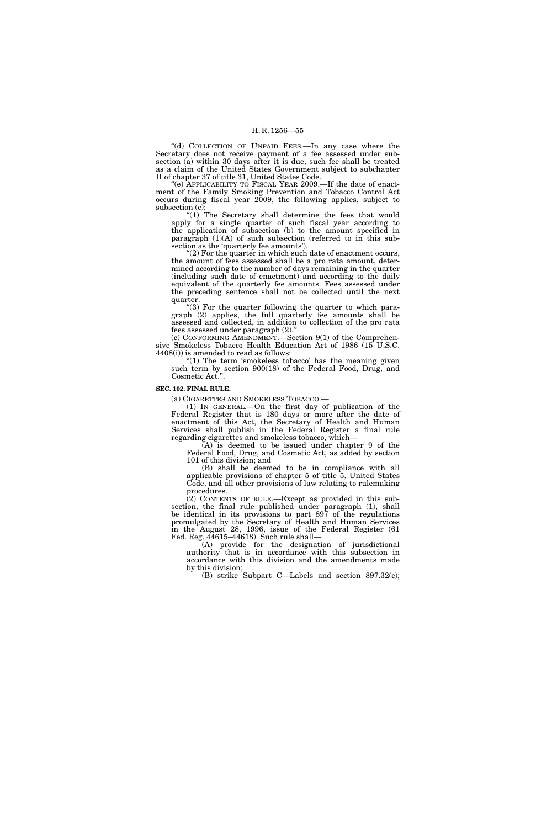''(d) COLLECTION OF UNPAID FEES.—In any case where the Secretary does not receive payment of a fee assessed under subsection (a) within 30 days after it is due, such fee shall be treated as a claim of the United States Government subject to subchapter II of chapter 37 of title 31, United States Code.

"(e) APPLICABILITY TO FISCAL YEAR 2009.—If the date of enactment of the Family Smoking Prevention and Tobacco Control Act occurs during fiscal year 2009, the following applies, subject to subsection (c):

 $(1)$  The Secretary shall determine the fees that would apply for a single quarter of such fiscal year according to the application of subsection (b) to the amount specified in paragraph (1)(A) of such subsection (referred to in this subsection as the 'quarterly fee amounts').

''(2) For the quarter in which such date of enactment occurs, the amount of fees assessed shall be a pro rata amount, determined according to the number of days remaining in the quarter (including such date of enactment) and according to the daily equivalent of the quarterly fee amounts. Fees assessed under the preceding sentence shall not be collected until the next quarter.

''(3) For the quarter following the quarter to which paragraph (2) applies, the full quarterly fee amounts shall be assessed and collected, in addition to collection of the pro rata fees assessed under paragraph (2).''.

(c) CONFORMING AMENDMENT.—Section 9(1) of the Comprehensive Smokeless Tobacco Health Education Act of 1986 (15 U.S.C. 4408(i)) is amended to read as follows:

" $(1)$  The term 'smokeless tobacco' has the meaning given such term by section 900(18) of the Federal Food, Drug, and Cosmetic Act."

#### **SEC. 102. FINAL RULE.**

(a) CIGARETTES AND SMOKELESS TOBACCO.— (1) IN GENERAL.—On the first day of publication of the Federal Register that is 180 days or more after the date of enactment of this Act, the Secretary of Health and Human Services shall publish in the Federal Register a final rule regarding cigarettes and smokeless tobacco, which—

(A) is deemed to be issued under chapter 9 of the Federal Food, Drug, and Cosmetic Act, as added by section 101 of this division; and

(B) shall be deemed to be in compliance with all applicable provisions of chapter 5 of title 5, United States Code, and all other provisions of law relating to rulemaking procedures.

 $(2)$  CONTENTS OF RULE.—Except as provided in this subsection, the final rule published under paragraph (1), shall be identical in its provisions to part 897 of the regulations promulgated by the Secretary of Health and Human Services in the August 28, 1996, issue of the Federal Register (61 Fed. Reg. 44615–44618). Such rule shall—

(A) provide for the designation of jurisdictional authority that is in accordance with this subsection in accordance with this division and the amendments made by this division;

(B) strike Subpart C—Labels and section 897.32(c);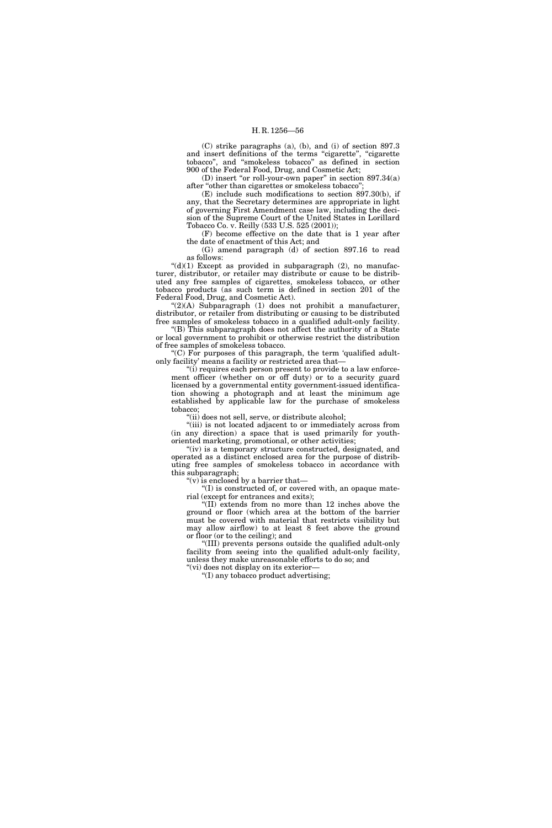(C) strike paragraphs (a), (b), and (i) of section 897.3 and insert definitions of the terms "cigarette", "cigarette tobacco'', and ''smokeless tobacco'' as defined in section 900 of the Federal Food, Drug, and Cosmetic Act;

(D) insert "or roll-your-own paper" in section  $897.34(a)$ after ''other than cigarettes or smokeless tobacco'';

(E) include such modifications to section 897.30(b), if any, that the Secretary determines are appropriate in light of governing First Amendment case law, including the decision of the Supreme Court of the United States in Lorillard Tobacco Co. v. Reilly (533 U.S. 525 (2001));

(F) become effective on the date that is 1 year after the date of enactment of this Act; and

(G) amend paragraph (d) of section 897.16 to read as follows:

''(d)(1) Except as provided in subparagraph (2), no manufacturer, distributor, or retailer may distribute or cause to be distributed any free samples of cigarettes, smokeless tobacco, or other tobacco products (as such term is defined in section 201 of the Federal Food, Drug, and Cosmetic Act).

" $(2)(A)$  Subparagraph  $(1)$  does not prohibit a manufacturer, distributor, or retailer from distributing or causing to be distributed free samples of smokeless tobacco in a qualified adult-only facility.

''(B) This subparagraph does not affect the authority of a State or local government to prohibit or otherwise restrict the distribution of free samples of smokeless tobacco.

''(C) For purposes of this paragraph, the term 'qualified adultonly facility' means a facility or restricted area that—

"(i) requires each person present to provide to a law enforcement officer (whether on or off duty) or to a security guard licensed by a governmental entity government-issued identification showing a photograph and at least the minimum age established by applicable law for the purchase of smokeless tobacco;

"(ii) does not sell, serve, or distribute alcohol;

''(iii) is not located adjacent to or immediately across from (in any direction) a space that is used primarily for youthoriented marketing, promotional, or other activities;

"(iv) is a temporary structure constructed, designated, and operated as a distinct enclosed area for the purpose of distributing free samples of smokeless tobacco in accordance with this subparagraph;

" $(v)$  is enclosed by a barrier that-

''(I) is constructed of, or covered with, an opaque material (except for entrances and exits);

''(II) extends from no more than 12 inches above the ground or floor (which area at the bottom of the barrier must be covered with material that restricts visibility but may allow airflow) to at least 8 feet above the ground or floor (or to the ceiling); and

''(III) prevents persons outside the qualified adult-only facility from seeing into the qualified adult-only facility, unless they make unreasonable efforts to do so; and ''(vi) does not display on its exterior—

''(I) any tobacco product advertising;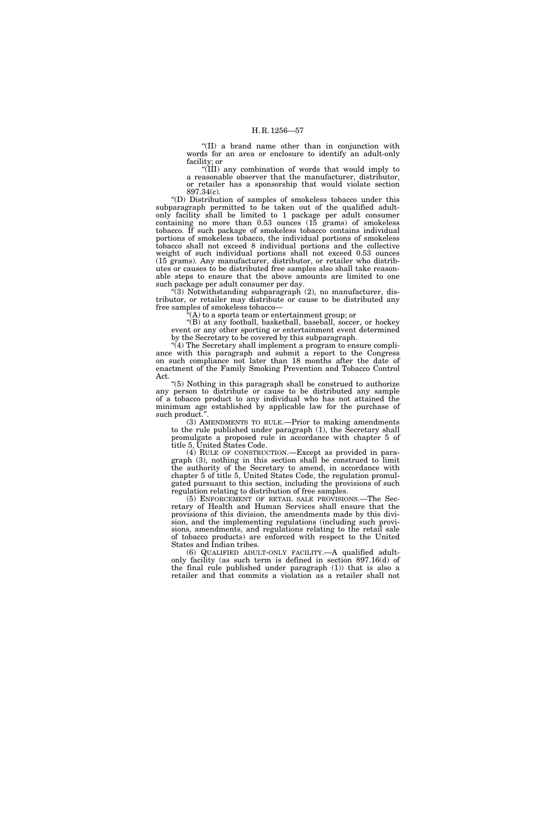''(II) a brand name other than in conjunction with words for an area or enclosure to identify an adult-only facility; or

''(III) any combination of words that would imply to a reasonable observer that the manufacturer, distributor, or retailer has a sponsorship that would violate section 897.34(c).

''(D) Distribution of samples of smokeless tobacco under this subparagraph permitted to be taken out of the qualified adultonly facility shall be limited to 1 package per adult consumer containing no more than 0.53 ounces (15 grams) of smokeless tobacco. If such package of smokeless tobacco contains individual portions of smokeless tobacco, the individual portions of smokeless tobacco shall not exceed 8 individual portions and the collective weight of such individual portions shall not exceed 0.53 ounces (15 grams). Any manufacturer, distributor, or retailer who distributes or causes to be distributed free samples also shall take reasonable steps to ensure that the above amounts are limited to one such package per adult consumer per day.

''(3) Notwithstanding subparagraph (2), no manufacturer, distributor, or retailer may distribute or cause to be distributed any free samples of smokeless tobacco—

 $\mathbf{F}^{\mathsf{r}}(A)$  to a sports team or entertainment group; or

"(B) at any football, basketball, baseball, soccer, or hockey event or any other sporting or entertainment event determined by the Secretary to be covered by this subparagraph.

 $\mathcal{H}(4)$  The Secretary shall implement a program to ensure compliance with this paragraph and submit a report to the Congress on such compliance not later than 18 months after the date of enactment of the Family Smoking Prevention and Tobacco Control Act.

''(5) Nothing in this paragraph shall be construed to authorize any person to distribute or cause to be distributed any sample of a tobacco product to any individual who has not attained the minimum age established by applicable law for the purchase of such product.'

(3) AMENDMENTS TO RULE.—Prior to making amendments to the rule published under paragraph (1), the Secretary shall promulgate a proposed rule in accordance with chapter 5 of title 5, United States Code.

(4) RULE OF CONSTRUCTION.—Except as provided in paragraph (3), nothing in this section shall be construed to limit the authority of the Secretary to amend, in accordance with chapter 5 of title 5, United States Code, the regulation promulgated pursuant to this section, including the provisions of such regulation relating to distribution of free samples.

(5) ENFORCEMENT OF RETAIL SALE PROVISIONS.—The Secretary of Health and Human Services shall ensure that the provisions of this division, the amendments made by this division, and the implementing regulations (including such provisions, amendments, and regulations relating to the retail sale of tobacco products) are enforced with respect to the United States and Indian tribes.

(6) QUALIFIED ADULT-ONLY FACILITY.—A qualified adultonly facility (as such term is defined in section 897.16(d) of the final rule published under paragraph (1)) that is also a retailer and that commits a violation as a retailer shall not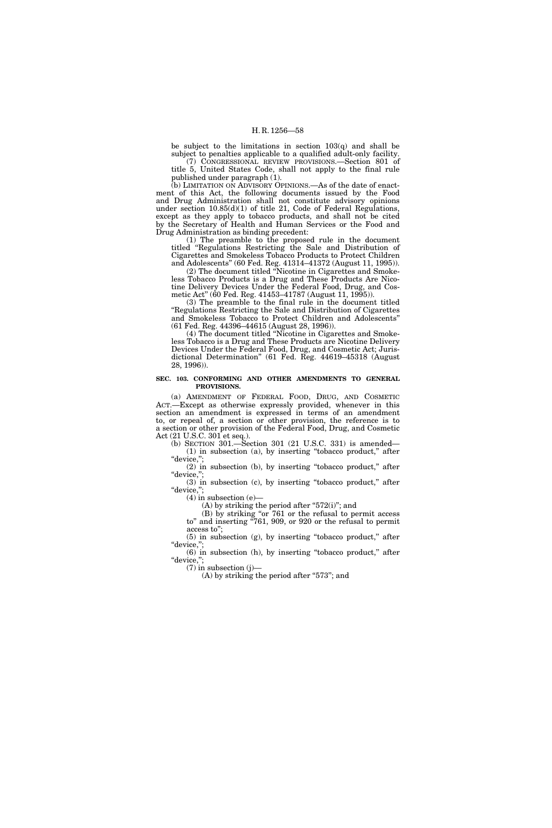be subject to the limitations in section 103(q) and shall be subject to penalties applicable to a qualified adult-only facility.

(7) CONGRESSIONAL REVIEW PROVISIONS.—Section 801 of title 5, United States Code, shall not apply to the final rule published under paragraph (1).

(b) LIMITATION ON ADVISORY OPINIONS.—As of the date of enactment of this Act, the following documents issued by the Food and Drug Administration shall not constitute advisory opinions under section 10.85(d)(1) of title 21, Code of Federal Regulations, except as they apply to tobacco products, and shall not be cited by the Secretary of Health and Human Services or the Food and Drug Administration as binding precedent:

(1) The preamble to the proposed rule in the document titled ''Regulations Restricting the Sale and Distribution of Cigarettes and Smokeless Tobacco Products to Protect Children and Adolescents'' (60 Fed. Reg. 41314–41372 (August 11, 1995)).

(2) The document titled ''Nicotine in Cigarettes and Smokeless Tobacco Products is a Drug and These Products Are Nicotine Delivery Devices Under the Federal Food, Drug, and Cosmetic Act" (60 Fed. Reg. 41453–41787 (August 11, 1995)).

(3) The preamble to the final rule in the document titled ''Regulations Restricting the Sale and Distribution of Cigarettes and Smokeless Tobacco to Protect Children and Adolescents'' (61 Fed. Reg. 44396–44615 (August 28, 1996)).

(4) The document titled ''Nicotine in Cigarettes and Smokeless Tobacco is a Drug and These Products are Nicotine Delivery Devices Under the Federal Food, Drug, and Cosmetic Act; Jurisdictional Determination'' (61 Fed. Reg. 44619–45318 (August 28, 1996)).

## **SEC. 103. CONFORMING AND OTHER AMENDMENTS TO GENERAL PROVISIONS.**

(a) AMENDMENT OF FEDERAL FOOD, DRUG, AND COSMETIC ACT.—Except as otherwise expressly provided, whenever in this section an amendment is expressed in terms of an amendment to, or repeal of, a section or other provision, the reference is to a section or other provision of the Federal Food, Drug, and Cosmetic Act (21 U.S.C. 301 et seq.).

(b) SECTION 301.—Section 301 (21 U.S.C. 331) is amended— (1) in subsection (a), by inserting ''tobacco product,'' after "device,

(2) in subsection (b), by inserting ''tobacco product,'' after "device,";

(3) in subsection (c), by inserting ''tobacco product,'' after "device,";

 $(4)$  in subsection  $(e)$ 

(A) by striking the period after " $572(i)$ "; and

(B) by striking ''or 761 or the refusal to permit access to'' and inserting ''761, 909, or 920 or the refusal to permit access to'';

(5) in subsection (g), by inserting ''tobacco product,'' after "device,";

(6) in subsection (h), by inserting ''tobacco product,'' after "device,";

 $(7)$  in subsection  $(j)$ —

(A) by striking the period after "573"; and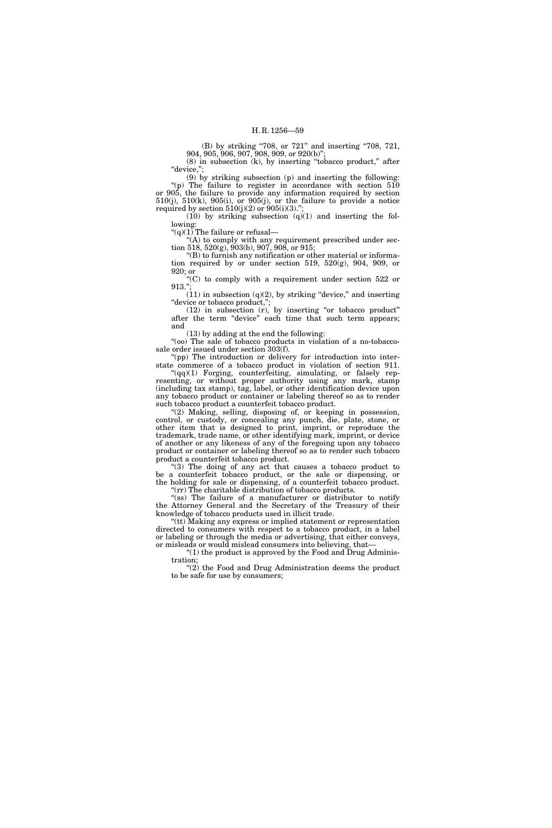(B) by striking "708, or 721" and inserting "708, 721, 904, 905, 906, 907, 908, 909, or 920(b)'';

(8) in subsection (k), by inserting ''tobacco product,'' after "device,

(9) by striking subsection (p) and inserting the following: ''(p) The failure to register in accordance with section 510 or 905, the failure to provide any information required by section  $510(j)$ ,  $510(k)$ ,  $905(i)$ , or  $905(j)$ , or the failure to provide a notice required by section  $510(j)(2)$  or  $905(i)(3)$ .";

 $(10)$  by striking subsection  $(q)(1)$  and inserting the following:

" $(q)(1)$  The failure or refusal-

"(A) to comply with any requirement prescribed under section 518, 520(g), 903(b), 907, 908, or 915;

''(B) to furnish any notification or other material or information required by or under section 519, 520(g), 904, 909, or 920; or

''(C) to comply with a requirement under section 522 or 913.'';

 $(11)$  in subsection  $(q)(2)$ , by striking "device," and inserting ''device or tobacco product,'';

(12) in subsection (r), by inserting ''or tobacco product'' after the term "device" each time that such term appears; and

(13) by adding at the end the following:

''(oo) The sale of tobacco products in violation of a no-tobaccosale order issued under section 303(f).

"(pp) The introduction or delivery for introduction into interstate commerce of a tobacco product in violation of section 911.

''(qq)(1) Forging, counterfeiting, simulating, or falsely representing, or without proper authority using any mark, stamp (including tax stamp), tag, label, or other identification device upon any tobacco product or container or labeling thereof so as to render such tobacco product a counterfeit tobacco product.

''(2) Making, selling, disposing of, or keeping in possession, control, or custody, or concealing any punch, die, plate, stone, or other item that is designed to print, imprint, or reproduce the trademark, trade name, or other identifying mark, imprint, or device of another or any likeness of any of the foregoing upon any tobacco product or container or labeling thereof so as to render such tobacco product a counterfeit tobacco product.

''(3) The doing of any act that causes a tobacco product to be a counterfeit tobacco product, or the sale or dispensing, or the holding for sale or dispensing, of a counterfeit tobacco product. "(rr) The charitable distribution of tobacco products.

"(ss) The failure of a manufacturer or distributor to notify the Attorney General and the Secretary of the Treasury of their knowledge of tobacco products used in illicit trade.

''(tt) Making any express or implied statement or representation directed to consumers with respect to a tobacco product, in a label or labeling or through the media or advertising, that either conveys, or misleads or would mislead consumers into believing, that—

 $''(1)$  the product is approved by the Food and Drug Administration;

"(2) the Food and Drug Administration deems the product to be safe for use by consumers;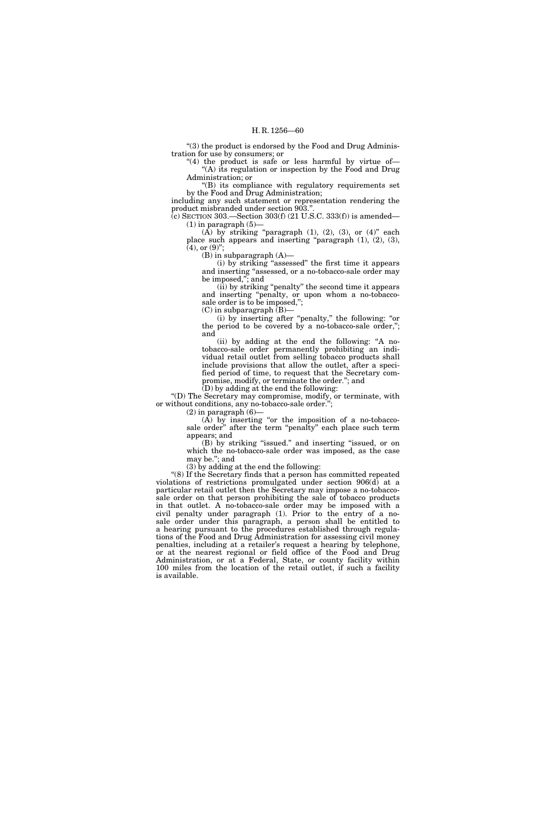''(3) the product is endorsed by the Food and Drug Administration for use by consumers; or

" $(4)$  the product is safe or less harmful by virtue of-''(A) its regulation or inspection by the Food and Drug Administration; or

''(B) its compliance with regulatory requirements set by the Food and Drug Administration;

including any such statement or representation rendering the product misbranded under section 903."  $\tilde{c}$  (c) SECTION 303.—Section 303(f) (21 U.S.C. 333(f)) is amended—

 $(1)$  in paragraph  $(5)$ 

 $(A)$  by striking "paragraph  $(1)$ ,  $(2)$ ,  $(3)$ , or  $(4)$ " each place such appears and inserting "paragraph (1), (2), (3),  $(4)$ , or  $(9)$ ";

(B) in subparagraph (A)—

(i) by striking ''assessed'' the first time it appears and inserting "assessed, or a no-tobacco-sale order may be imposed,''; and

(ii) by striking ''penalty'' the second time it appears and inserting ''penalty, or upon whom a no-tobaccosale order is to be imposed,'';

 $(C)$  in subparagraph  $(B)$ –

(i) by inserting after ''penalty,'' the following: ''or the period to be covered by a no-tobacco-sale order,''; and

(ii) by adding at the end the following: ''A notobacco-sale order permanently prohibiting an individual retail outlet from selling tobacco products shall include provisions that allow the outlet, after a specified period of time, to request that the Secretary compromise, modify, or terminate the order.''; and

 $(D)$  by adding at the end the following:

''(D) The Secretary may compromise, modify, or terminate, with or without conditions, any no-tobacco-sale order.'';

 $(2)$  in paragraph  $(6)$ -

(A) by inserting ''or the imposition of a no-tobaccosale order'' after the term ''penalty'' each place such term appears; and

(B) by striking ''issued.'' and inserting ''issued, or on which the no-tobacco-sale order was imposed, as the case may be.''; and

(3) by adding at the end the following:

''(8) If the Secretary finds that a person has committed repeated violations of restrictions promulgated under section 906(d) at a particular retail outlet then the Secretary may impose a no-tobaccosale order on that person prohibiting the sale of tobacco products in that outlet. A no-tobacco-sale order may be imposed with a civil penalty under paragraph (1). Prior to the entry of a nosale order under this paragraph, a person shall be entitled to a hearing pursuant to the procedures established through regulations of the Food and Drug Administration for assessing civil money penalties, including at a retailer's request a hearing by telephone, or at the nearest regional or field office of the Food and Drug Administration, or at a Federal, State, or county facility within 100 miles from the location of the retail outlet, if such a facility is available.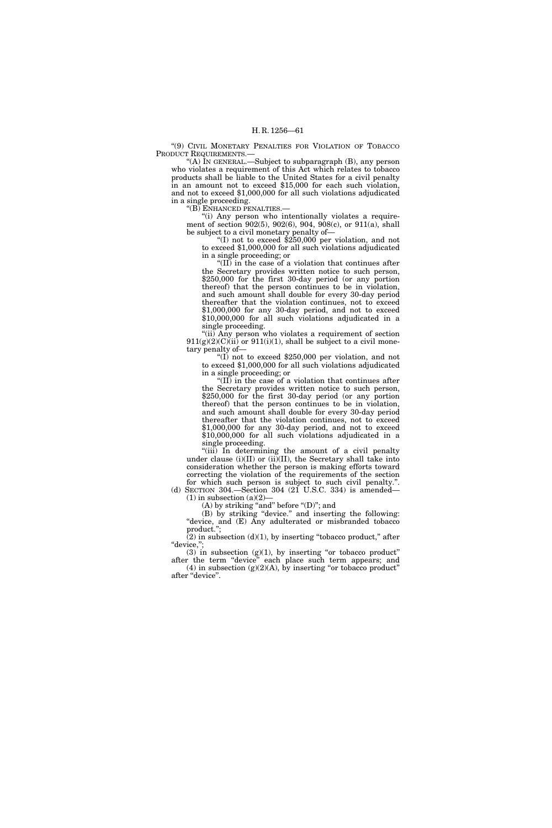''(9) CIVIL MONETARY PENALTIES FOR VIOLATION OF TOBACCO PRODUCT REQUIREMENTS.—

"(A) IN GENERAL.—Subject to subparagraph (B), any person who violates a requirement of this Act which relates to tobacco products shall be liable to the United States for a civil penalty in an amount not to exceed \$15,000 for each such violation, and not to exceed \$1,000,000 for all such violations adjudicated in a single proceeding.

''(B) ENHANCED PENALTIES.—

"(i) Any person who intentionally violates a requirement of section 902(5), 902(6), 904, 908(c), or 911(a), shall be subject to a civil monetary penalty of—

''(I) not to exceed \$250,000 per violation, and not to exceed \$1,000,000 for all such violations adjudicated in a single proceeding; or

''(II) in the case of a violation that continues after the Secretary provides written notice to such person, \$250,000 for the first 30-day period (or any portion thereof) that the person continues to be in violation, and such amount shall double for every 30-day period thereafter that the violation continues, not to exceed \$1,000,000 for any 30-day period, and not to exceed \$10,000,000 for all such violations adjudicated in a single proceeding.

"(ii) Any person who violates a requirement of section  $911(g)(2)(C)(ii)$  or  $911(i)(1)$ , shall be subject to a civil monetary penalty of—

''(I) not to exceed \$250,000 per violation, and not to exceed \$1,000,000 for all such violations adjudicated in a single proceeding; or

''(II) in the case of a violation that continues after the Secretary provides written notice to such person, \$250,000 for the first 30-day period (or any portion thereof) that the person continues to be in violation, and such amount shall double for every 30-day period thereafter that the violation continues, not to exceed \$1,000,000 for any 30-day period, and not to exceed \$10,000,000 for all such violations adjudicated in a single proceeding.

"(iii) In determining the amount of a civil penalty under clause  $(i)(II)$  or  $(ii)(II)$ , the Secretary shall take into consideration whether the person is making efforts toward correcting the violation of the requirements of the section for which such person is subject to such civil penalty.''.

(d) SECTION 304.—Section 304  $(2\overline{1}$  U.S.C. 334) is amended—  $(1)$  in subsection  $(a)(2)$ 

 $(A)$  by striking "and" before " $(D)$ "; and

(B) by striking ''device.'' and inserting the following: "device, and (E) Any adulterated or misbranded tobacco product.'';

 $(2)$  in subsection  $(d)(1)$ , by inserting "tobacco product," after "device,";

(3) in subsection  $(g)(1)$ , by inserting "or tobacco product" after the term ''device'' each place such term appears; and  $(4)$  in subsection  $(g)(2)(A)$ , by inserting "or tobacco product" after "device".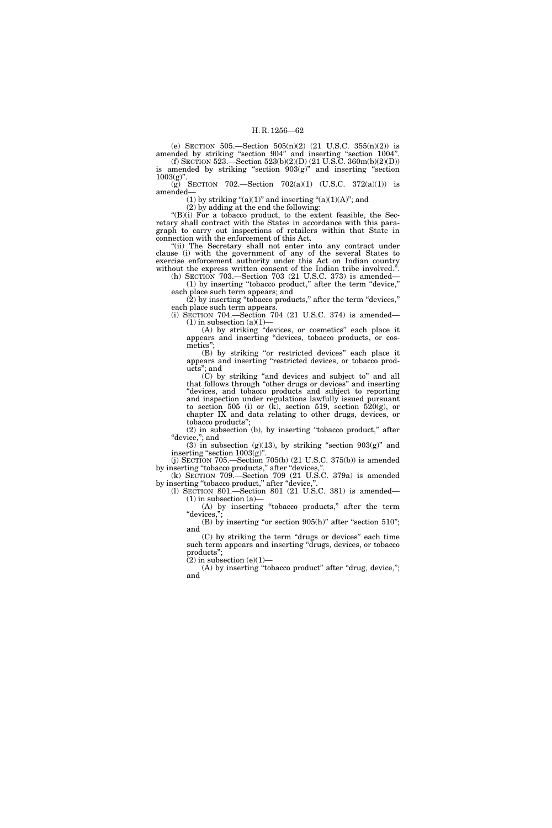(e) SECTION 505.—Section 505(n)(2) (21 U.S.C. 355(n)(2)) is amended by striking ''section 904'' and inserting ''section 1004''. (f) SECTION 523.—Section 523(b)(2)(D) (21 U.S.C. 360m(b)(2)(D))

is amended by striking "section  $903(g)$ " and inserting "section  $1003(g)$ ".

(g) SECTION 702.—Section 702(a)(1) (U.S.C. 372(a)(1)) is amended—

(1) by striking " $(a)(1)$ " and inserting " $(a)(1)(A)$ "; and (2) by adding at the end the following:

" $(B)(i)$  For a tobacco product, to the extent feasible, the Secretary shall contract with the States in accordance with this paragraph to carry out inspections of retailers within that State in connection with the enforcement of this Act.

"(ii) The Secretary shall not enter into any contract under clause (i) with the government of any of the several States to exercise enforcement authority under this Act on Indian country without the express written consent of the Indian tribe involved.". (h) SECTION 703.—Section 703 (21 U.S.C. 373) is amended—

(1) by inserting ''tobacco product,'' after the term ''device,'' each place such term appears; and

 $(2)$  by inserting "tobacco products," after the term "devices," each place such term appears.

(i) SECTION 704.—Section 704 (21 U.S.C. 374) is amended—  $(1)$  in subsection  $(a)(1)$ —

(A) by striking ''devices, or cosmetics'' each place it appears and inserting ''devices, tobacco products, or cosmetics'';

(B) by striking ''or restricted devices'' each place it appears and inserting ''restricted devices, or tobacco products''; and

(C) by striking ''and devices and subject to'' and all that follows through ''other drugs or devices'' and inserting "devices, and tobacco products and subject to reporting and inspection under regulations lawfully issued pursuant to section 505 (i) or  $(k)$ , section 519, section 520 $(g)$ , or chapter IX and data relating to other drugs, devices, or tobacco products'';

(2) in subsection (b), by inserting ''tobacco product,'' after "device,"; and

(3) in subsection (g)(13), by striking "section  $903(g)$ " and inserting "section  $1003(g)$ " (j) SECTION 705.—Section 705(b) (21 U.S.C. 375(b)) is amended

by inserting "tobacco products," after "devices, (k) SECTION 709.—Section 709 (21 U.S.C. 379a) is amended

by inserting "tobacco product," after "device, (l) SECTION 801.—Section 801 (21 U.S.C. 381) is amended—  $(1)$  in subsection  $(a)$ —

(A) by inserting ''tobacco products,'' after the term "devices,

(B) by inserting "or section  $905(h)$ " after "section  $510$ "; and

(C) by striking the term ''drugs or devices'' each time such term appears and inserting ''drugs, devices, or tobacco products'';  $(2)$  in subsection  $(e)(1)$ —

(A) by inserting "tobacco product" after "drug, device,"; and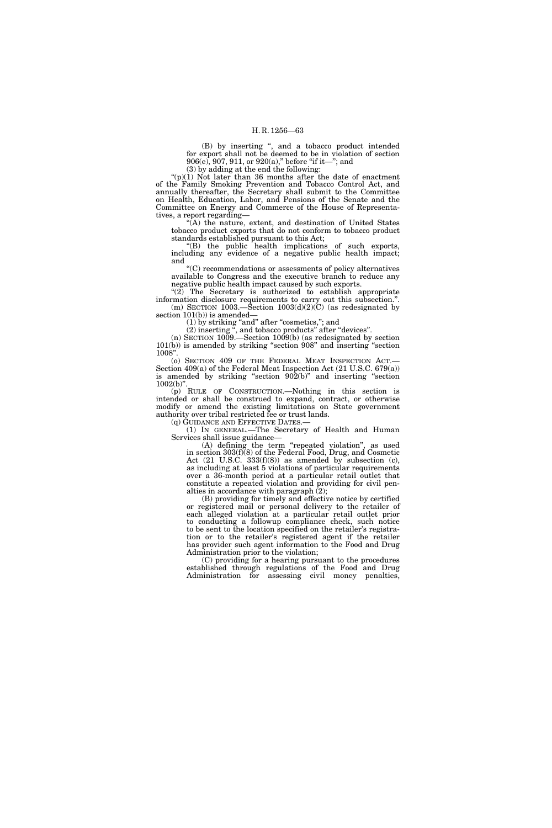(B) by inserting '', and a tobacco product intended for export shall not be deemed to be in violation of section 906(e), 907, 911, or 920(a),'' before ''if it—''; and

(3) by adding at the end the following:

" $(p)(1)$  Not later than 36 months after the date of enactment of the Family Smoking Prevention and Tobacco Control Act, and annually thereafter, the Secretary shall submit to the Committee on Health, Education, Labor, and Pensions of the Senate and the Committee on Energy and Commerce of the House of Representatives, a report regarding—

"(A) the nature, extent, and destination of United States tobacco product exports that do not conform to tobacco product standards established pursuant to this Act;

''(B) the public health implications of such exports, including any evidence of a negative public health impact; and

''(C) recommendations or assessments of policy alternatives available to Congress and the executive branch to reduce any negative public health impact caused by such exports.

 $(2)$  The Secretary is authorized to establish appropriate information disclosure requirements to carry out this subsection.''. (m) SECTION 1003.—Section  $1003(d)(2)(\text{C})$  (as redesignated by section  $101(b)$ ) is amended-

(1) by striking ''and'' after ''cosmetics,''; and

(2) inserting ", and tobacco products" after "devices".

(n) SECTION 1009.—Section 1009(b) (as redesignated by section 101(b)) is amended by striking ''section 908'' and inserting ''section 1008''.

(o) SECTION 409 OF THE FEDERAL MEAT INSPECTION ACT.— Section 409(a) of the Federal Meat Inspection Act (21 U.S.C. 679(a)) is amended by striking "section 902(b)" and inserting "section  $1002(b)$ ".

 $(p)$  RULE OF CONSTRUCTION.—Nothing in this section is intended or shall be construed to expand, contract, or otherwise modify or amend the existing limitations on State government authority over tribal restricted fee or trust lands.<br>(q) GUIDANCE AND EFFECTIVE DATES.—

(1) IN GENERAL.—The Secretary of Health and Human Services shall issue guidance—

(A) defining the term ''repeated violation'', as used in section 303(f)(8) of the Federal Food, Drug, and Cosmetic Act  $(21 \text{ U.S.C. } 333(f)(8))$  as amended by subsection  $(c)$ , as including at least 5 violations of particular requirements over a 36-month period at a particular retail outlet that constitute a repeated violation and providing for civil penalties in accordance with paragraph (2);

(B) providing for timely and effective notice by certified or registered mail or personal delivery to the retailer of each alleged violation at a particular retail outlet prior to conducting a followup compliance check, such notice to be sent to the location specified on the retailer's registration or to the retailer's registered agent if the retailer has provider such agent information to the Food and Drug Administration prior to the violation;

(C) providing for a hearing pursuant to the procedures established through regulations of the Food and Drug Administration for assessing civil money penalties,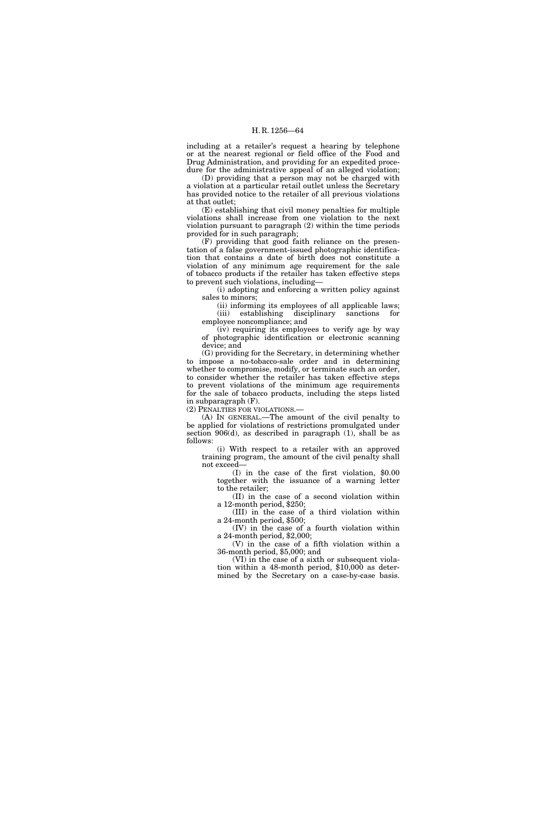including at a retailer's request a hearing by telephone or at the nearest regional or field office of the Food and Drug Administration, and providing for an expedited procedure for the administrative appeal of an alleged violation;

(D) providing that a person may not be charged with a violation at a particular retail outlet unless the Secretary has provided notice to the retailer of all previous violations at that outlet;

(E) establishing that civil money penalties for multiple violations shall increase from one violation to the next violation pursuant to paragraph (2) within the time periods provided for in such paragraph;

(F) providing that good faith reliance on the presentation of a false government-issued photographic identification that contains a date of birth does not constitute a violation of any minimum age requirement for the sale of tobacco products if the retailer has taken effective steps to prevent such violations, including—

(i) adopting and enforcing a written policy against sales to minors;

(ii) informing its employees of all applicable laws; (iii) establishing disciplinary sanctions for employee noncompliance; and

(iv) requiring its employees to verify age by way of photographic identification or electronic scanning device; and

(G) providing for the Secretary, in determining whether to impose a no-tobacco-sale order and in determining whether to compromise, modify, or terminate such an order, to consider whether the retailer has taken effective steps to prevent violations of the minimum age requirements for the sale of tobacco products, including the steps listed in subparagraph (F).

(2) PENALTIES FOR VIOLATIONS.—

(A) IN GENERAL.—The amount of the civil penalty to be applied for violations of restrictions promulgated under section 906(d), as described in paragraph (1), shall be as follows:

(i) With respect to a retailer with an approved training program, the amount of the civil penalty shall not exceed—

(I) in the case of the first violation, \$0.00 together with the issuance of a warning letter to the retailer;

(II) in the case of a second violation within a 12-month period, \$250;

(III) in the case of a third violation within a 24-month period, \$500;

(IV) in the case of a fourth violation within a 24-month period, \$2,000;

(V) in the case of a fifth violation within a 36-month period, \$5,000; and

(VI) in the case of a sixth or subsequent violation within a 48-month period, \$10,000 as determined by the Secretary on a case-by-case basis.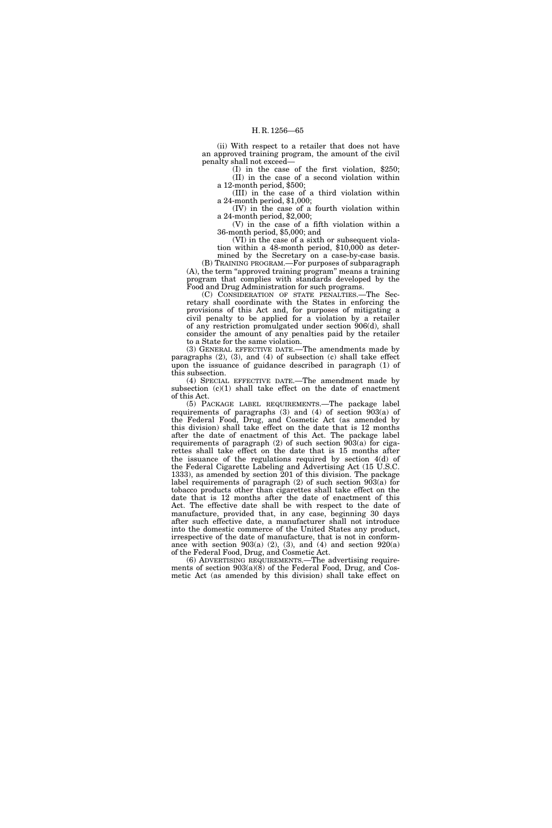(ii) With respect to a retailer that does not have an approved training program, the amount of the civil penalty shall not exceed—

(I) in the case of the first violation, \$250; (II) in the case of a second violation within a 12-month period, \$500;

(III) in the case of a third violation within a 24-month period, \$1,000;

(IV) in the case of a fourth violation within a 24-month period, \$2,000;

(V) in the case of a fifth violation within a 36-month period, \$5,000; and

(VI) in the case of a sixth or subsequent violation within a 48-month period, \$10,000 as determined by the Secretary on a case-by-case basis.

(B) TRAINING PROGRAM.—For purposes of subparagraph (A), the term ''approved training program'' means a training program that complies with standards developed by the Food and Drug Administration for such programs.

(C) CONSIDERATION OF STATE PENALTIES.—The Secretary shall coordinate with the States in enforcing the provisions of this Act and, for purposes of mitigating a civil penalty to be applied for a violation by a retailer of any restriction promulgated under section  $\frac{906(d)}{6}$ , shall consider the amount of any penalties paid by the retailer to a State for the same violation.

(3) GENERAL EFFECTIVE DATE.—The amendments made by paragraphs (2), (3), and (4) of subsection (c) shall take effect upon the issuance of guidance described in paragraph (1) of this subsection.

(4) SPECIAL EFFECTIVE DATE.—The amendment made by subsection  $(c)(1)$  shall take effect on the date of enactment of this Act.

(5) PACKAGE LABEL REQUIREMENTS.—The package label requirements of paragraphs  $(3)$  and  $(4)$  of section  $903(a)$  of the Federal Food, Drug, and Cosmetic Act (as amended by this division) shall take effect on the date that is 12 months after the date of enactment of this Act. The package label requirements of paragraph  $(2)$  of such section  $903(a)$  for cigarettes shall take effect on the date that is 15 months after the issuance of the regulations required by section 4(d) of the Federal Cigarette Labeling and Advertising Act (15 U.S.C. 1333), as amended by section 201 of this division. The package label requirements of paragraph (2) of such section 903(a) for tobacco products other than cigarettes shall take effect on the date that is 12 months after the date of enactment of this Act. The effective date shall be with respect to the date of manufacture, provided that, in any case, beginning 30 days after such effective date, a manufacturer shall not introduce into the domestic commerce of the United States any product, irrespective of the date of manufacture, that is not in conformance with section  $903(a)$  (2), (3), and (4) and section  $920(a)$ of the Federal Food, Drug, and Cosmetic Act.

(6) ADVERTISING REQUIREMENTS.—The advertising requirements of section 903(a)(8) of the Federal Food, Drug, and Cosmetic Act (as amended by this division) shall take effect on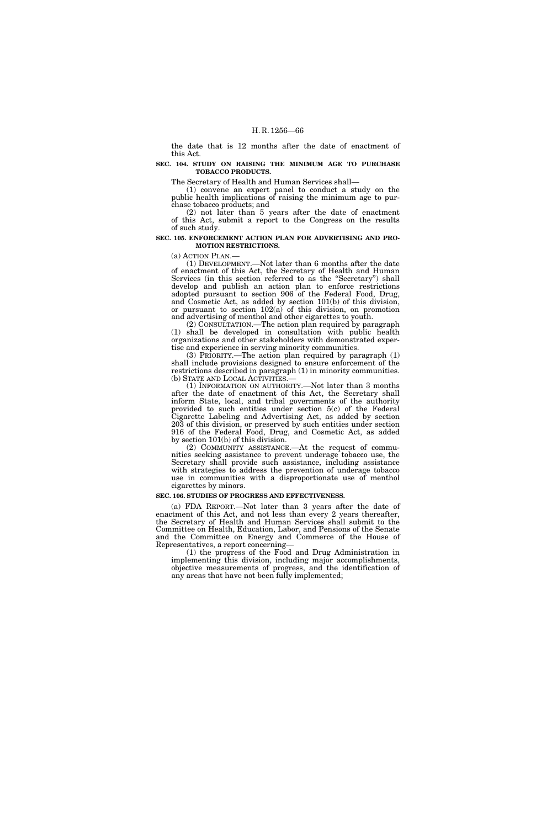the date that is 12 months after the date of enactment of this Act.

**SEC. 104. STUDY ON RAISING THE MINIMUM AGE TO PURCHASE TOBACCO PRODUCTS.** 

The Secretary of Health and Human Services shall—

(1) convene an expert panel to conduct a study on the public health implications of raising the minimum age to purchase tobacco products; and

(2) not later than 5 years after the date of enactment of this Act, submit a report to the Congress on the results of such study.

#### **SEC. 105. ENFORCEMENT ACTION PLAN FOR ADVERTISING AND PRO-MOTION RESTRICTIONS.**

(a) ACTION PLAN.—<br>(1) DEVELOPMENT.—Not later than 6 months after the date of enactment of this Act, the Secretary of Health and Human Services (in this section referred to as the "Secretary") shall develop and publish an action plan to enforce restrictions adopted pursuant to section 906 of the Federal Food, Drug, and Cosmetic Act, as added by section 101(b) of this division, or pursuant to section 102(a) of this division, on promotion and advertising of menthol and other cigarettes to youth.

(2) CONSULTATION.—The action plan required by paragraph (1) shall be developed in consultation with public health organizations and other stakeholders with demonstrated expertise and experience in serving minority communities.

(3) PRIORITY.—The action plan required by paragraph (1) shall include provisions designed to ensure enforcement of the restrictions described in paragraph (1) in minority communities.

(b) STATE AND LOCAL ACTIVITIES.— (1) INFORMATION ON AUTHORITY.—Not later than 3 months after the date of enactment of this Act, the Secretary shall inform State, local, and tribal governments of the authority provided to such entities under section 5(c) of the Federal Cigarette Labeling and Advertising Act, as added by section 203 of this division, or preserved by such entities under section 916 of the Federal Food, Drug, and Cosmetic Act, as added by section 101(b) of this division.

(2) COMMUNITY ASSISTANCE.—At the request of communities seeking assistance to prevent underage tobacco use, the Secretary shall provide such assistance, including assistance with strategies to address the prevention of underage tobacco use in communities with a disproportionate use of menthol cigarettes by minors.

#### **SEC. 106. STUDIES OF PROGRESS AND EFFECTIVENESS.**

(a) FDA REPORT.—Not later than 3 years after the date of enactment of this Act, and not less than every 2 years thereafter, the Secretary of Health and Human Services shall submit to the Committee on Health, Education, Labor, and Pensions of the Senate and the Committee on Energy and Commerce of the House of Representatives, a report concerning—

(1) the progress of the Food and Drug Administration in implementing this division, including major accomplishments, objective measurements of progress, and the identification of any areas that have not been fully implemented;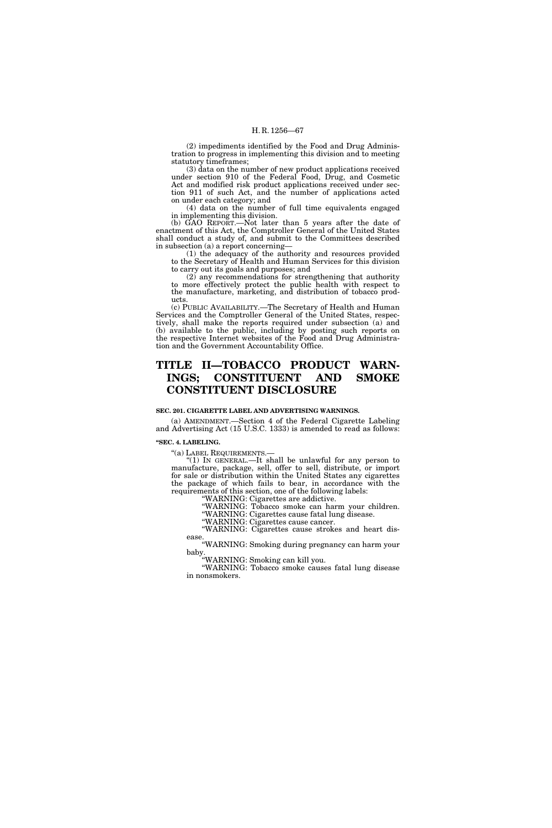(2) impediments identified by the Food and Drug Administration to progress in implementing this division and to meeting statutory timeframes;

(3) data on the number of new product applications received under section 910 of the Federal Food, Drug, and Cosmetic Act and modified risk product applications received under section 911 of such Act, and the number of applications acted on under each category; and

(4) data on the number of full time equivalents engaged in implementing this division.

(b) GAO REPORT.—Not later than 5 years after the date of enactment of this Act, the Comptroller General of the United States shall conduct a study of, and submit to the Committees described in subsection (a) a report concerning—

(1) the adequacy of the authority and resources provided to the Secretary of Health and Human Services for this division to carry out its goals and purposes; and

(2) any recommendations for strengthening that authority to more effectively protect the public health with respect to the manufacture, marketing, and distribution of tobacco products.

(c) PUBLIC AVAILABILITY.—The Secretary of Health and Human Services and the Comptroller General of the United States, respectively, shall make the reports required under subsection (a) and (b) available to the public, including by posting such reports on the respective Internet websites of the Food and Drug Administration and the Government Accountability Office.

# **TITLE II—TOBACCO PRODUCT WARN-INGS; CONSTITUENT AND SMOKE CONSTITUENT DISCLOSURE**

# **SEC. 201. CIGARETTE LABEL AND ADVERTISING WARNINGS.**

(a) AMENDMENT.—Section 4 of the Federal Cigarette Labeling and Advertising Act (15 U.S.C. 1333) is amended to read as follows:

# **''SEC. 4. LABELING.**

''(a) LABEL REQUIREMENTS.—

''(1) IN GENERAL.—It shall be unlawful for any person to manufacture, package, sell, offer to sell, distribute, or import for sale or distribution within the United States any cigarettes the package of which fails to bear, in accordance with the requirements of this section, one of the following labels:

''WARNING: Cigarettes are addictive.

''WARNING: Tobacco smoke can harm your children.

''WARNING: Cigarettes cause fatal lung disease. ''WARNING: Cigarettes cause cancer.

''WARNING: Cigarettes cause strokes and heart disease.

''WARNING: Smoking during pregnancy can harm your baby.

''WARNING: Smoking can kill you.

''WARNING: Tobacco smoke causes fatal lung disease in nonsmokers.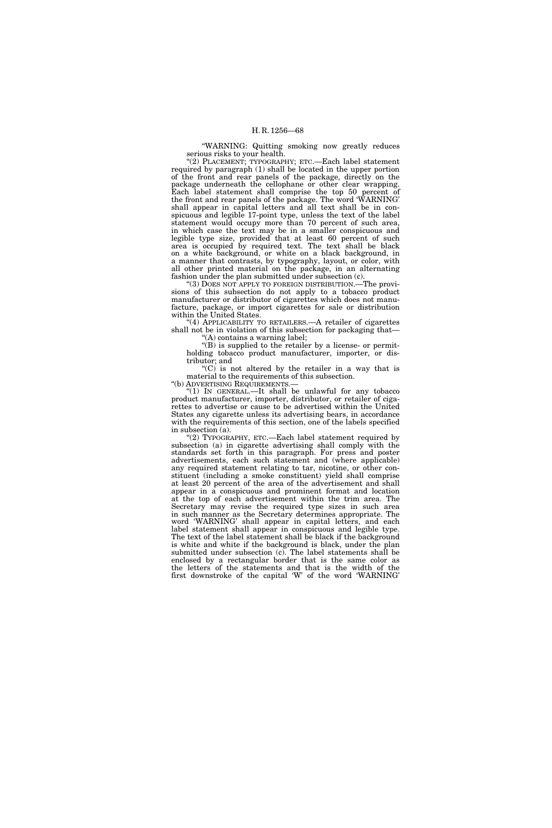''WARNING: Quitting smoking now greatly reduces serious risks to your health.

''(2) PLACEMENT; TYPOGRAPHY; ETC.—Each label statement required by paragraph (1) shall be located in the upper portion of the front and rear panels of the package, directly on the package underneath the cellophane or other clear wrapping. Each label statement shall comprise the top 50 percent of the front and rear panels of the package. The word 'WARNING' shall appear in capital letters and all text shall be in conspicuous and legible 17-point type, unless the text of the label statement would occupy more than 70 percent of such area, in which case the text may be in a smaller conspicuous and legible type size, provided that at least 60 percent of such area is occupied by required text. The text shall be black on a white background, or white on a black background, in a manner that contrasts, by typography, layout, or color, with all other printed material on the package, in an alternating fashion under the plan submitted under subsection (c).

''(3) DOES NOT APPLY TO FOREIGN DISTRIBUTION.—The provisions of this subsection do not apply to a tobacco product manufacturer or distributor of cigarettes which does not manufacture, package, or import cigarettes for sale or distribution within the United States.

''(4) APPLICABILITY TO RETAILERS.—A retailer of cigarettes shall not be in violation of this subsection for packaging that— ''(A) contains a warning label;

 $\mathcal{L}(B)$  is supplied to the retailer by a license- or permitholding tobacco product manufacturer, importer, or distributor; and

 $(C)$  is not altered by the retailer in a way that is material to the requirements of this subsection.

''(b) ADVERTISING REQUIREMENTS.— "(1) IN GENERAL.—It shall be unlawful for any tobacco

product manufacturer, importer, distributor, or retailer of cigarettes to advertise or cause to be advertised within the United States any cigarette unless its advertising bears, in accordance with the requirements of this section, one of the labels specified in subsection (a).

''(2) TYPOGRAPHY, ETC.—Each label statement required by subsection (a) in cigarette advertising shall comply with the standards set forth in this paragraph. For press and poster advertisements, each such statement and (where applicable) any required statement relating to tar, nicotine, or other constituent (including a smoke constituent) yield shall comprise at least 20 percent of the area of the advertisement and shall appear in a conspicuous and prominent format and location at the top of each advertisement within the trim area. The Secretary may revise the required type sizes in such area in such manner as the Secretary determines appropriate. The word 'WARNING' shall appear in capital letters, and each label statement shall appear in conspicuous and legible type. The text of the label statement shall be black if the background is white and white if the background is black, under the plan submitted under subsection (c). The label statements shall be enclosed by a rectangular border that is the same color as the letters of the statements and that is the width of the first downstroke of the capital 'W' of the word 'WARNING'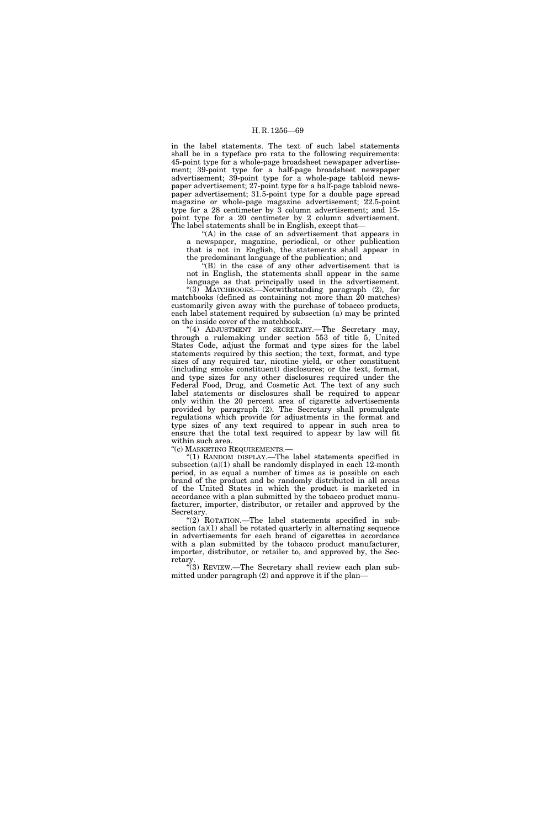in the label statements. The text of such label statements shall be in a typeface pro rata to the following requirements: 45-point type for a whole-page broadsheet newspaper advertisement; 39-point type for a half-page broadsheet newspaper advertisement; 39-point type for a whole-page tabloid newspaper advertisement; 27-point type for a half-page tabloid newspaper advertisement; 31.5-point type for a double page spread magazine or whole-page magazine advertisement; 22.5-point type for a 28 centimeter by  $\overline{3}$  column advertisement; and 15point type for a 20 centimeter by 2 column advertisement. The label statements shall be in English, except that—

"(A) in the case of an advertisement that appears in a newspaper, magazine, periodical, or other publication that is not in English, the statements shall appear in the predominant language of the publication; and

 $f(B)$  in the case of any other advertisement that is not in English, the statements shall appear in the same language as that principally used in the advertisement.

''(3) MATCHBOOKS.—Notwithstanding paragraph (2), for matchbooks (defined as containing not more than 20 matches) customarily given away with the purchase of tobacco products, each label statement required by subsection (a) may be printed on the inside cover of the matchbook.

"(4) ADJUSTMENT BY SECRETARY.-The Secretary may, through a rulemaking under section 553 of title 5, United States Code, adjust the format and type sizes for the label statements required by this section; the text, format, and type sizes of any required tar, nicotine yield, or other constituent (including smoke constituent) disclosures; or the text, format, and type sizes for any other disclosures required under the Federal Food, Drug, and Cosmetic Act. The text of any such label statements or disclosures shall be required to appear only within the 20 percent area of cigarette advertisements provided by paragraph (2). The Secretary shall promulgate regulations which provide for adjustments in the format and type sizes of any text required to appear in such area to ensure that the total text required to appear by law will fit within such area.

''(c) MARKETING REQUIREMENTS.—

''(1) RANDOM DISPLAY.—The label statements specified in subsection  $(a)(1)$  shall be randomly displayed in each 12-month period, in as equal a number of times as is possible on each brand of the product and be randomly distributed in all areas of the United States in which the product is marketed in accordance with a plan submitted by the tobacco product manufacturer, importer, distributor, or retailer and approved by the Secretary.

''(2) ROTATION.—The label statements specified in subsection  $(a)(1)$  shall be rotated quarterly in alternating sequence in advertisements for each brand of cigarettes in accordance with a plan submitted by the tobacco product manufacturer, importer, distributor, or retailer to, and approved by, the Secretary.

"(3) REVIEW.—The Secretary shall review each plan submitted under paragraph (2) and approve it if the plan—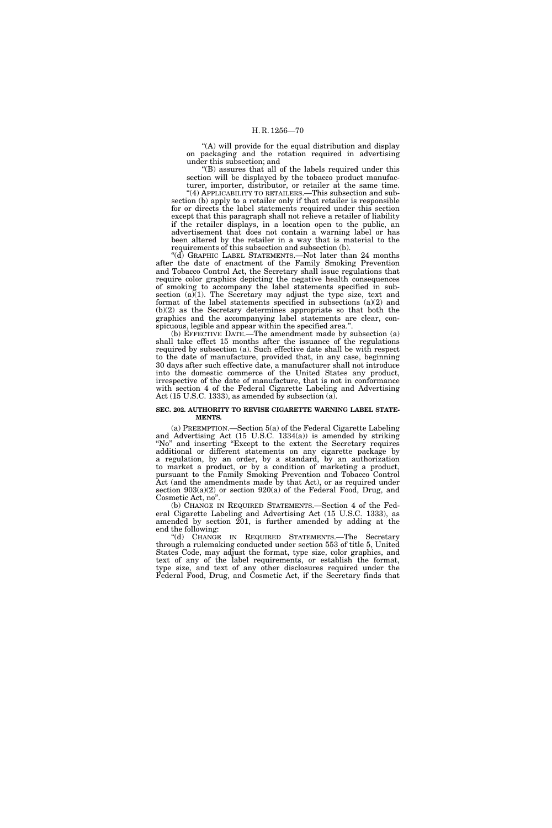''(A) will provide for the equal distribution and display on packaging and the rotation required in advertising under this subsection; and

''(B) assures that all of the labels required under this section will be displayed by the tobacco product manufacturer, importer, distributor, or retailer at the same time.

''(4) APPLICABILITY TO RETAILERS.—This subsection and subsection (b) apply to a retailer only if that retailer is responsible for or directs the label statements required under this section except that this paragraph shall not relieve a retailer of liability if the retailer displays, in a location open to the public, an advertisement that does not contain a warning label or has been altered by the retailer in a way that is material to the requirements of this subsection and subsection (b).

''(d) GRAPHIC LABEL STATEMENTS.—Not later than 24 months after the date of enactment of the Family Smoking Prevention and Tobacco Control Act, the Secretary shall issue regulations that require color graphics depicting the negative health consequences of smoking to accompany the label statements specified in subsection  $(a)(1)$ . The Secretary may adjust the type size, text and format of the label statements specified in subsections (a)(2) and (b)(2) as the Secretary determines appropriate so that both the graphics and the accompanying label statements are clear, conspicuous, legible and appear within the specified area.'

(b) EFFECTIVE DATE.—The amendment made by subsection (a) shall take effect 15 months after the issuance of the regulations required by subsection (a). Such effective date shall be with respect to the date of manufacture, provided that, in any case, beginning 30 days after such effective date, a manufacturer shall not introduce into the domestic commerce of the United States any product, irrespective of the date of manufacture, that is not in conformance with section 4 of the Federal Cigarette Labeling and Advertising Act (15 U.S.C. 1333), as amended by subsection (a).

#### **SEC. 202. AUTHORITY TO REVISE CIGARETTE WARNING LABEL STATE-MENTS.**

(a) PREEMPTION.—Section 5(a) of the Federal Cigarette Labeling and Advertising Act  $(15 \text{ U.S.C. } 1334(a))$  is amended by striking "No" and inserting "Except to the extent the Secretary requires" additional or different statements on any cigarette package by a regulation, by an order, by a standard, by an authorization to market a product, or by a condition of marketing a product, pursuant to the Family Smoking Prevention and Tobacco Control Act (and the amendments made by that Act), or as required under section  $903(a)(2)$  or section  $920(a)$  of the Federal Food, Drug, and Cosmetic Act, no''.

(b) CHANGE IN REQUIRED STATEMENTS.—Section 4 of the Federal Cigarette Labeling and Advertising Act (15 U.S.C. 1333), as amended by section 201, is further amended by adding at the end the following:

"(d) CHANGE IN REQUIRED STATEMENTS.—The Secretary through a rulemaking conducted under section 553 of title 5, United States Code, may adjust the format, type size, color graphics, and text of any of the label requirements, or establish the format, type size, and text of any other disclosures required under the Federal Food, Drug, and Cosmetic Act, if the Secretary finds that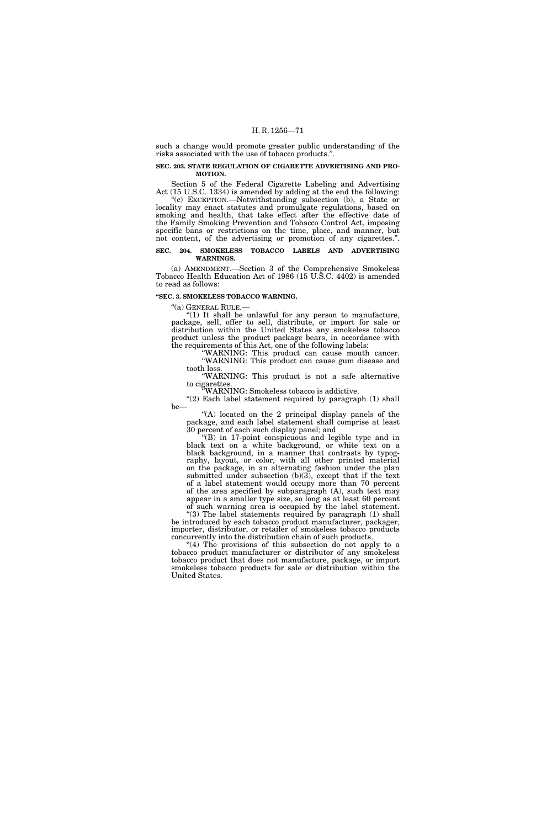such a change would promote greater public understanding of the risks associated with the use of tobacco products.''.

# **SEC. 203. STATE REGULATION OF CIGARETTE ADVERTISING AND PRO-MOTION.**

Section 5 of the Federal Cigarette Labeling and Advertising Act (15 U.S.C. 1334) is amended by adding at the end the following:

''(c) EXCEPTION.—Notwithstanding subsection (b), a State or locality may enact statutes and promulgate regulations, based on smoking and health, that take effect after the effective date of the Family Smoking Prevention and Tobacco Control Act, imposing specific bans or restrictions on the time, place, and manner, but not content, of the advertising or promotion of any cigarettes.''.

#### **SEC. 204. SMOKELESS TOBACCO LABELS AND ADVERTISING WARNINGS.**

(a) AMENDMENT.—Section 3 of the Comprehensive Smokeless Tobacco Health Education Act of 1986 (15 U.S.C. 4402) is amended to read as follows:

#### **''SEC. 3. SMOKELESS TOBACCO WARNING.**

''(a) GENERAL RULE.—

"(1) It shall be unlawful for any person to manufacture, package, sell, offer to sell, distribute, or import for sale or distribution within the United States any smokeless tobacco product unless the product package bears, in accordance with the requirements of this Act, one of the following labels:

''WARNING: This product can cause mouth cancer. ''WARNING: This product can cause gum disease and tooth loss.

''WARNING: This product is not a safe alternative to cigarettes.

''WARNING: Smokeless tobacco is addictive.

"(2) Each label statement required by paragraph (1) shall be—

"(A) located on the 2 principal display panels of the package, and each label statement shall comprise at least 30 percent of each such display panel; and

''(B) in 17-point conspicuous and legible type and in black text on a white background, or white text on a black background, in a manner that contrasts by typography, layout, or color, with all other printed material on the package, in an alternating fashion under the plan submitted under subsection  $(b)(3)$ , except that if the text of a label statement would occupy more than 70 percent of the area specified by subparagraph (A), such text may appear in a smaller type size, so long as at least 60 percent of such warning area is occupied by the label statement.

"(3) The label statements required by paragraph (1) shall be introduced by each tobacco product manufacturer, packager, importer, distributor, or retailer of smokeless tobacco products concurrently into the distribution chain of such products.

"(4) The provisions of this subsection do not apply to a tobacco product manufacturer or distributor of any smokeless tobacco product that does not manufacture, package, or import smokeless tobacco products for sale or distribution within the United States.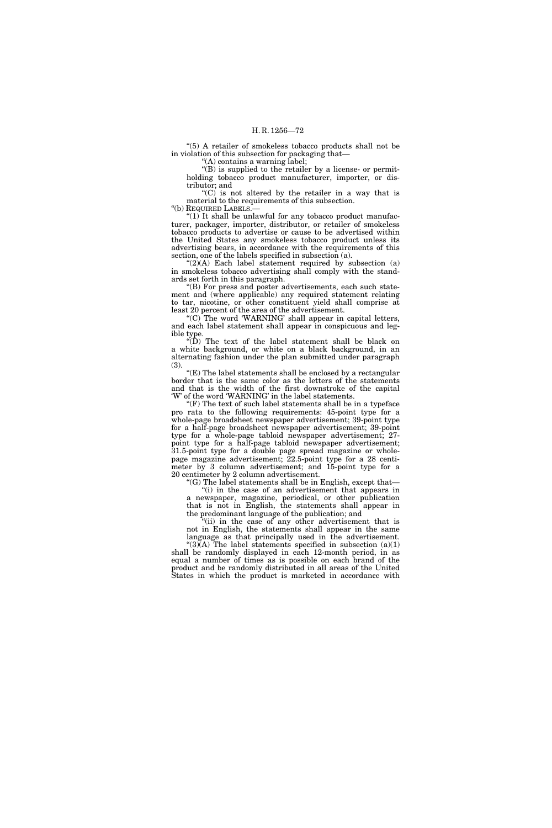''(5) A retailer of smokeless tobacco products shall not be in violation of this subsection for packaging that—

''(A) contains a warning label;

"(B) is supplied to the retailer by a license- or permitholding tobacco product manufacturer, importer, or distributor; and

 $(C)$  is not altered by the retailer in a way that is material to the requirements of this subsection. "(b) REQUIRED LABELS.

" $(1)$  It shall be unlawful for any tobacco product manufacturer, packager, importer, distributor, or retailer of smokeless tobacco products to advertise or cause to be advertised within the United States any smokeless tobacco product unless its advertising bears, in accordance with the requirements of this section, one of the labels specified in subsection (a).

" $(2)(A)$  Each label statement required by subsection  $(a)$ in smokeless tobacco advertising shall comply with the standards set forth in this paragraph.

''(B) For press and poster advertisements, each such statement and (where applicable) any required statement relating to tar, nicotine, or other constituent yield shall comprise at least 20 percent of the area of the advertisement.

"(C) The word 'WARNING' shall appear in capital letters, and each label statement shall appear in conspicuous and legible type.

''(D) The text of the label statement shall be black on a white background, or white on a black background, in an alternating fashion under the plan submitted under paragraph (3).

 $E(E)$  The label statements shall be enclosed by a rectangular border that is the same color as the letters of the statements and that is the width of the first downstroke of the capital 'W' of the word 'WARNING' in the label statements.

 $f(F)$  The text of such label statements shall be in a typeface pro rata to the following requirements: 45-point type for a whole-page broadsheet newspaper advertisement; 39-point type for a half-page broadsheet newspaper advertisement; 39-point type for a whole-page tabloid newspaper advertisement; 27 point type for a half-page tabloid newspaper advertisement; 31.5-point type for a double page spread magazine or wholepage magazine advertisement; 22.5-point type for a 28 centimeter by 3 column advertisement; and 15-point type for a 20 centimeter by 2 column advertisement.

 $(G)$  The label statements shall be in English, except that—

''(i) in the case of an advertisement that appears in a newspaper, magazine, periodical, or other publication that is not in English, the statements shall appear in the predominant language of the publication; and

"(ii) in the case of any other advertisement that is not in English, the statements shall appear in the same language as that principally used in the advertisement.

" $(3)(A)$  The label statements specified in subsection  $(a)(1)$ shall be randomly displayed in each 12-month period, in as equal a number of times as is possible on each brand of the product and be randomly distributed in all areas of the United States in which the product is marketed in accordance with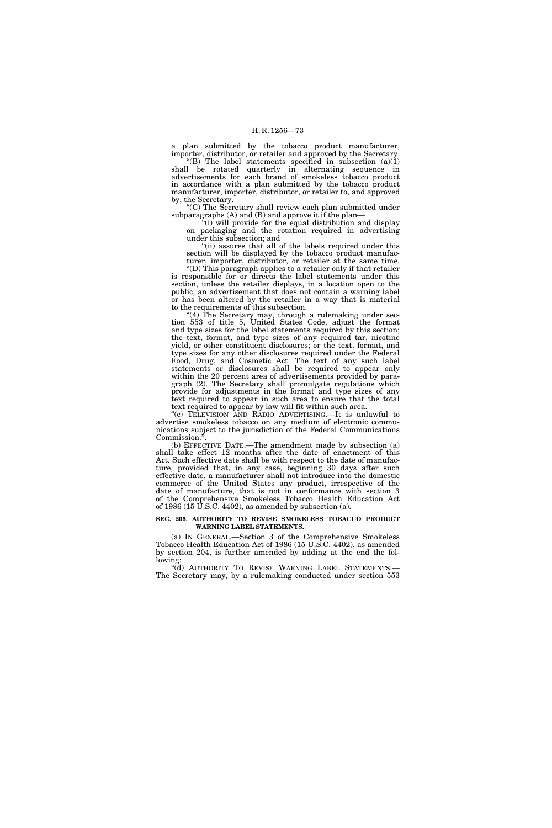a plan submitted by the tobacco product manufacturer, importer, distributor, or retailer and approved by the Secretary.

"(B) The label statements specified in subsection  $(a)(1)$ shall be rotated quarterly in alternating sequence in advertisements for each brand of smokeless tobacco product in accordance with a plan submitted by the tobacco product manufacturer, importer, distributor, or retailer to, and approved by, the Secretary.

''(C) The Secretary shall review each plan submitted under subparagraphs (A) and (B) and approve it if the plan—

 $f(i)$  will provide for the equal distribution and display on packaging and the rotation required in advertising under this subsection; and

"(ii) assures that all of the labels required under this section will be displayed by the tobacco product manufacturer, importer, distributor, or retailer at the same time.

''(D) This paragraph applies to a retailer only if that retailer is responsible for or directs the label statements under this section, unless the retailer displays, in a location open to the public, an advertisement that does not contain a warning label or has been altered by the retailer in a way that is material to the requirements of this subsection.

" $(4)$  The Secretary may, through a rulemaking under section 553 of title 5, United States Code, adjust the format and type sizes for the label statements required by this section; the text, format, and type sizes of any required tar, nicotine yield, or other constituent disclosures; or the text, format, and type sizes for any other disclosures required under the Federal Food, Drug, and Cosmetic Act. The text of any such label statements or disclosures shall be required to appear only within the 20 percent area of advertisements provided by paragraph (2). The Secretary shall promulgate regulations which provide for adjustments in the format and type sizes of any text required to appear in such area to ensure that the total text required to appear by law will fit within such area.

''(c) TELEVISION AND RADIO ADVERTISING.—It is unlawful to advertise smokeless tobacco on any medium of electronic communications subject to the jurisdiction of the Federal Communications Commission.''.

(b) EFFECTIVE DATE.—The amendment made by subsection (a) shall take effect 12 months after the date of enactment of this Act. Such effective date shall be with respect to the date of manufacture, provided that, in any case, beginning 30 days after such effective date, a manufacturer shall not introduce into the domestic commerce of the United States any product, irrespective of the date of manufacture, that is not in conformance with section 3 of the Comprehensive Smokeless Tobacco Health Education Act of 1986 (15 U.S.C. 4402), as amended by subsection (a).

#### **SEC. 205. AUTHORITY TO REVISE SMOKELESS TOBACCO PRODUCT WARNING LABEL STATEMENTS.**

(a) IN GENERAL.—Section 3 of the Comprehensive Smokeless Tobacco Health Education Act of 1986 (15 U.S.C. 4402), as amended by section 204, is further amended by adding at the end the following:

"(d) AUTHORITY TO REVISE WARNING LABEL STATEMENTS.-The Secretary may, by a rulemaking conducted under section 553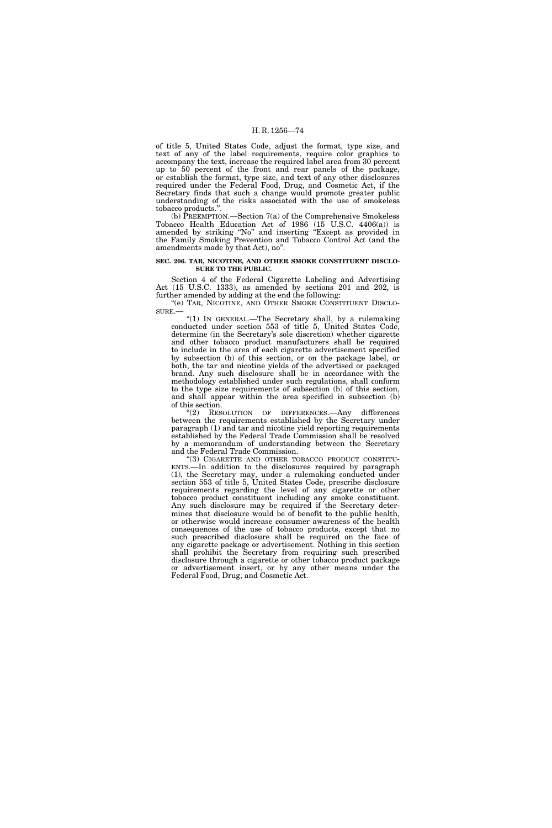of title 5, United States Code, adjust the format, type size, and text of any of the label requirements, require color graphics to accompany the text, increase the required label area from 30 percent up to 50 percent of the front and rear panels of the package, or establish the format, type size, and text of any other disclosures required under the Federal Food, Drug, and Cosmetic Act, if the Secretary finds that such a change would promote greater public understanding of the risks associated with the use of smokeless tobacco products.''.

(b) PREEMPTION.—Section  $7(a)$  of the Comprehensive Smokeless Tobacco Health Education Act of 1986 (15 U.S.C. 4406(a)) is amended by striking ''No'' and inserting ''Except as provided in the Family Smoking Prevention and Tobacco Control Act (and the amendments made by that Act), no''.

#### **SEC. 206. TAR, NICOTINE, AND OTHER SMOKE CONSTITUENT DISCLO-SURE TO THE PUBLIC.**

Section 4 of the Federal Cigarette Labeling and Advertising Act (15 U.S.C. 1333), as amended by sections 201 and 202, is further amended by adding at the end the following:

''(e) TAR, NICOTINE, AND OTHER SMOKE CONSTITUENT DISCLO-SURE.—

''(1) IN GENERAL.—The Secretary shall, by a rulemaking conducted under section 553 of title 5, United States Code, determine (in the Secretary's sole discretion) whether cigarette and other tobacco product manufacturers shall be required to include in the area of each cigarette advertisement specified by subsection (b) of this section, or on the package label, or both, the tar and nicotine yields of the advertised or packaged brand. Any such disclosure shall be in accordance with the methodology established under such regulations, shall conform to the type size requirements of subsection (b) of this section, and shall appear within the area specified in subsection (b) of this section.

''(2) RESOLUTION OF DIFFERENCES.—Any differences between the requirements established by the Secretary under paragraph (1) and tar and nicotine yield reporting requirements established by the Federal Trade Commission shall be resolved by a memorandum of understanding between the Secretary and the Federal Trade Commission.

''(3) CIGARETTE AND OTHER TOBACCO PRODUCT CONSTITU-ENTS.—In addition to the disclosures required by paragraph (1), the Secretary may, under a rulemaking conducted under section 553 of title 5, United States Code, prescribe disclosure requirements regarding the level of any cigarette or other tobacco product constituent including any smoke constituent. Any such disclosure may be required if the Secretary determines that disclosure would be of benefit to the public health, or otherwise would increase consumer awareness of the health consequences of the use of tobacco products, except that no such prescribed disclosure shall be required on the face of any cigarette package or advertisement. Nothing in this section shall prohibit the Secretary from requiring such prescribed disclosure through a cigarette or other tobacco product package or advertisement insert, or by any other means under the Federal Food, Drug, and Cosmetic Act.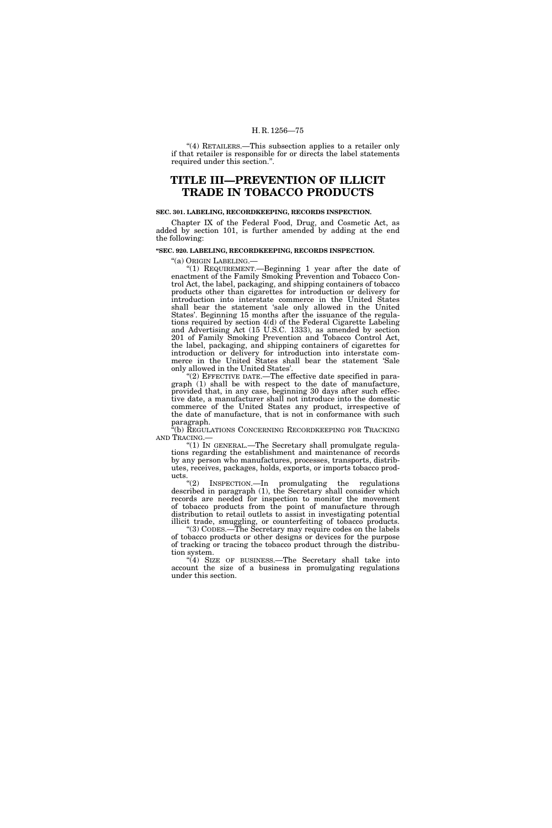"(4) RETAILERS.—This subsection applies to a retailer only if that retailer is responsible for or directs the label statements required under this section.''.

## **TITLE III—PREVENTION OF ILLICIT TRADE IN TOBACCO PRODUCTS**

## **SEC. 301. LABELING, RECORDKEEPING, RECORDS INSPECTION.**

Chapter IX of the Federal Food, Drug, and Cosmetic Act, as added by section 101, is further amended by adding at the end the following:

#### **''SEC. 920. LABELING, RECORDKEEPING, RECORDS INSPECTION.**

''(a) ORIGIN LABELING.—

''(1) REQUIREMENT.—Beginning 1 year after the date of enactment of the Family Smoking Prevention and Tobacco Control Act, the label, packaging, and shipping containers of tobacco products other than cigarettes for introduction or delivery for introduction into interstate commerce in the United States shall bear the statement 'sale only allowed in the United States'. Beginning 15 months after the issuance of the regulations required by section 4(d) of the Federal Cigarette Labeling and Advertising Act (15 U.S.C. 1333), as amended by section 201 of Family Smoking Prevention and Tobacco Control Act, the label, packaging, and shipping containers of cigarettes for introduction or delivery for introduction into interstate commerce in the United States shall bear the statement 'Sale only allowed in the United States'.

''(2) EFFECTIVE DATE.—The effective date specified in paragraph (1) shall be with respect to the date of manufacture, provided that, in any case, beginning 30 days after such effective date, a manufacturer shall not introduce into the domestic commerce of the United States any product, irrespective of the date of manufacture, that is not in conformance with such paragraph.

''(b) REGULATIONS CONCERNING RECORDKEEPING FOR TRACKING AND TRACING.—

''(1) IN GENERAL.—The Secretary shall promulgate regulations regarding the establishment and maintenance of records by any person who manufactures, processes, transports, distributes, receives, packages, holds, exports, or imports tobacco products.  $\frac{u}{2}$ 

''(2) INSPECTION.—In promulgating the regulations described in paragraph (1), the Secretary shall consider which records are needed for inspection to monitor the movement of tobacco products from the point of manufacture through distribution to retail outlets to assist in investigating potential illicit trade, smuggling, or counterfeiting of tobacco products.

''(3) CODES.—The Secretary may require codes on the labels of tobacco products or other designs or devices for the purpose of tracking or tracing the tobacco product through the distribution system.

''(4) SIZE OF BUSINESS.—The Secretary shall take into account the size of a business in promulgating regulations under this section.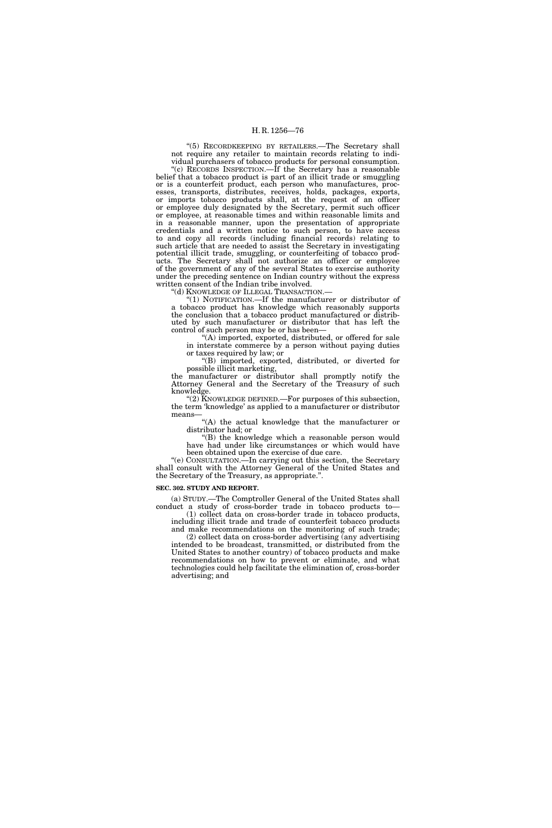''(5) RECORDKEEPING BY RETAILERS.—The Secretary shall not require any retailer to maintain records relating to individual purchasers of tobacco products for personal consumption.

''(c) RECORDS INSPECTION.—If the Secretary has a reasonable belief that a tobacco product is part of an illicit trade or smuggling or is a counterfeit product, each person who manufactures, processes, transports, distributes, receives, holds, packages, exports, or imports tobacco products shall, at the request of an officer or employee duly designated by the Secretary, permit such officer or employee, at reasonable times and within reasonable limits and in a reasonable manner, upon the presentation of appropriate credentials and a written notice to such person, to have access to and copy all records (including financial records) relating to such article that are needed to assist the Secretary in investigating potential illicit trade, smuggling, or counterfeiting of tobacco products. The Secretary shall not authorize an officer or employee of the government of any of the several States to exercise authority under the preceding sentence on Indian country without the express written consent of the Indian tribe involved.

''(d) KNOWLEDGE OF ILLEGAL TRANSACTION.—

''(1) NOTIFICATION.—If the manufacturer or distributor of a tobacco product has knowledge which reasonably supports the conclusion that a tobacco product manufactured or distributed by such manufacturer or distributor that has left the control of such person may be or has been—

''(A) imported, exported, distributed, or offered for sale in interstate commerce by a person without paying duties or taxes required by law; or

''(B) imported, exported, distributed, or diverted for possible illicit marketing,

the manufacturer or distributor shall promptly notify the Attorney General and the Secretary of the Treasury of such knowledge.

"(2) KNOWLEDGE DEFINED.—For purposes of this subsection, the term 'knowledge' as applied to a manufacturer or distributor means—

''(A) the actual knowledge that the manufacturer or distributor had; or

''(B) the knowledge which a reasonable person would have had under like circumstances or which would have been obtained upon the exercise of due care.

''(e) CONSULTATION.—In carrying out this section, the Secretary shall consult with the Attorney General of the United States and the Secretary of the Treasury, as appropriate.''.

#### **SEC. 302. STUDY AND REPORT.**

(a) STUDY.—The Comptroller General of the United States shall conduct a study of cross-border trade in tobacco products to—

(1) collect data on cross-border trade in tobacco products, including illicit trade and trade of counterfeit tobacco products and make recommendations on the monitoring of such trade; (2) collect data on cross-border advertising (any advertising

intended to be broadcast, transmitted, or distributed from the United States to another country) of tobacco products and make recommendations on how to prevent or eliminate, and what technologies could help facilitate the elimination of, cross-border advertising; and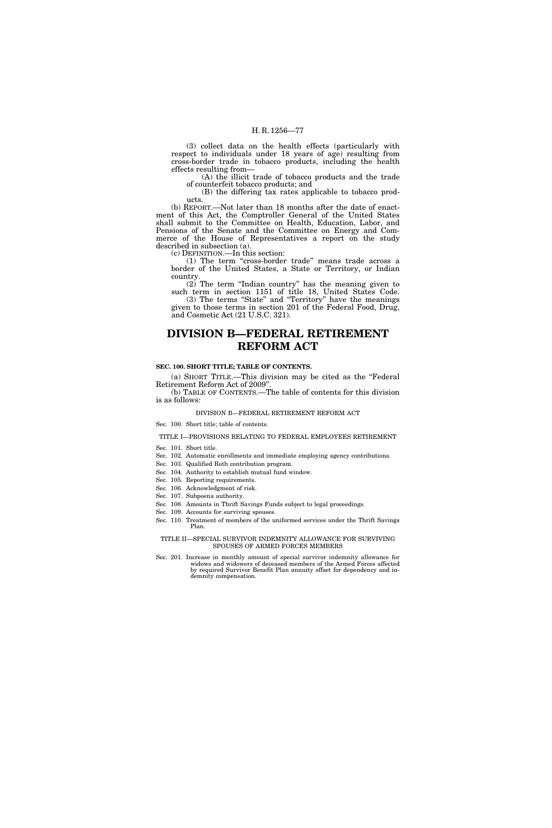(3) collect data on the health effects (particularly with respect to individuals under 18 years of age) resulting from cross-border trade in tobacco products, including the health effects resulting from—

(A) the illicit trade of tobacco products and the trade of counterfeit tobacco products; and

(B) the differing tax rates applicable to tobacco products.

(b) REPORT.—Not later than 18 months after the date of enactment of this Act, the Comptroller General of the United States shall submit to the Committee on Health, Education, Labor, and Pensions of the Senate and the Committee on Energy and Commerce of the House of Representatives a report on the study described in subsection (a).

(c) DEFINITION.—In this section:

(1) The term ''cross-border trade'' means trade across a border of the United States, a State or Territory, or Indian country.

(2) The term ''Indian country'' has the meaning given to such term in section 1151 of title 18, United States Code. (3) The terms "State" and "Territory" have the meanings given to those terms in section 201 of the Federal Food, Drug, and Cosmetic Act (21 U.S.C. 321).

## **DIVISION B—FEDERAL RETIREMENT REFORM ACT**

## **SEC. 100. SHORT TITLE; TABLE OF CONTENTS.**

(a) SHORT TITLE.—This division may be cited as the ''Federal Retirement Reform Act of 2009''.

(b) TABLE OF CONTENTS.—The table of contents for this division is as follows:

DIVISION B—FEDERAL RETIREMENT REFORM ACT

Sec. 100. Short title; table of contents.

# TITLE I—PROVISIONS RELATING TO FEDERAL EMPLOYEES RETIREMENT

Sec. 101. Short title.

- Sec. 102. Automatic enrollments and immediate employing agency contributions.
- Sec. 103. Qualified Roth contribution program.
- Sec. 104. Authority to establish mutual fund window.
- Sec. 105. Reporting requirements.
- Sec. 106. Acknowledgment of risk.
- Sec. 107. Subpoena authority.
- Sec. 108. Amounts in Thrift Savings Funds subject to legal proceedings.
- Sec. 109. Accounts for surviving spouses.
- Sec. 110. Treatment of members of the uniformed services under the Thrift Savings Plan.

## TITLE II—SPECIAL SURVIVOR INDEMNITY ALLOWANCE FOR SURVIVING SPOUSES OF ARMED FORCES MEMBERS

Sec. 201. Increase in monthly amount of special survivor indemnity allowance for widows and widowers of deceased members of the Armed Forces affected by required Survivor Benefit Plan annuity offset for dependency and indemnity compensation.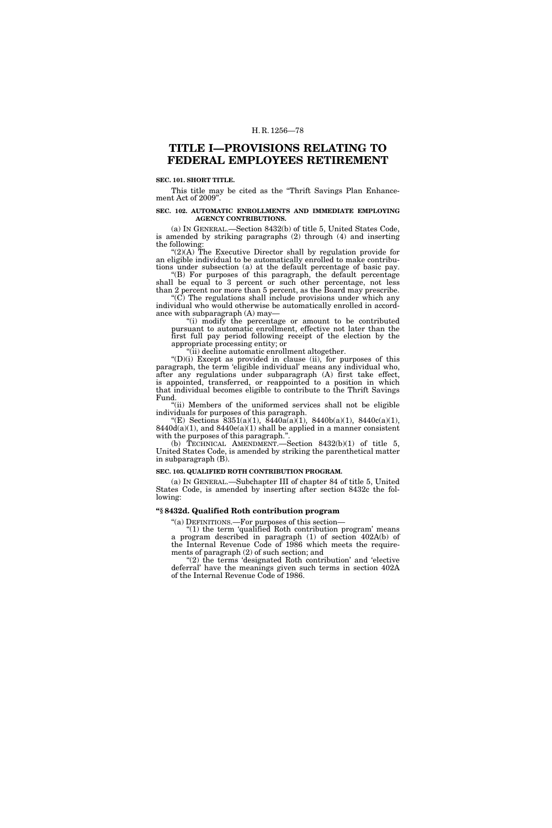## **TITLE I—PROVISIONS RELATING TO FEDERAL EMPLOYEES RETIREMENT**

#### **SEC. 101. SHORT TITLE.**

This title may be cited as the "Thrift Savings Plan Enhancement Act of 2009".

#### **SEC. 102. AUTOMATIC ENROLLMENTS AND IMMEDIATE EMPLOYING AGENCY CONTRIBUTIONS.**

(a) IN GENERAL.—Section 8432(b) of title 5, United States Code, is amended by striking paragraphs (2) through (4) and inserting the following:

 $f'(2)(A)$  The Executive Director shall by regulation provide for an eligible individual to be automatically enrolled to make contributions under subsection (a) at the default percentage of basic pay.

''(B) For purposes of this paragraph, the default percentage shall be equal to 3 percent or such other percentage, not less than 2 percent nor more than 5 percent, as the Board may prescribe.

''(C) The regulations shall include provisions under which any individual who would otherwise be automatically enrolled in accordance with subparagraph (A) may—

"(i) modify the percentage or amount to be contributed pursuant to automatic enrollment, effective not later than the first full pay period following receipt of the election by the appropriate processing entity; or

"(ii) decline automatic enrollment altogether.

" $(D)(i)$  Except as provided in clause  $(ii)$ , for purposes of this paragraph, the term 'eligible individual' means any individual who, after any regulations under subparagraph (A) first take effect, is appointed, transferred, or reappointed to a position in which that individual becomes eligible to contribute to the Thrift Savings Fund.

"(ii) Members of the uniformed services shall not be eligible individuals for purposes of this paragraph.

"(E) Sections  $8351(a)(1)$ ,  $8440a(a)(1)$ ,  $8440b(a)(1)$ ,  $8440c(a)(1)$ ,  $8440d(a)(1)$ , and  $8440e(a)(1)$  shall be applied in a manner consistent with the purposes of this paragraph.''.

(b) TECHNICAL AMENDMENT.—Section  $8432(b)(1)$  of title 5, United States Code, is amended by striking the parenthetical matter in subparagraph (B).

#### **SEC. 103. QUALIFIED ROTH CONTRIBUTION PROGRAM.**

(a) IN GENERAL.—Subchapter III of chapter 84 of title 5, United States Code, is amended by inserting after section 8432c the following:

#### **''§ 8432d. Qualified Roth contribution program**

"(a) DEFINITIONS.—For purposes of this section—

" $(1)$  the term 'qualified Roth contribution program' means a program described in paragraph (1) of section 402A(b) of the Internal Revenue Code of 1986 which meets the requirements of paragraph (2) of such section; and

"(2) the terms 'designated Roth contribution' and 'elective deferral' have the meanings given such terms in section 402A of the Internal Revenue Code of 1986.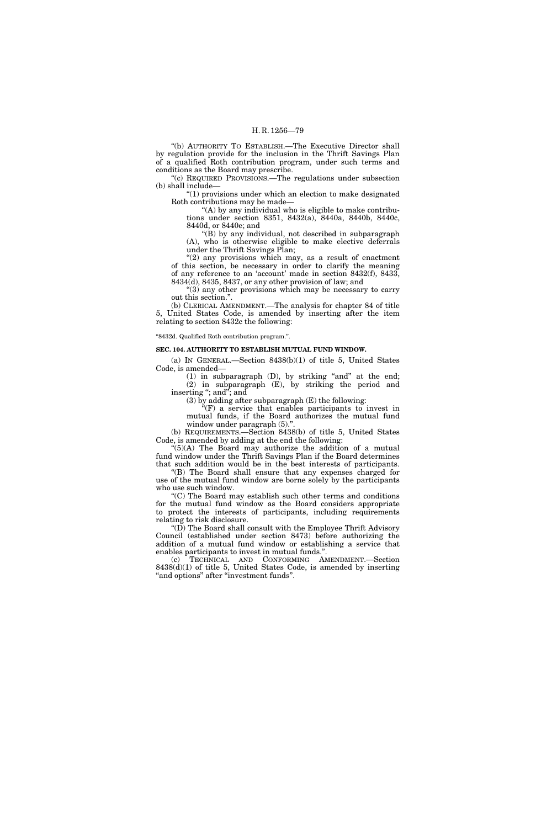''(b) AUTHORITY TO ESTABLISH.—The Executive Director shall by regulation provide for the inclusion in the Thrift Savings Plan of a qualified Roth contribution program, under such terms and conditions as the Board may prescribe.

''(c) REQUIRED PROVISIONS.—The regulations under subsection (b) shall include—

''(1) provisions under which an election to make designated Roth contributions may be made—

" $(A)$  by any individual who is eligible to make contributions under section 8351, 8432(a), 8440a, 8440b, 8440c, 8440d, or 8440e; and

''(B) by any individual, not described in subparagraph (A), who is otherwise eligible to make elective deferrals under the Thrift Savings Plan;

"(2) any provisions which may, as a result of enactment of this section, be necessary in order to clarify the meaning of any reference to an 'account' made in section 8432(f), 8433, 8434(d), 8435, 8437, or any other provision of law; and

''(3) any other provisions which may be necessary to carry out this section.''.

(b) CLERICAL AMENDMENT.—The analysis for chapter 84 of title 5, United States Code, is amended by inserting after the item relating to section 8432c the following:

#### ''8432d. Qualified Roth contribution program.''.

## **SEC. 104. AUTHORITY TO ESTABLISH MUTUAL FUND WINDOW.**

(a) IN GENERAL.—Section 8438(b)(1) of title 5, United States Code, is amended—

 $(1)$  in subparagraph  $(D)$ , by striking "and" at the end; (2) in subparagraph (E), by striking the period and inserting "; and"; and

 $(3)$  by adding after subparagraph  $(E)$  the following:

 $E(T)$  a service that enables participants to invest in mutual funds, if the Board authorizes the mutual fund window under paragraph  $(5)$ .".

(b) REQUIREMENTS.—Section 8438(b) of title 5, United States Code, is amended by adding at the end the following:

" $(5)(A)$  The Board may authorize the addition of a mutual fund window under the Thrift Savings Plan if the Board determines that such addition would be in the best interests of participants.

''(B) The Board shall ensure that any expenses charged for use of the mutual fund window are borne solely by the participants who use such window.

''(C) The Board may establish such other terms and conditions for the mutual fund window as the Board considers appropriate to protect the interests of participants, including requirements relating to risk disclosure.

''(D) The Board shall consult with the Employee Thrift Advisory Council (established under section 8473) before authorizing the addition of a mutual fund window or establishing a service that enables participants to invest in mutual funds.''.

(c) TECHNICAL AND CONFORMING AMENDMENT.—Section 8438(d)(1) of title 5, United States Code, is amended by inserting "and options" after "investment funds".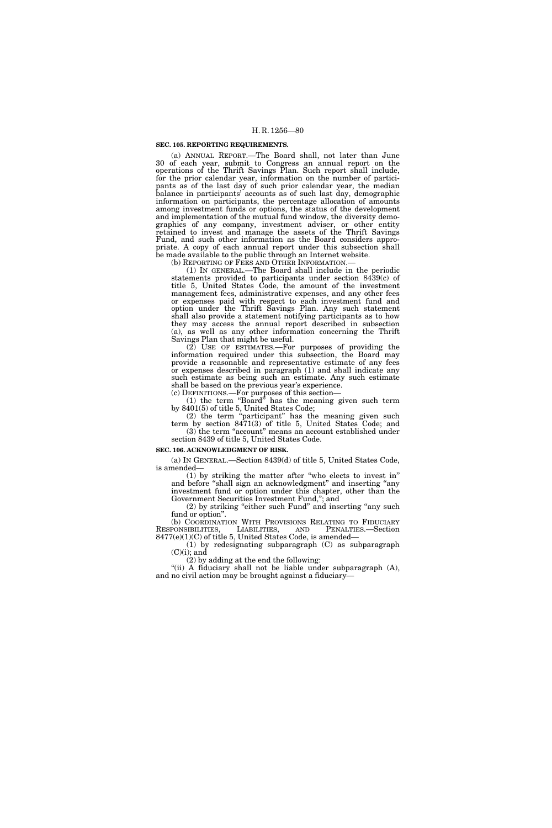#### **SEC. 105. REPORTING REQUIREMENTS.**

(a) ANNUAL REPORT.—The Board shall, not later than June 30 of each year, submit to Congress an annual report on the operations of the Thrift Savings Plan. Such report shall include, for the prior calendar year, information on the number of participants as of the last day of such prior calendar year, the median balance in participants' accounts as of such last day, demographic information on participants, the percentage allocation of amounts among investment funds or options, the status of the development and implementation of the mutual fund window, the diversity demographics of any company, investment adviser, or other entity retained to invest and manage the assets of the Thrift Savings Fund, and such other information as the Board considers appropriate. A copy of each annual report under this subsection shall be made available to the public through an Internet website.

(b) REPORTING OF FEES AND OTHER INFORMATION.—

(1) IN GENERAL.—The Board shall include in the periodic statements provided to participants under section 8439(c) of title 5, United States Code, the amount of the investment management fees, administrative expenses, and any other fees or expenses paid with respect to each investment fund and option under the Thrift Savings Plan. Any such statement shall also provide a statement notifying participants as to how they may access the annual report described in subsection (a), as well as any other information concerning the Thrift Savings Plan that might be useful.

(2) USE OF ESTIMATES.—For purposes of providing the information required under this subsection, the Board may provide a reasonable and representative estimate of any fees or expenses described in paragraph (1) and shall indicate any such estimate as being such an estimate. Any such estimate shall be based on the previous year's experience.

(c) DEFINITIONS.—For purposes of this section—

(1) the term "Board" has the meaning given such term by 8401(5) of title 5, United States Code;

(2) the term "participant" has the meaning given such term by section 8471(3) of title 5, United States Code; and (3) the term "account" means an account established under section 8439 of title 5, United States Code.

## **SEC. 106. ACKNOWLEDGMENT OF RISK.**

(a) IN GENERAL.—Section 8439(d) of title 5, United States Code, is amended—

(1) by striking the matter after ''who elects to invest in'' and before "shall sign an acknowledgment" and inserting "any investment fund or option under this chapter, other than the Government Securities Investment Fund,''; and

(2) by striking "either such Fund" and inserting "any such fund or option''.

(b) COORDINATION WITH PROVISIONS RELATING TO FIDUCIARY RESPONSIBILITIES, LIABILITIES, AND PENALTIES.—Section PENALTIES.-Section 8477(e)(1)(C) of title 5, United States Code, is amended—

(1) by redesignating subparagraph (C) as subparagraph  $(C)(i)$ ; and

(2) by adding at the end the following:

"(ii) A fiduciary shall not be liable under subparagraph (A), and no civil action may be brought against a fiduciary—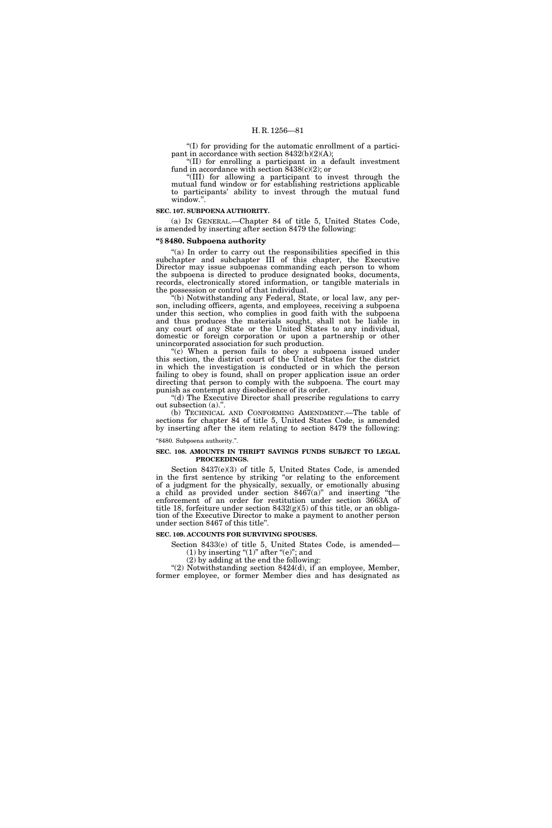''(I) for providing for the automatic enrollment of a participant in accordance with section 8432(b)(2)(A); ''(II) for enrolling a participant in a default investment

fund in accordance with section  $8438(c)(2)$ ; or

''(III) for allowing a participant to invest through the mutual fund window or for establishing restrictions applicable to participants' ability to invest through the mutual fund window.''.

#### **SEC. 107. SUBPOENA AUTHORITY.**

(a) IN GENERAL.—Chapter 84 of title 5, United States Code, is amended by inserting after section 8479 the following:

#### **''§ 8480. Subpoena authority**

"(a) In order to carry out the responsibilities specified in this subchapter and subchapter III of this chapter, the Executive Director may issue subpoenas commanding each person to whom the subpoena is directed to produce designated books, documents, records, electronically stored information, or tangible materials in the possession or control of that individual.

''(b) Notwithstanding any Federal, State, or local law, any person, including officers, agents, and employees, receiving a subpoena under this section, who complies in good faith with the subpoena and thus produces the materials sought, shall not be liable in any court of any State or the United States to any individual, domestic or foreign corporation or upon a partnership or other unincorporated association for such production.

" $(c)$  When a person fails to obey a subpoena issued under this section, the district court of the United States for the district in which the investigation is conducted or in which the person failing to obey is found, shall on proper application issue an order directing that person to comply with the subpoena. The court may punish as contempt any disobedience of its order.

''(d) The Executive Director shall prescribe regulations to carry out subsection (a).''.

(b) TECHNICAL AND CONFORMING AMENDMENT.—The table of sections for chapter 84 of title 5, United States Code, is amended by inserting after the item relating to section 8479 the following:

#### ''8480. Subpoena authority.''.

## **SEC. 108. AMOUNTS IN THRIFT SAVINGS FUNDS SUBJECT TO LEGAL PROCEEDINGS.**

Section 8437(e)(3) of title 5, United States Code, is amended in the first sentence by striking ''or relating to the enforcement of a judgment for the physically, sexually, or emotionally abusing a child as provided under section 8467(a)'' and inserting ''the enforcement of an order for restitution under section 3663A of title 18, forfeiture under section  $8432(g)(5)$  of this title, or an obligation of the Executive Director to make a payment to another person under section 8467 of this title''.

## **SEC. 109. ACCOUNTS FOR SURVIVING SPOUSES.**

Section 8433(e) of title 5, United States Code, is amended— (1) by inserting " $(1)$ " after " $(e)$ "; and

(2) by adding at the end the following:

"(2) Notwithstanding section 8424(d), if an employee, Member, former employee, or former Member dies and has designated as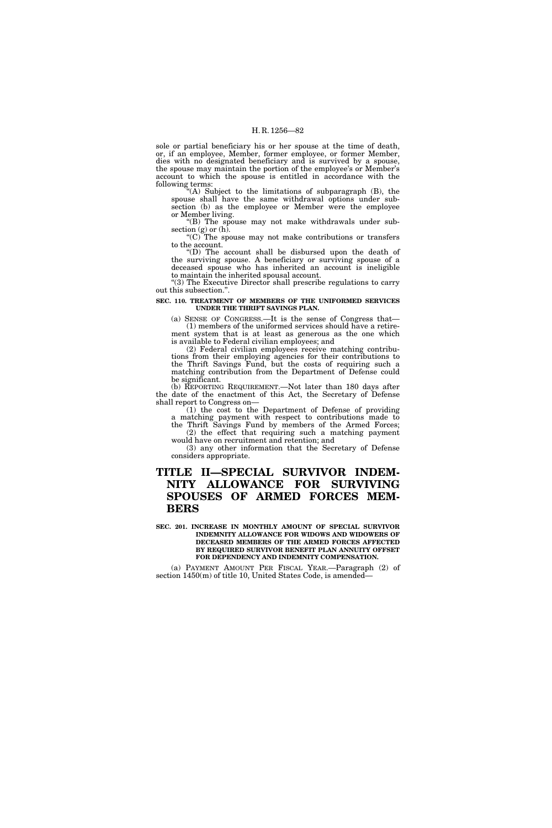sole or partial beneficiary his or her spouse at the time of death, or, if an employee, Member, former employee, or former Member, dies with no designated beneficiary and is survived by a spouse, the spouse may maintain the portion of the employee's or Member's account to which the spouse is entitled in accordance with the following terms:

''(A) Subject to the limitations of subparagraph (B), the spouse shall have the same withdrawal options under subsection (b) as the employee or Member were the employee or Member living.

"(B) The spouse may not make withdrawals under subsection (g) or  $(h)$ .

''(C) The spouse may not make contributions or transfers to the account.

''(D) The account shall be disbursed upon the death of the surviving spouse. A beneficiary or surviving spouse of a deceased spouse who has inherited an account is ineligible to maintain the inherited spousal account.

''(3) The Executive Director shall prescribe regulations to carry out this subsection.''.

**SEC. 110. TREATMENT OF MEMBERS OF THE UNIFORMED SERVICES UNDER THE THRIFT SAVINGS PLAN.** 

(a) SENSE OF CONGRESS.—It is the sense of Congress that— (1) members of the uniformed services should have a retirement system that is at least as generous as the one which is available to Federal civilian employees; and

(2) Federal civilian employees receive matching contributions from their employing agencies for their contributions to the Thrift Savings Fund, but the costs of requiring such a matching contribution from the Department of Defense could be significant.

(b) REPORTING REQUIREMENT.—Not later than 180 days after the date of the enactment of this Act, the Secretary of Defense shall report to Congress on—

(1) the cost to the Department of Defense of providing a matching payment with respect to contributions made to the Thrift Savings Fund by members of the Armed Forces; (2) the effect that requiring such a matching payment

would have on recruitment and retention; and (3) any other information that the Secretary of Defense considers appropriate.

## **TITLE II—SPECIAL SURVIVOR INDEM-NITY ALLOWANCE FOR SURVIVING SPOUSES OF ARMED FORCES MEM-BERS**

**SEC. 201. INCREASE IN MONTHLY AMOUNT OF SPECIAL SURVIVOR INDEMNITY ALLOWANCE FOR WIDOWS AND WIDOWERS OF DECEASED MEMBERS OF THE ARMED FORCES AFFECTED BY REQUIRED SURVIVOR BENEFIT PLAN ANNUITY OFFSET FOR DEPENDENCY AND INDEMNITY COMPENSATION.** 

(a) PAYMENT AMOUNT PER FISCAL YEAR.—Paragraph (2) of section 1450(m) of title 10, United States Code, is amended—